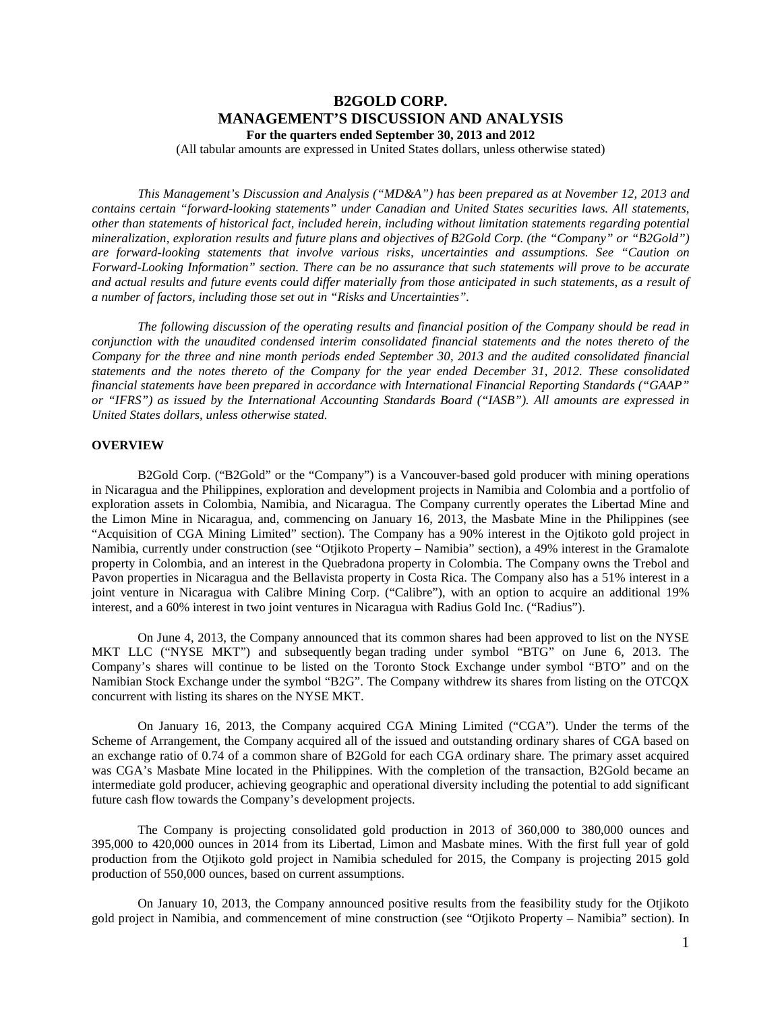# **B2GOLD CORP. MANAGEMENT'S DISCUSSION AND ANALYSIS For the quarters ended September 30, 2013 and 2012**

(All tabular amounts are expressed in United States dollars, unless otherwise stated)

*This Management's Discussion and Analysis ("MD&A") has been prepared as at November 12, 2013 and contains certain "forward-looking statements" under Canadian and United States securities laws. All statements, other than statements of historical fact, included herein, including without limitation statements regarding potential mineralization, exploration results and future plans and objectives of B2Gold Corp. (the "Company" or "B2Gold") are forward-looking statements that involve various risks, uncertainties and assumptions. See "Caution on Forward-Looking Information" section. There can be no assurance that such statements will prove to be accurate and actual results and future events could differ materially from those anticipated in such statements, as a result of a number of factors, including those set out in "Risks and Uncertainties".*

*The following discussion of the operating results and financial position of the Company should be read in conjunction with the unaudited condensed interim consolidated financial statements and the notes thereto of the Company for the three and nine month periods ended September 30, 2013 and the audited consolidated financial statements and the notes thereto of the Company for the year ended December 31, 2012. These consolidated financial statements have been prepared in accordance with International Financial Reporting Standards ("GAAP" or "IFRS") as issued by the International Accounting Standards Board ("IASB"). All amounts are expressed in United States dollars, unless otherwise stated.*

### **OVERVIEW**

B2Gold Corp. ("B2Gold" or the "Company") is a Vancouver-based gold producer with mining operations in Nicaragua and the Philippines, exploration and development projects in Namibia and Colombia and a portfolio of exploration assets in Colombia, Namibia, and Nicaragua. The Company currently operates the Libertad Mine and the Limon Mine in Nicaragua, and, commencing on January 16, 2013, the Masbate Mine in the Philippines (see "Acquisition of CGA Mining Limited" section). The Company has a 90% interest in the Ojtikoto gold project in Namibia, currently under construction (see "Otjikoto Property – Namibia" section), a 49% interest in the Gramalote property in Colombia, and an interest in the Quebradona property in Colombia. The Company owns the Trebol and Pavon properties in Nicaragua and the Bellavista property in Costa Rica. The Company also has a 51% interest in a joint venture in Nicaragua with Calibre Mining Corp. ("Calibre"), with an option to acquire an additional 19% interest, and a 60% interest in two joint ventures in Nicaragua with Radius Gold Inc. ("Radius").

On June 4, 2013, the Company announced that its common shares had been approved to list on the NYSE MKT LLC ("NYSE MKT") and subsequently began trading under symbol "BTG" on June 6, 2013. The Company's shares will continue to be listed on the Toronto Stock Exchange under symbol "BTO" and on the Namibian Stock Exchange under the symbol "B2G". The Company withdrew its shares from listing on the OTCQX concurrent with listing its shares on the NYSE MKT.

On January 16, 2013, the Company acquired CGA Mining Limited ("CGA"). Under the terms of the Scheme of Arrangement, the Company acquired all of the issued and outstanding ordinary shares of CGA based on an exchange ratio of 0.74 of a common share of B2Gold for each CGA ordinary share. The primary asset acquired was CGA's Masbate Mine located in the Philippines. With the completion of the transaction, B2Gold became an intermediate gold producer, achieving geographic and operational diversity including the potential to add significant future cash flow towards the Company's development projects.

The Company is projecting consolidated gold production in 2013 of 360,000 to 380,000 ounces and 395,000 to 420,000 ounces in 2014 from its Libertad, Limon and Masbate mines. With the first full year of gold production from the Otjikoto gold project in Namibia scheduled for 2015, the Company is projecting 2015 gold production of 550,000 ounces, based on current assumptions.

On January 10, 2013, the Company announced positive results from the feasibility study for the Otjikoto gold project in Namibia, and commencement of mine construction (see "Otjikoto Property – Namibia" section). In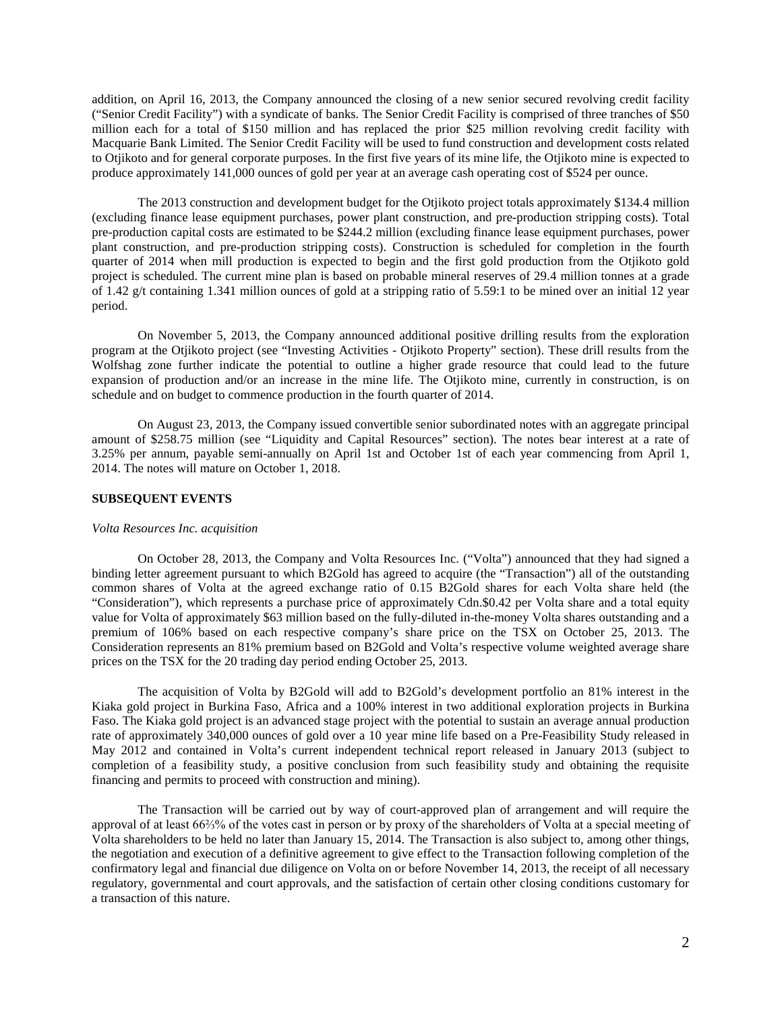addition, on April 16, 2013, the Company announced the closing of a new senior secured revolving credit facility ("Senior Credit Facility") with a syndicate of banks. The Senior Credit Facility is comprised of three tranches of \$50 million each for a total of \$150 million and has replaced the prior \$25 million revolving credit facility with Macquarie Bank Limited. The Senior Credit Facility will be used to fund construction and development costs related to Otjikoto and for general corporate purposes. In the first five years of its mine life, the Otjikoto mine is expected to produce approximately 141,000 ounces of gold per year at an average cash operating cost of \$524 per ounce.

The 2013 construction and development budget for the Otjikoto project totals approximately \$134.4 million (excluding finance lease equipment purchases, power plant construction, and pre-production stripping costs). Total pre-production capital costs are estimated to be \$244.2 million (excluding finance lease equipment purchases, power plant construction, and pre-production stripping costs). Construction is scheduled for completion in the fourth quarter of 2014 when mill production is expected to begin and the first gold production from the Otjikoto gold project is scheduled. The current mine plan is based on probable mineral reserves of 29.4 million tonnes at a grade of 1.42 g/t containing 1.341 million ounces of gold at a stripping ratio of 5.59:1 to be mined over an initial 12 year period.

On November 5, 2013, the Company announced additional positive drilling results from the exploration program at the Otjikoto project (see "Investing Activities - Otjikoto Property" section). These drill results from the Wolfshag zone further indicate the potential to outline a higher grade resource that could lead to the future expansion of production and/or an increase in the mine life. The Otjikoto mine, currently in construction, is on schedule and on budget to commence production in the fourth quarter of 2014.

On August 23, 2013, the Company issued convertible senior subordinated notes with an aggregate principal amount of \$258.75 million (see "Liquidity and Capital Resources" section). The notes bear interest at a rate of 3.25% per annum, payable semi-annually on April 1st and October 1st of each year commencing from April 1, 2014. The notes will mature on October 1, 2018.

## **SUBSEQUENT EVENTS**

#### *Volta Resources Inc. acquisition*

On October 28, 2013, the Company and Volta Resources Inc. ("Volta") announced that they had signed a binding letter agreement pursuant to which B2Gold has agreed to acquire (the "Transaction") all of the outstanding common shares of Volta at the agreed exchange ratio of 0.15 B2Gold shares for each Volta share held (the "Consideration"), which represents a purchase price of approximately Cdn.\$0.42 per Volta share and a total equity value for Volta of approximately \$63 million based on the fully-diluted in-the-money Volta shares outstanding and a premium of 106% based on each respective company's share price on the TSX on October 25, 2013. The Consideration represents an 81% premium based on B2Gold and Volta's respective volume weighted average share prices on the TSX for the 20 trading day period ending October 25, 2013.

The acquisition of Volta by B2Gold will add to B2Gold's development portfolio an 81% interest in the Kiaka gold project in Burkina Faso, Africa and a 100% interest in two additional exploration projects in Burkina Faso. The Kiaka gold project is an advanced stage project with the potential to sustain an average annual production rate of approximately 340,000 ounces of gold over a 10 year mine life based on a Pre-Feasibility Study released in May 2012 and contained in Volta's current independent technical report released in January 2013 (subject to completion of a feasibility study, a positive conclusion from such feasibility study and obtaining the requisite financing and permits to proceed with construction and mining).

The Transaction will be carried out by way of court-approved plan of arrangement and will require the approval of at least 66⅔% of the votes cast in person or by proxy of the shareholders of Volta at a special meeting of Volta shareholders to be held no later than January 15, 2014. The Transaction is also subject to, among other things, the negotiation and execution of a definitive agreement to give effect to the Transaction following completion of the confirmatory legal and financial due diligence on Volta on or before November 14, 2013, the receipt of all necessary regulatory, governmental and court approvals, and the satisfaction of certain other closing conditions customary for a transaction of this nature.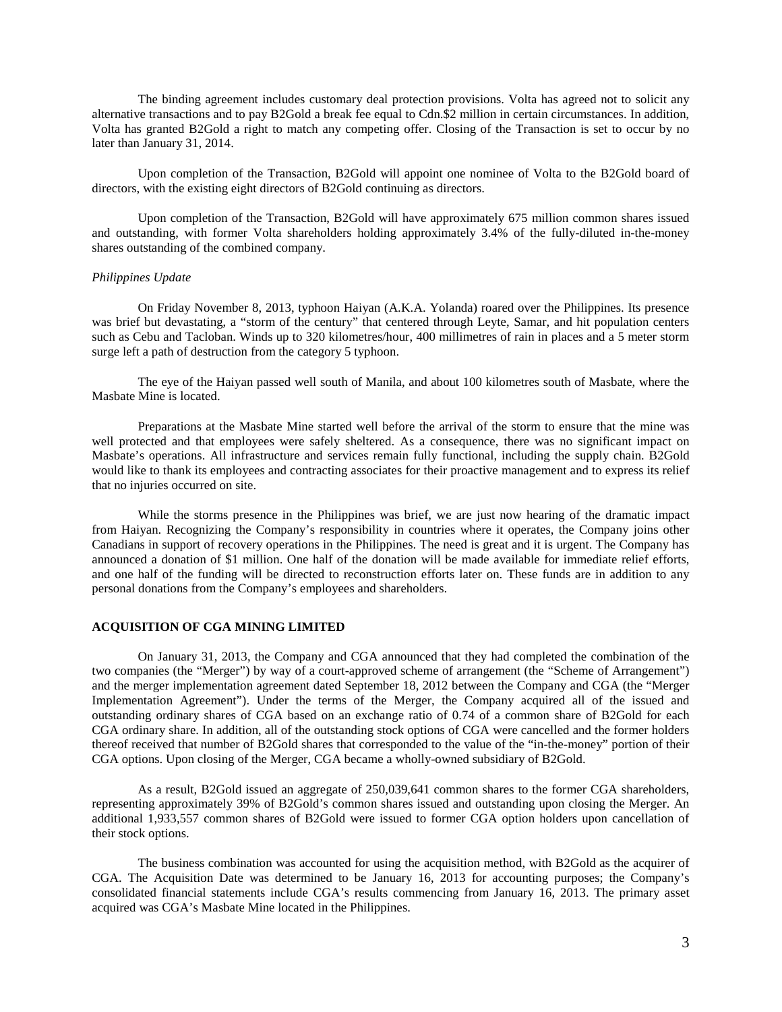The binding agreement includes customary deal protection provisions. Volta has agreed not to solicit any alternative transactions and to pay B2Gold a break fee equal to Cdn.\$2 million in certain circumstances. In addition, Volta has granted B2Gold a right to match any competing offer. Closing of the Transaction is set to occur by no later than January 31, 2014.

Upon completion of the Transaction, B2Gold will appoint one nominee of Volta to the B2Gold board of directors, with the existing eight directors of B2Gold continuing as directors.

Upon completion of the Transaction, B2Gold will have approximately 675 million common shares issued and outstanding, with former Volta shareholders holding approximately 3.4% of the fully-diluted in-the-money shares outstanding of the combined company.

### *Philippines Update*

On Friday November 8, 2013, typhoon Haiyan (A.K.A. Yolanda) roared over the Philippines. Its presence was brief but devastating, a "storm of the century" that centered through Leyte, Samar, and hit population centers such as Cebu and Tacloban. Winds up to 320 kilometres/hour, 400 millimetres of rain in places and a 5 meter storm surge left a path of destruction from the category 5 typhoon.

The eye of the Haiyan passed well south of Manila, and about 100 kilometres south of Masbate, where the Masbate Mine is located.

Preparations at the Masbate Mine started well before the arrival of the storm to ensure that the mine was well protected and that employees were safely sheltered. As a consequence, there was no significant impact on Masbate's operations. All infrastructure and services remain fully functional, including the supply chain. B2Gold would like to thank its employees and contracting associates for their proactive management and to express its relief that no injuries occurred on site.

While the storms presence in the Philippines was brief, we are just now hearing of the dramatic impact from Haiyan. Recognizing the Company's responsibility in countries where it operates, the Company joins other Canadians in support of recovery operations in the Philippines. The need is great and it is urgent. The Company has announced a donation of \$1 million. One half of the donation will be made available for immediate relief efforts, and one half of the funding will be directed to reconstruction efforts later on. These funds are in addition to any personal donations from the Company's employees and shareholders.

## **ACQUISITION OF CGA MINING LIMITED**

On January 31, 2013, the Company and CGA announced that they had completed the combination of the two companies (the "Merger") by way of a court-approved scheme of arrangement (the "Scheme of Arrangement") and the merger implementation agreement dated September 18, 2012 between the Company and CGA (the "Merger Implementation Agreement"). Under the terms of the Merger, the Company acquired all of the issued and outstanding ordinary shares of CGA based on an exchange ratio of 0.74 of a common share of B2Gold for each CGA ordinary share. In addition, all of the outstanding stock options of CGA were cancelled and the former holders thereof received that number of B2Gold shares that corresponded to the value of the "in-the-money" portion of their CGA options. Upon closing of the Merger, CGA became a wholly-owned subsidiary of B2Gold.

As a result, B2Gold issued an aggregate of 250,039,641 common shares to the former CGA shareholders, representing approximately 39% of B2Gold's common shares issued and outstanding upon closing the Merger. An additional 1,933,557 common shares of B2Gold were issued to former CGA option holders upon cancellation of their stock options.

The business combination was accounted for using the acquisition method, with B2Gold as the acquirer of CGA. The Acquisition Date was determined to be January 16, 2013 for accounting purposes; the Company's consolidated financial statements include CGA's results commencing from January 16, 2013. The primary asset acquired was CGA's Masbate Mine located in the Philippines.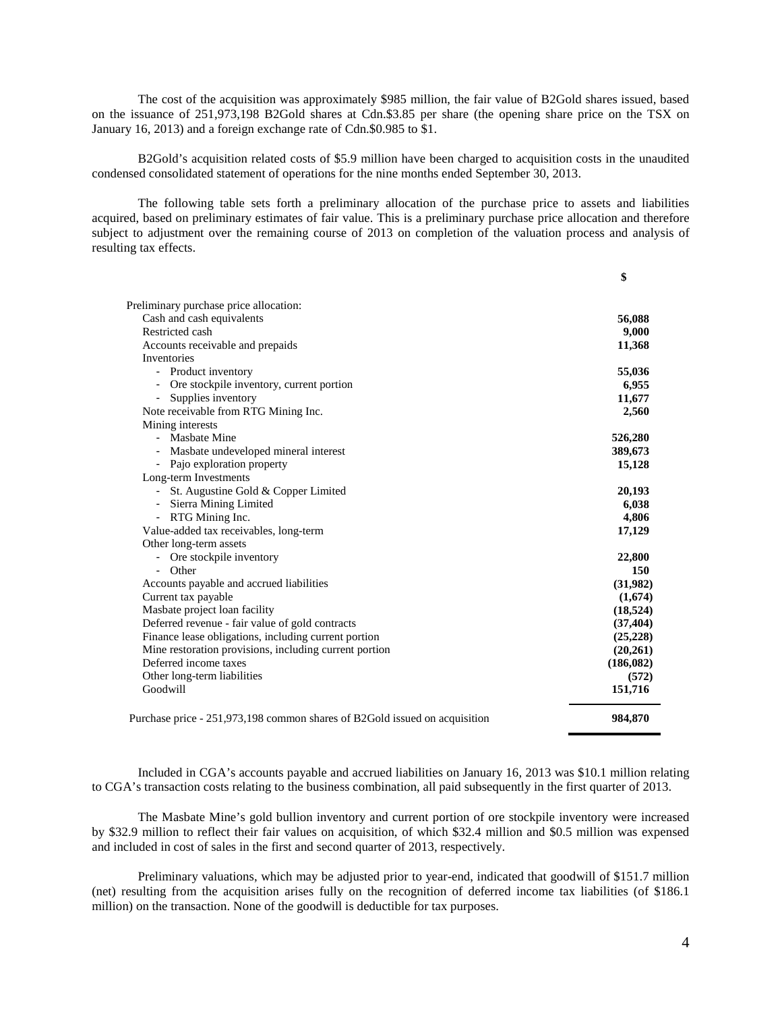The cost of the acquisition was approximately \$985 million, the fair value of B2Gold shares issued, based on the issuance of 251,973,198 B2Gold shares at Cdn.\$3.85 per share (the opening share price on the TSX on January 16, 2013) and a foreign exchange rate of Cdn.\$0.985 to \$1.

B2Gold's acquisition related costs of \$5.9 million have been charged to acquisition costs in the unaudited condensed consolidated statement of operations for the nine months ended September 30, 2013.

The following table sets forth a preliminary allocation of the purchase price to assets and liabilities acquired, based on preliminary estimates of fair value. This is a preliminary purchase price allocation and therefore subject to adjustment over the remaining course of 2013 on completion of the valuation process and analysis of resulting tax effects.

|                                                                            | \$         |
|----------------------------------------------------------------------------|------------|
| Preliminary purchase price allocation:                                     |            |
| Cash and cash equivalents                                                  | 56,088     |
| Restricted cash                                                            | 9,000      |
| Accounts receivable and prepaids                                           | 11,368     |
| Inventories                                                                |            |
| - Product inventory                                                        | 55,036     |
| Ore stockpile inventory, current portion<br>$\qquad \qquad \blacksquare$   | 6,955      |
| Supplies inventory<br>-                                                    | 11,677     |
| Note receivable from RTG Mining Inc.                                       | 2,560      |
| Mining interests                                                           |            |
| Masbate Mine                                                               | 526,280    |
| Masbate undeveloped mineral interest                                       | 389,673    |
| - Pajo exploration property                                                | 15,128     |
| Long-term Investments                                                      |            |
| - St. Augustine Gold & Copper Limited                                      | 20,193     |
| Sierra Mining Limited                                                      | 6,038      |
| - RTG Mining Inc.                                                          | 4,806      |
| Value-added tax receivables, long-term                                     | 17,129     |
| Other long-term assets                                                     |            |
| - Ore stockpile inventory                                                  | 22,800     |
| - Other                                                                    | 150        |
| Accounts payable and accrued liabilities                                   | (31,982)   |
| Current tax payable                                                        | (1,674)    |
| Masbate project loan facility                                              | (18, 524)  |
| Deferred revenue - fair value of gold contracts                            | (37, 404)  |
| Finance lease obligations, including current portion                       | (25, 228)  |
| Mine restoration provisions, including current portion                     | (20,261)   |
| Deferred income taxes                                                      | (186, 082) |
| Other long-term liabilities                                                | (572)      |
| Goodwill                                                                   | 151,716    |
| Purchase price - 251,973,198 common shares of B2Gold issued on acquisition | 984,870    |

Included in CGA's accounts payable and accrued liabilities on January 16, 2013 was \$10.1 million relating to CGA's transaction costs relating to the business combination, all paid subsequently in the first quarter of 2013.

The Masbate Mine's gold bullion inventory and current portion of ore stockpile inventory were increased by \$32.9 million to reflect their fair values on acquisition, of which \$32.4 million and \$0.5 million was expensed and included in cost of sales in the first and second quarter of 2013, respectively.

Preliminary valuations, which may be adjusted prior to year-end, indicated that goodwill of \$151.7 million (net) resulting from the acquisition arises fully on the recognition of deferred income tax liabilities (of \$186.1 million) on the transaction. None of the goodwill is deductible for tax purposes.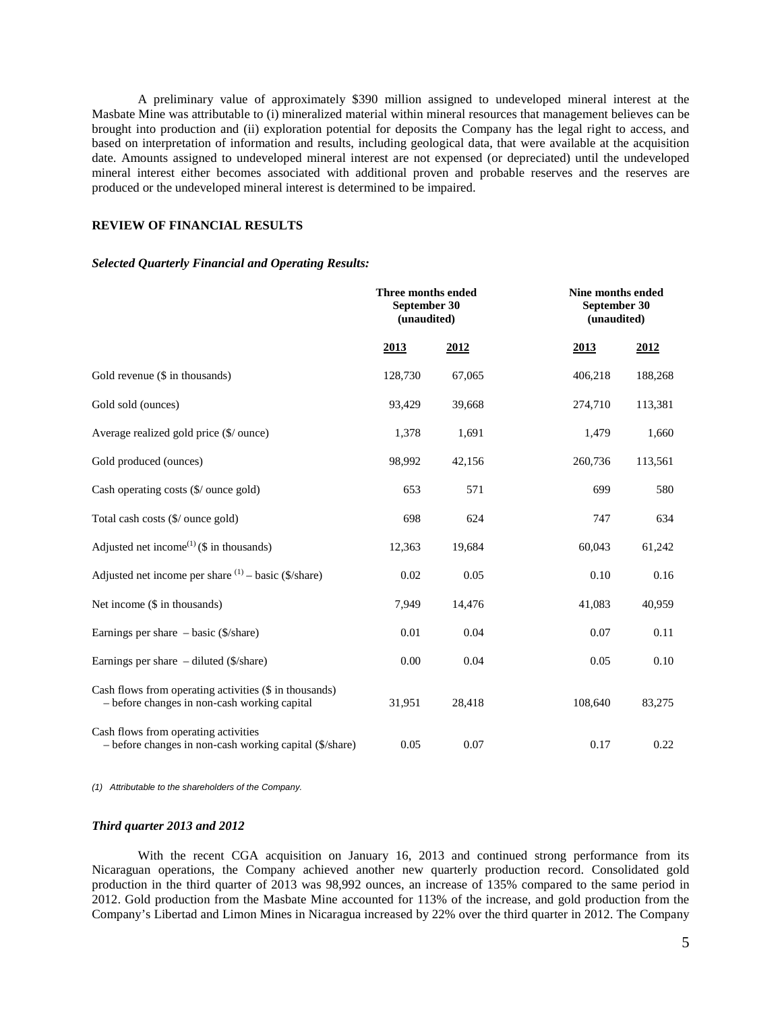A preliminary value of approximately \$390 million assigned to undeveloped mineral interest at the Masbate Mine was attributable to (i) mineralized material within mineral resources that management believes can be brought into production and (ii) exploration potential for deposits the Company has the legal right to access, and based on interpretation of information and results, including geological data, that were available at the acquisition date. Amounts assigned to undeveloped mineral interest are not expensed (or depreciated) until the undeveloped mineral interest either becomes associated with additional proven and probable reserves and the reserves are produced or the undeveloped mineral interest is determined to be impaired.

## **REVIEW OF FINANCIAL RESULTS**

#### *Selected Quarterly Financial and Operating Results:*

|                                                                                                        | Three months ended<br>September 30<br>(unaudited) |        | Nine months ended<br>September 30<br>(unaudited) |         |  |
|--------------------------------------------------------------------------------------------------------|---------------------------------------------------|--------|--------------------------------------------------|---------|--|
|                                                                                                        | 2013                                              | 2012   | 2013                                             | 2012    |  |
| Gold revenue (\$ in thousands)                                                                         | 128,730                                           | 67,065 | 406,218                                          | 188,268 |  |
| Gold sold (ounces)                                                                                     | 93,429                                            | 39,668 | 274,710                                          | 113,381 |  |
| Average realized gold price (\$/ ounce)                                                                | 1,378                                             | 1,691  | 1,479                                            | 1,660   |  |
| Gold produced (ounces)                                                                                 | 98,992                                            | 42,156 | 260,736                                          | 113,561 |  |
| Cash operating costs (\$/ ounce gold)                                                                  | 653                                               | 571    | 699                                              | 580     |  |
| Total cash costs (\$/ ounce gold)                                                                      | 698                                               | 624    | 747                                              | 634     |  |
| Adjusted net income <sup>(1)</sup> (\$ in thousands)                                                   | 12,363                                            | 19,684 | 60,043                                           | 61,242  |  |
| Adjusted net income per share $(1)$ – basic (\$/share)                                                 | 0.02                                              | 0.05   | 0.10                                             | 0.16    |  |
| Net income (\$ in thousands)                                                                           | 7,949                                             | 14,476 | 41,083                                           | 40,959  |  |
| Earnings per share $-$ basic (\$/share)                                                                | 0.01                                              | 0.04   | 0.07                                             | 0.11    |  |
| Earnings per share $-$ diluted ( $\frac{\sqrt{3}}{\sqrt{3}}$ )                                         | 0.00                                              | 0.04   | 0.05                                             | 0.10    |  |
| Cash flows from operating activities (\$ in thousands)<br>- before changes in non-cash working capital | 31,951                                            | 28,418 | 108,640                                          | 83,275  |  |
| Cash flows from operating activities<br>- before changes in non-cash working capital (\$/share)        | 0.05                                              | 0.07   | 0.17                                             | 0.22    |  |

*(1) Attributable to the shareholders of the Company.* 

### *Third quarter 2013 and 2012*

With the recent CGA acquisition on January 16, 2013 and continued strong performance from its Nicaraguan operations, the Company achieved another new quarterly production record. Consolidated gold production in the third quarter of 2013 was 98,992 ounces, an increase of 135% compared to the same period in 2012. Gold production from the Masbate Mine accounted for 113% of the increase, and gold production from the Company's Libertad and Limon Mines in Nicaragua increased by 22% over the third quarter in 2012. The Company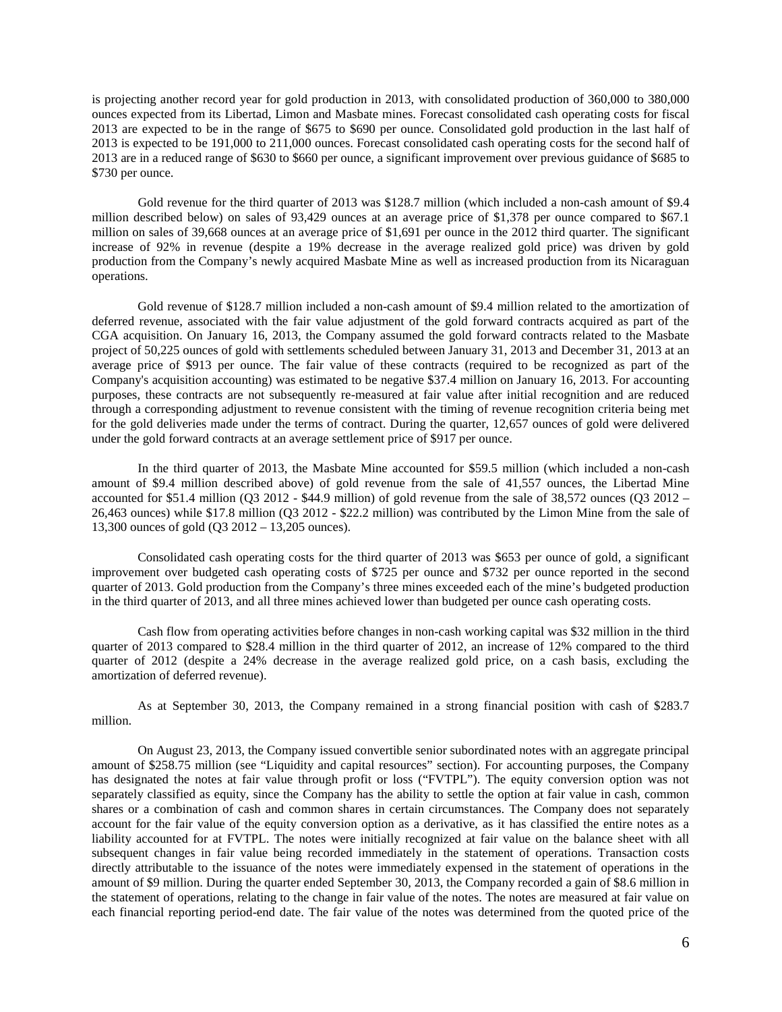is projecting another record year for gold production in 2013, with consolidated production of 360,000 to 380,000 ounces expected from its Libertad, Limon and Masbate mines. Forecast consolidated cash operating costs for fiscal 2013 are expected to be in the range of \$675 to \$690 per ounce. Consolidated gold production in the last half of 2013 is expected to be 191,000 to 211,000 ounces. Forecast consolidated cash operating costs for the second half of 2013 are in a reduced range of \$630 to \$660 per ounce, a significant improvement over previous guidance of \$685 to \$730 per ounce.

Gold revenue for the third quarter of 2013 was \$128.7 million (which included a non-cash amount of \$9.4 million described below) on sales of 93,429 ounces at an average price of \$1,378 per ounce compared to \$67.1 million on sales of 39,668 ounces at an average price of \$1,691 per ounce in the 2012 third quarter. The significant increase of 92% in revenue (despite a 19% decrease in the average realized gold price) was driven by gold production from the Company's newly acquired Masbate Mine as well as increased production from its Nicaraguan operations.

Gold revenue of \$128.7 million included a non-cash amount of \$9.4 million related to the amortization of deferred revenue, associated with the fair value adjustment of the gold forward contracts acquired as part of the CGA acquisition. On January 16, 2013, the Company assumed the gold forward contracts related to the Masbate project of 50,225 ounces of gold with settlements scheduled between January 31, 2013 and December 31, 2013 at an average price of \$913 per ounce. The fair value of these contracts (required to be recognized as part of the Company's acquisition accounting) was estimated to be negative \$37.4 million on January 16, 2013. For accounting purposes, these contracts are not subsequently re-measured at fair value after initial recognition and are reduced through a corresponding adjustment to revenue consistent with the timing of revenue recognition criteria being met for the gold deliveries made under the terms of contract. During the quarter, 12,657 ounces of gold were delivered under the gold forward contracts at an average settlement price of \$917 per ounce.

In the third quarter of 2013, the Masbate Mine accounted for \$59.5 million (which included a non-cash amount of \$9.4 million described above) of gold revenue from the sale of 41,557 ounces, the Libertad Mine accounted for \$51.4 million (Q3 2012 - \$44.9 million) of gold revenue from the sale of 38,572 ounces (Q3 2012 – 26,463 ounces) while \$17.8 million (Q3 2012 - \$22.2 million) was contributed by the Limon Mine from the sale of 13,300 ounces of gold (Q3 2012 – 13,205 ounces).

Consolidated cash operating costs for the third quarter of 2013 was \$653 per ounce of gold, a significant improvement over budgeted cash operating costs of \$725 per ounce and \$732 per ounce reported in the second quarter of 2013. Gold production from the Company's three mines exceeded each of the mine's budgeted production in the third quarter of 2013, and all three mines achieved lower than budgeted per ounce cash operating costs.

Cash flow from operating activities before changes in non-cash working capital was \$32 million in the third quarter of 2013 compared to \$28.4 million in the third quarter of 2012, an increase of 12% compared to the third quarter of 2012 (despite a 24% decrease in the average realized gold price, on a cash basis, excluding the amortization of deferred revenue).

As at September 30, 2013, the Company remained in a strong financial position with cash of \$283.7 million.

On August 23, 2013, the Company issued convertible senior subordinated notes with an aggregate principal amount of \$258.75 million (see "Liquidity and capital resources" section). For accounting purposes, the Company has designated the notes at fair value through profit or loss ("FVTPL"). The equity conversion option was not separately classified as equity, since the Company has the ability to settle the option at fair value in cash, common shares or a combination of cash and common shares in certain circumstances. The Company does not separately account for the fair value of the equity conversion option as a derivative, as it has classified the entire notes as a liability accounted for at FVTPL. The notes were initially recognized at fair value on the balance sheet with all subsequent changes in fair value being recorded immediately in the statement of operations. Transaction costs directly attributable to the issuance of the notes were immediately expensed in the statement of operations in the amount of \$9 million. During the quarter ended September 30, 2013, the Company recorded a gain of \$8.6 million in the statement of operations, relating to the change in fair value of the notes. The notes are measured at fair value on each financial reporting period-end date. The fair value of the notes was determined from the quoted price of the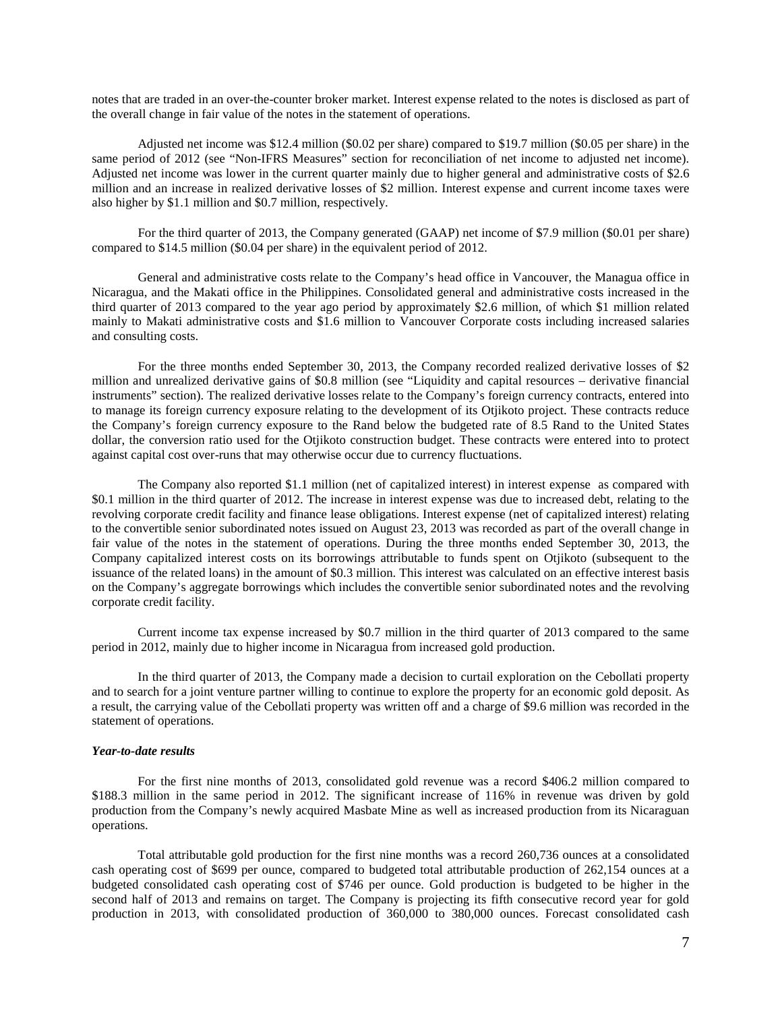notes that are traded in an over-the-counter broker market. Interest expense related to the notes is disclosed as part of the overall change in fair value of the notes in the statement of operations.

Adjusted net income was \$12.4 million (\$0.02 per share) compared to \$19.7 million (\$0.05 per share) in the same period of 2012 (see "Non-IFRS Measures" section for reconciliation of net income to adjusted net income). Adjusted net income was lower in the current quarter mainly due to higher general and administrative costs of \$2.6 million and an increase in realized derivative losses of \$2 million. Interest expense and current income taxes were also higher by \$1.1 million and \$0.7 million, respectively.

For the third quarter of 2013, the Company generated (GAAP) net income of \$7.9 million (\$0.01 per share) compared to \$14.5 million (\$0.04 per share) in the equivalent period of 2012.

General and administrative costs relate to the Company's head office in Vancouver, the Managua office in Nicaragua, and the Makati office in the Philippines. Consolidated general and administrative costs increased in the third quarter of 2013 compared to the year ago period by approximately \$2.6 million, of which \$1 million related mainly to Makati administrative costs and \$1.6 million to Vancouver Corporate costs including increased salaries and consulting costs.

For the three months ended September 30, 2013, the Company recorded realized derivative losses of \$2 million and unrealized derivative gains of \$0.8 million (see "Liquidity and capital resources – derivative financial instruments" section). The realized derivative losses relate to the Company's foreign currency contracts, entered into to manage its foreign currency exposure relating to the development of its Otjikoto project. These contracts reduce the Company's foreign currency exposure to the Rand below the budgeted rate of 8.5 Rand to the United States dollar, the conversion ratio used for the Otjikoto construction budget. These contracts were entered into to protect against capital cost over-runs that may otherwise occur due to currency fluctuations.

The Company also reported \$1.1 million (net of capitalized interest) in interest expense as compared with \$0.1 million in the third quarter of 2012. The increase in interest expense was due to increased debt, relating to the revolving corporate credit facility and finance lease obligations. Interest expense (net of capitalized interest) relating to the convertible senior subordinated notes issued on August 23, 2013 was recorded as part of the overall change in fair value of the notes in the statement of operations. During the three months ended September 30, 2013, the Company capitalized interest costs on its borrowings attributable to funds spent on Otjikoto (subsequent to the issuance of the related loans) in the amount of \$0.3 million. This interest was calculated on an effective interest basis on the Company's aggregate borrowings which includes the convertible senior subordinated notes and the revolving corporate credit facility.

Current income tax expense increased by \$0.7 million in the third quarter of 2013 compared to the same period in 2012, mainly due to higher income in Nicaragua from increased gold production.

In the third quarter of 2013, the Company made a decision to curtail exploration on the Cebollati property and to search for a joint venture partner willing to continue to explore the property for an economic gold deposit. As a result, the carrying value of the Cebollati property was written off and a charge of \$9.6 million was recorded in the statement of operations.

## *Year-to-date results*

For the first nine months of 2013, consolidated gold revenue was a record \$406.2 million compared to \$188.3 million in the same period in 2012. The significant increase of 116% in revenue was driven by gold production from the Company's newly acquired Masbate Mine as well as increased production from its Nicaraguan operations.

Total attributable gold production for the first nine months was a record 260,736 ounces at a consolidated cash operating cost of \$699 per ounce, compared to budgeted total attributable production of 262,154 ounces at a budgeted consolidated cash operating cost of \$746 per ounce. Gold production is budgeted to be higher in the second half of 2013 and remains on target. The Company is projecting its fifth consecutive record year for gold production in 2013, with consolidated production of 360,000 to 380,000 ounces. Forecast consolidated cash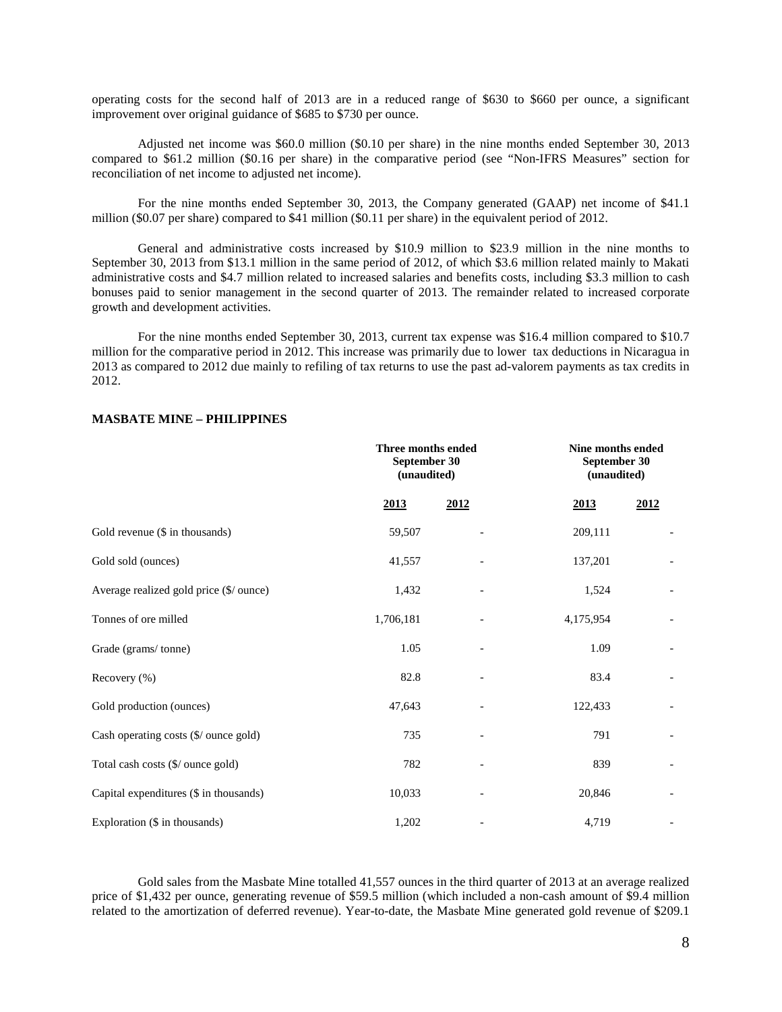operating costs for the second half of 2013 are in a reduced range of \$630 to \$660 per ounce, a significant improvement over original guidance of \$685 to \$730 per ounce.

Adjusted net income was \$60.0 million (\$0.10 per share) in the nine months ended September 30, 2013 compared to \$61.2 million (\$0.16 per share) in the comparative period (see "Non-IFRS Measures" section for reconciliation of net income to adjusted net income).

For the nine months ended September 30, 2013, the Company generated (GAAP) net income of \$41.1 million (\$0.07 per share) compared to \$41 million (\$0.11 per share) in the equivalent period of 2012.

General and administrative costs increased by \$10.9 million to \$23.9 million in the nine months to September 30, 2013 from \$13.1 million in the same period of 2012, of which \$3.6 million related mainly to Makati administrative costs and \$4.7 million related to increased salaries and benefits costs, including \$3.3 million to cash bonuses paid to senior management in the second quarter of 2013. The remainder related to increased corporate growth and development activities.

For the nine months ended September 30, 2013, current tax expense was \$16.4 million compared to \$10.7 million for the comparative period in 2012. This increase was primarily due to lower tax deductions in Nicaragua in 2013 as compared to 2012 due mainly to refiling of tax returns to use the past ad-valorem payments as tax credits in 2012.

|                                         |             | <b>Three months ended</b><br>September 30<br>(unaudited) |             | Nine months ended<br>September 30<br>(unaudited) |
|-----------------------------------------|-------------|----------------------------------------------------------|-------------|--------------------------------------------------|
|                                         | <u>2013</u> | 2012                                                     | <u>2013</u> | 2012                                             |
| Gold revenue (\$ in thousands)          | 59,507      |                                                          | 209,111     |                                                  |
| Gold sold (ounces)                      | 41,557      |                                                          | 137,201     |                                                  |
| Average realized gold price (\$/ ounce) | 1,432       |                                                          | 1,524       |                                                  |
| Tonnes of ore milled                    | 1,706,181   |                                                          | 4,175,954   |                                                  |
| Grade (grams/tonne)                     | 1.05        |                                                          | 1.09        |                                                  |
| Recovery (%)                            | 82.8        |                                                          | 83.4        |                                                  |
| Gold production (ounces)                | 47,643      |                                                          | 122,433     |                                                  |
| Cash operating costs (\$/ ounce gold)   | 735         |                                                          | 791         |                                                  |
| Total cash costs (\$/ ounce gold)       | 782         |                                                          | 839         |                                                  |
| Capital expenditures (\$ in thousands)  | 10,033      |                                                          | 20,846      |                                                  |
| Exploration (\$ in thousands)           | 1,202       |                                                          | 4,719       |                                                  |

## **MASBATE MINE – PHILIPPINES**

Gold sales from the Masbate Mine totalled 41,557 ounces in the third quarter of 2013 at an average realized price of \$1,432 per ounce, generating revenue of \$59.5 million (which included a non-cash amount of \$9.4 million related to the amortization of deferred revenue). Year-to-date, the Masbate Mine generated gold revenue of \$209.1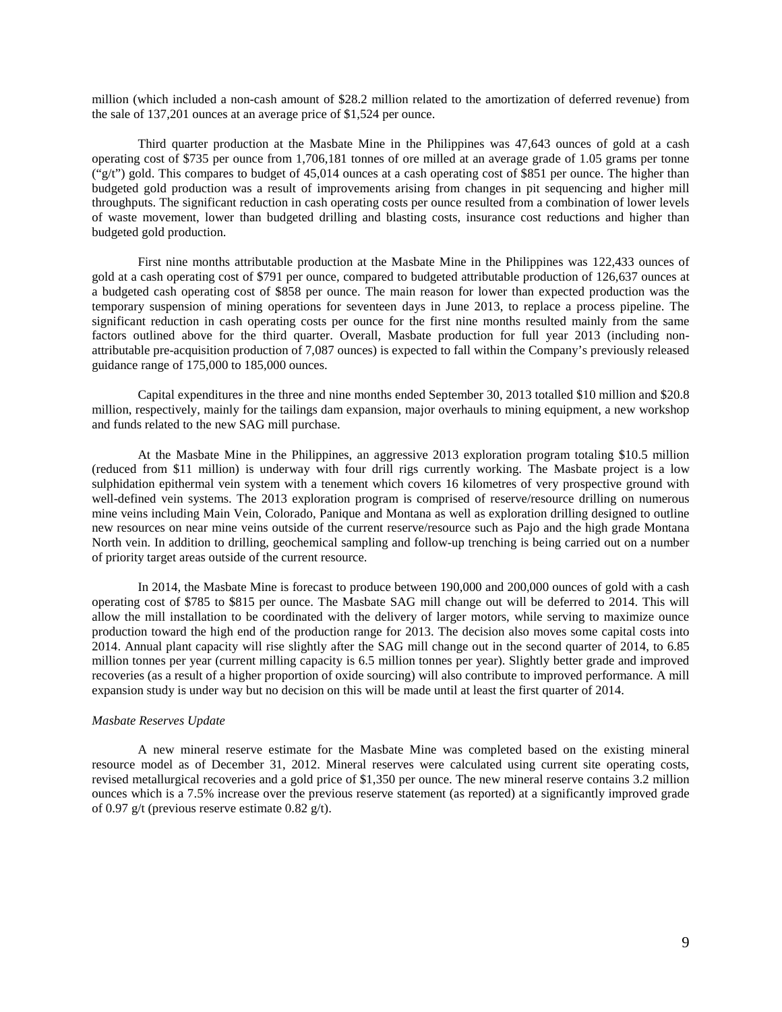million (which included a non-cash amount of \$28.2 million related to the amortization of deferred revenue) from the sale of 137,201 ounces at an average price of \$1,524 per ounce.

Third quarter production at the Masbate Mine in the Philippines was 47,643 ounces of gold at a cash operating cost of \$735 per ounce from 1,706,181 tonnes of ore milled at an average grade of 1.05 grams per tonne ("g/t") gold. This compares to budget of 45,014 ounces at a cash operating cost of \$851 per ounce. The higher than budgeted gold production was a result of improvements arising from changes in pit sequencing and higher mill throughputs. The significant reduction in cash operating costs per ounce resulted from a combination of lower levels of waste movement, lower than budgeted drilling and blasting costs, insurance cost reductions and higher than budgeted gold production.

First nine months attributable production at the Masbate Mine in the Philippines was 122,433 ounces of gold at a cash operating cost of \$791 per ounce, compared to budgeted attributable production of 126,637 ounces at a budgeted cash operating cost of \$858 per ounce. The main reason for lower than expected production was the temporary suspension of mining operations for seventeen days in June 2013, to replace a process pipeline. The significant reduction in cash operating costs per ounce for the first nine months resulted mainly from the same factors outlined above for the third quarter. Overall, Masbate production for full year 2013 (including nonattributable pre-acquisition production of 7,087 ounces) is expected to fall within the Company's previously released guidance range of 175,000 to 185,000 ounces.

Capital expenditures in the three and nine months ended September 30, 2013 totalled \$10 million and \$20.8 million, respectively, mainly for the tailings dam expansion, major overhauls to mining equipment, a new workshop and funds related to the new SAG mill purchase.

At the Masbate Mine in the Philippines, an aggressive 2013 exploration program totaling \$10.5 million (reduced from \$11 million) is underway with four drill rigs currently working. The Masbate project is a low sulphidation epithermal vein system with a tenement which covers 16 kilometres of very prospective ground with well-defined vein systems. The 2013 exploration program is comprised of reserve/resource drilling on numerous mine veins including Main Vein, Colorado, Panique and Montana as well as exploration drilling designed to outline new resources on near mine veins outside of the current reserve/resource such as Pajo and the high grade Montana North vein. In addition to drilling, geochemical sampling and follow-up trenching is being carried out on a number of priority target areas outside of the current resource.

In 2014, the Masbate Mine is forecast to produce between 190,000 and 200,000 ounces of gold with a cash operating cost of \$785 to \$815 per ounce. The Masbate SAG mill change out will be deferred to 2014. This will allow the mill installation to be coordinated with the delivery of larger motors, while serving to maximize ounce production toward the high end of the production range for 2013. The decision also moves some capital costs into 2014. Annual plant capacity will rise slightly after the SAG mill change out in the second quarter of 2014, to 6.85 million tonnes per year (current milling capacity is 6.5 million tonnes per year). Slightly better grade and improved recoveries (as a result of a higher proportion of oxide sourcing) will also contribute to improved performance. A mill expansion study is under way but no decision on this will be made until at least the first quarter of 2014.

#### *Masbate Reserves Update*

A new mineral reserve estimate for the Masbate Mine was completed based on the existing mineral resource model as of December 31, 2012. Mineral reserves were calculated using current site operating costs, revised metallurgical recoveries and a gold price of \$1,350 per ounce. The new mineral reserve contains 3.2 million ounces which is a 7.5% increase over the previous reserve statement (as reported) at a significantly improved grade of 0.97 g/t (previous reserve estimate 0.82 g/t).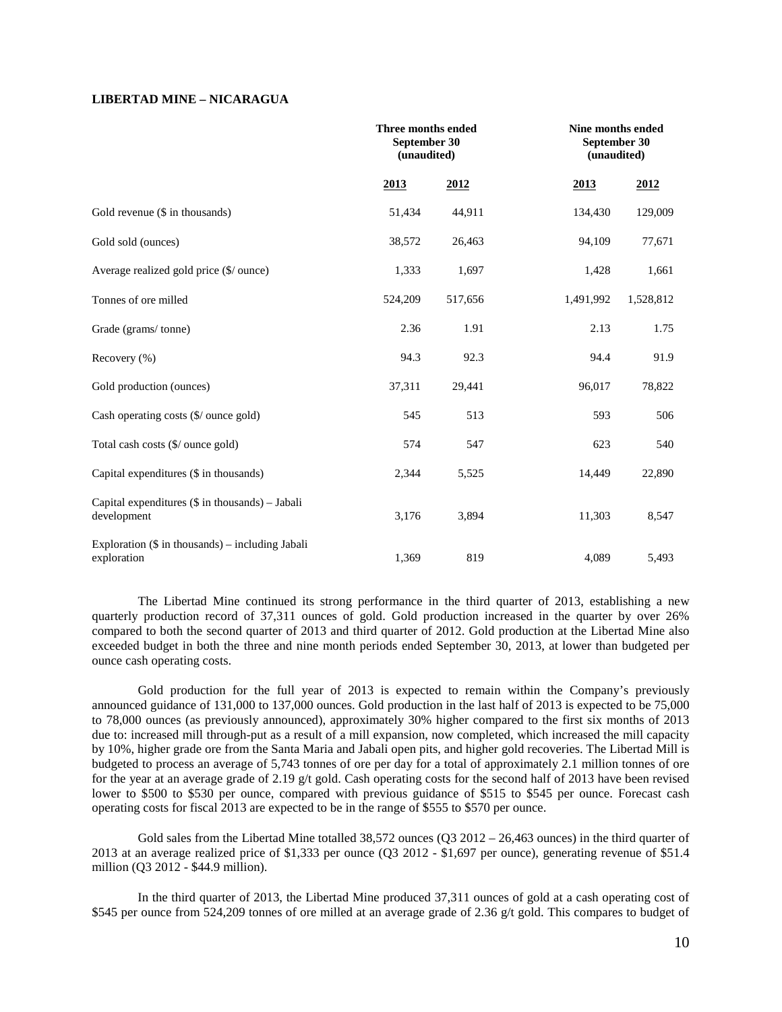## **LIBERTAD MINE – NICARAGUA**

|                                                                   | Three months ended<br>September 30<br>(unaudited) |         | Nine months ended<br>September 30<br>(unaudited) |           |
|-------------------------------------------------------------------|---------------------------------------------------|---------|--------------------------------------------------|-----------|
|                                                                   | 2013                                              | 2012    | 2013                                             | 2012      |
| Gold revenue (\$ in thousands)                                    | 51,434                                            | 44,911  | 134,430                                          | 129,009   |
| Gold sold (ounces)                                                | 38,572                                            | 26,463  | 94,109                                           | 77,671    |
| Average realized gold price (\$/ ounce)                           | 1,333                                             | 1,697   | 1,428                                            | 1,661     |
| Tonnes of ore milled                                              | 524,209                                           | 517,656 | 1,491,992                                        | 1,528,812 |
| Grade (grams/tonne)                                               | 2.36                                              | 1.91    | 2.13                                             | 1.75      |
| Recovery (%)                                                      | 94.3                                              | 92.3    | 94.4                                             | 91.9      |
| Gold production (ounces)                                          | 37,311                                            | 29,441  | 96,017                                           | 78,822    |
| Cash operating costs (\$/ ounce gold)                             | 545                                               | 513     | 593                                              | 506       |
| Total cash costs (\$/ ounce gold)                                 | 574                                               | 547     | 623                                              | 540       |
| Capital expenditures (\$ in thousands)                            | 2,344                                             | 5,525   | 14,449                                           | 22,890    |
| Capital expenditures $(\$$ in thousands) – Jabali<br>development  | 3,176                                             | 3,894   | 11,303                                           | 8,547     |
| Exploration $(\$$ in thousands) – including Jabali<br>exploration | 1,369                                             | 819     | 4,089                                            | 5,493     |

The Libertad Mine continued its strong performance in the third quarter of 2013, establishing a new quarterly production record of 37,311 ounces of gold. Gold production increased in the quarter by over 26% compared to both the second quarter of 2013 and third quarter of 2012. Gold production at the Libertad Mine also exceeded budget in both the three and nine month periods ended September 30, 2013, at lower than budgeted per ounce cash operating costs.

Gold production for the full year of 2013 is expected to remain within the Company's previously announced guidance of 131,000 to 137,000 ounces. Gold production in the last half of 2013 is expected to be 75,000 to 78,000 ounces (as previously announced), approximately 30% higher compared to the first six months of 2013 due to: increased mill through-put as a result of a mill expansion, now completed, which increased the mill capacity by 10%, higher grade ore from the Santa Maria and Jabali open pits, and higher gold recoveries. The Libertad Mill is budgeted to process an average of 5,743 tonnes of ore per day for a total of approximately 2.1 million tonnes of ore for the year at an average grade of 2.19 g/t gold. Cash operating costs for the second half of 2013 have been revised lower to \$500 to \$530 per ounce, compared with previous guidance of \$515 to \$545 per ounce. Forecast cash operating costs for fiscal 2013 are expected to be in the range of \$555 to \$570 per ounce.

Gold sales from the Libertad Mine totalled 38,572 ounces  $(Q3 2012 - 26,463$  ounces) in the third quarter of 2013 at an average realized price of \$1,333 per ounce (Q3 2012 - \$1,697 per ounce), generating revenue of \$51.4 million (Q3 2012 - \$44.9 million).

In the third quarter of 2013, the Libertad Mine produced 37,311 ounces of gold at a cash operating cost of \$545 per ounce from 524,209 tonnes of ore milled at an average grade of 2.36 g/t gold. This compares to budget of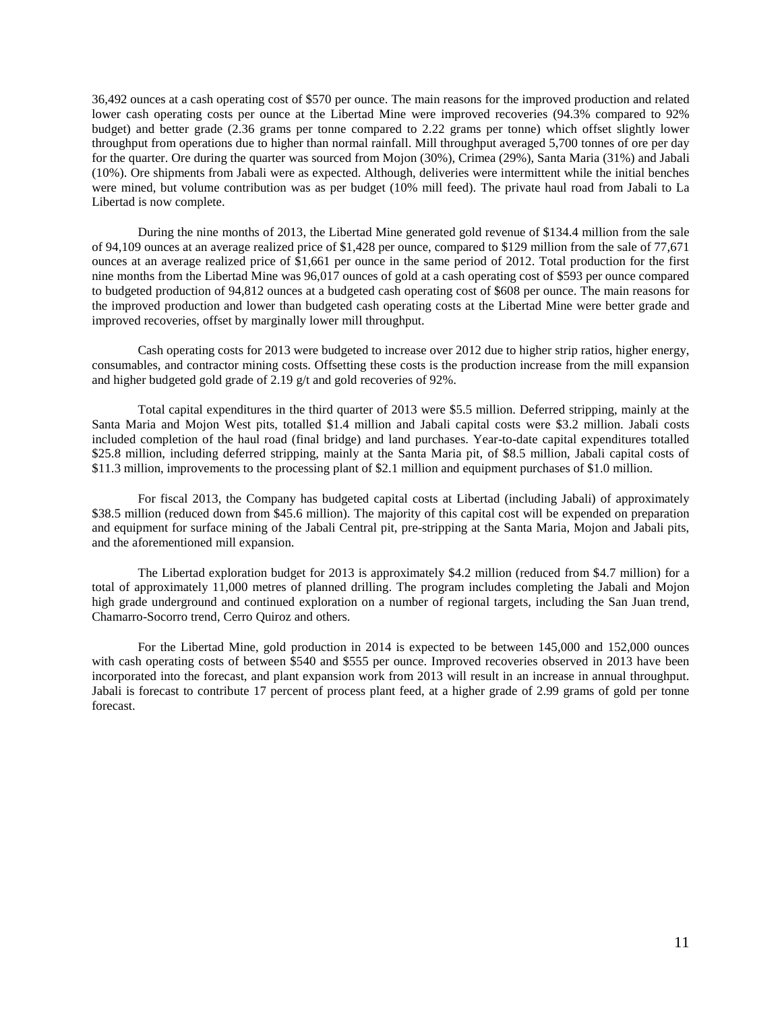36,492 ounces at a cash operating cost of \$570 per ounce. The main reasons for the improved production and related lower cash operating costs per ounce at the Libertad Mine were improved recoveries (94.3% compared to 92% budget) and better grade (2.36 grams per tonne compared to 2.22 grams per tonne) which offset slightly lower throughput from operations due to higher than normal rainfall. Mill throughput averaged 5,700 tonnes of ore per day for the quarter. Ore during the quarter was sourced from Mojon (30%), Crimea (29%), Santa Maria (31%) and Jabali (10%). Ore shipments from Jabali were as expected. Although, deliveries were intermittent while the initial benches were mined, but volume contribution was as per budget (10% mill feed). The private haul road from Jabali to La Libertad is now complete.

During the nine months of 2013, the Libertad Mine generated gold revenue of \$134.4 million from the sale of 94,109 ounces at an average realized price of \$1,428 per ounce, compared to \$129 million from the sale of 77,671 ounces at an average realized price of \$1,661 per ounce in the same period of 2012. Total production for the first nine months from the Libertad Mine was 96,017 ounces of gold at a cash operating cost of \$593 per ounce compared to budgeted production of 94,812 ounces at a budgeted cash operating cost of \$608 per ounce. The main reasons for the improved production and lower than budgeted cash operating costs at the Libertad Mine were better grade and improved recoveries, offset by marginally lower mill throughput.

Cash operating costs for 2013 were budgeted to increase over 2012 due to higher strip ratios, higher energy, consumables, and contractor mining costs. Offsetting these costs is the production increase from the mill expansion and higher budgeted gold grade of 2.19 g/t and gold recoveries of 92%.

Total capital expenditures in the third quarter of 2013 were \$5.5 million. Deferred stripping, mainly at the Santa Maria and Mojon West pits, totalled \$1.4 million and Jabali capital costs were \$3.2 million. Jabali costs included completion of the haul road (final bridge) and land purchases. Year-to-date capital expenditures totalled \$25.8 million, including deferred stripping, mainly at the Santa Maria pit, of \$8.5 million, Jabali capital costs of \$11.3 million, improvements to the processing plant of \$2.1 million and equipment purchases of \$1.0 million.

For fiscal 2013, the Company has budgeted capital costs at Libertad (including Jabali) of approximately \$38.5 million (reduced down from \$45.6 million). The majority of this capital cost will be expended on preparation and equipment for surface mining of the Jabali Central pit, pre-stripping at the Santa Maria, Mojon and Jabali pits, and the aforementioned mill expansion.

The Libertad exploration budget for 2013 is approximately \$4.2 million (reduced from \$4.7 million) for a total of approximately 11,000 metres of planned drilling. The program includes completing the Jabali and Mojon high grade underground and continued exploration on a number of regional targets, including the San Juan trend, Chamarro-Socorro trend, Cerro Quiroz and others.

For the Libertad Mine, gold production in 2014 is expected to be between 145,000 and 152,000 ounces with cash operating costs of between \$540 and \$555 per ounce. Improved recoveries observed in 2013 have been incorporated into the forecast, and plant expansion work from 2013 will result in an increase in annual throughput. Jabali is forecast to contribute 17 percent of process plant feed, at a higher grade of 2.99 grams of gold per tonne forecast.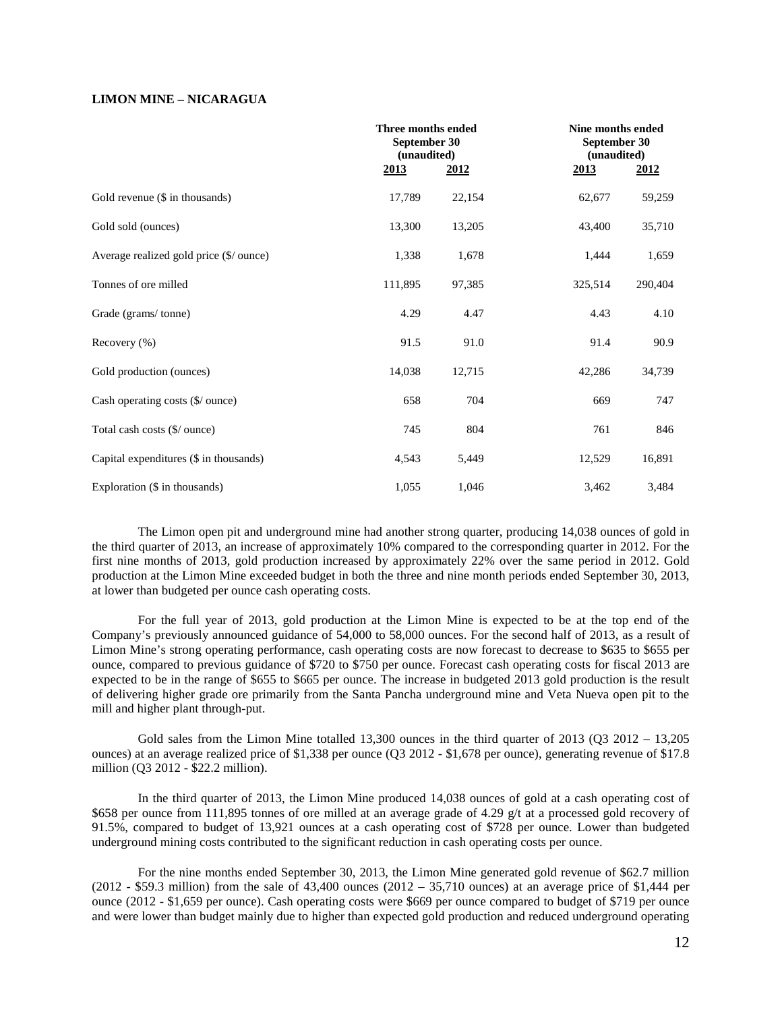## **LIMON MINE – NICARAGUA**

|                                                  |             | Three months ended<br>September 30<br>(unaudited) |             | Nine months ended<br>September 30<br>(unaudited) |
|--------------------------------------------------|-------------|---------------------------------------------------|-------------|--------------------------------------------------|
|                                                  | <u>2013</u> | 2012                                              | <u>2013</u> | 2012                                             |
| Gold revenue (\$ in thousands)                   | 17,789      | 22,154                                            | 62,677      | 59,259                                           |
| Gold sold (ounces)                               | 13,300      | 13,205                                            | 43,400      | 35,710                                           |
| Average realized gold price (\$/ ounce)          | 1,338       | 1,678                                             | 1,444       | 1,659                                            |
| Tonnes of ore milled                             | 111,895     | 97,385                                            | 325,514     | 290,404                                          |
| Grade (grams/tonne)                              | 4.29        | 4.47                                              | 4.43        | 4.10                                             |
| Recovery $(\% )$                                 | 91.5        | 91.0                                              | 91.4        | 90.9                                             |
| Gold production (ounces)                         | 14,038      | 12,715                                            | 42,286      | 34,739                                           |
| Cash operating costs $(\frac{6}{\omega})$ ounce) | 658         | 704                                               | 669         | 747                                              |
| Total cash costs (\$/ ounce)                     | 745         | 804                                               | 761         | 846                                              |
| Capital expenditures (\$ in thousands)           | 4,543       | 5,449                                             | 12,529      | 16,891                                           |
| Exploration (\$ in thousands)                    | 1,055       | 1,046                                             | 3,462       | 3,484                                            |

The Limon open pit and underground mine had another strong quarter, producing 14,038 ounces of gold in the third quarter of 2013, an increase of approximately 10% compared to the corresponding quarter in 2012. For the first nine months of 2013, gold production increased by approximately 22% over the same period in 2012. Gold production at the Limon Mine exceeded budget in both the three and nine month periods ended September 30, 2013, at lower than budgeted per ounce cash operating costs.

For the full year of 2013, gold production at the Limon Mine is expected to be at the top end of the Company's previously announced guidance of 54,000 to 58,000 ounces. For the second half of 2013, as a result of Limon Mine's strong operating performance, cash operating costs are now forecast to decrease to \$635 to \$655 per ounce, compared to previous guidance of \$720 to \$750 per ounce. Forecast cash operating costs for fiscal 2013 are expected to be in the range of \$655 to \$665 per ounce. The increase in budgeted 2013 gold production is the result of delivering higher grade ore primarily from the Santa Pancha underground mine and Veta Nueva open pit to the mill and higher plant through-put.

Gold sales from the Limon Mine totalled  $13,300$  ounces in the third quarter of  $2013$  (Q3  $2012 - 13,205$ ) ounces) at an average realized price of \$1,338 per ounce (Q3 2012 - \$1,678 per ounce), generating revenue of \$17.8 million (Q3 2012 - \$22.2 million).

In the third quarter of 2013, the Limon Mine produced 14,038 ounces of gold at a cash operating cost of \$658 per ounce from 111,895 tonnes of ore milled at an average grade of 4.29 g/t at a processed gold recovery of 91.5%, compared to budget of 13,921 ounces at a cash operating cost of \$728 per ounce. Lower than budgeted underground mining costs contributed to the significant reduction in cash operating costs per ounce.

For the nine months ended September 30, 2013, the Limon Mine generated gold revenue of \$62.7 million  $(2012 - $59.3$  million) from the sale of 43,400 ounces  $(2012 - 35,710$  ounces) at an average price of \$1,444 per ounce (2012 - \$1,659 per ounce). Cash operating costs were \$669 per ounce compared to budget of \$719 per ounce and were lower than budget mainly due to higher than expected gold production and reduced underground operating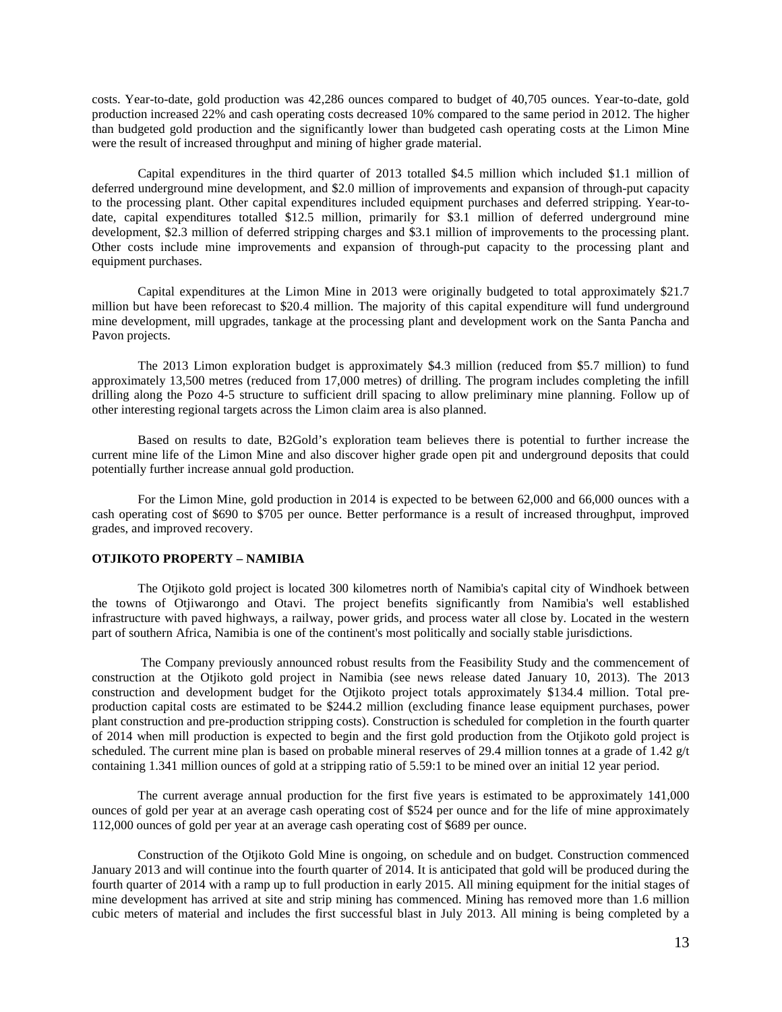costs. Year-to-date, gold production was 42,286 ounces compared to budget of 40,705 ounces. Year-to-date, gold production increased 22% and cash operating costs decreased 10% compared to the same period in 2012. The higher than budgeted gold production and the significantly lower than budgeted cash operating costs at the Limon Mine were the result of increased throughput and mining of higher grade material.

Capital expenditures in the third quarter of 2013 totalled \$4.5 million which included \$1.1 million of deferred underground mine development, and \$2.0 million of improvements and expansion of through-put capacity to the processing plant. Other capital expenditures included equipment purchases and deferred stripping. Year-todate, capital expenditures totalled \$12.5 million, primarily for \$3.1 million of deferred underground mine development, \$2.3 million of deferred stripping charges and \$3.1 million of improvements to the processing plant. Other costs include mine improvements and expansion of through-put capacity to the processing plant and equipment purchases.

Capital expenditures at the Limon Mine in 2013 were originally budgeted to total approximately \$21.7 million but have been reforecast to \$20.4 million. The majority of this capital expenditure will fund underground mine development, mill upgrades, tankage at the processing plant and development work on the Santa Pancha and Pavon projects.

The 2013 Limon exploration budget is approximately \$4.3 million (reduced from \$5.7 million) to fund approximately 13,500 metres (reduced from 17,000 metres) of drilling. The program includes completing the infill drilling along the Pozo 4-5 structure to sufficient drill spacing to allow preliminary mine planning. Follow up of other interesting regional targets across the Limon claim area is also planned.

Based on results to date, B2Gold's exploration team believes there is potential to further increase the current mine life of the Limon Mine and also discover higher grade open pit and underground deposits that could potentially further increase annual gold production.

For the Limon Mine, gold production in 2014 is expected to be between 62,000 and 66,000 ounces with a cash operating cost of \$690 to \$705 per ounce. Better performance is a result of increased throughput, improved grades, and improved recovery.

## **OTJIKOTO PROPERTY – NAMIBIA**

The Otjikoto gold project is located 300 kilometres north of Namibia's capital city of Windhoek between the towns of Otjiwarongo and Otavi. The project benefits significantly from Namibia's well established infrastructure with paved highways, a railway, power grids, and process water all close by. Located in the western part of southern Africa, Namibia is one of the continent's most politically and socially stable jurisdictions.

The Company previously announced robust results from the Feasibility Study and the commencement of construction at the Otjikoto gold project in Namibia (see news release dated January 10, 2013). The 2013 construction and development budget for the Otjikoto project totals approximately \$134.4 million. Total preproduction capital costs are estimated to be \$244.2 million (excluding finance lease equipment purchases, power plant construction and pre-production stripping costs). Construction is scheduled for completion in the fourth quarter of 2014 when mill production is expected to begin and the first gold production from the Otjikoto gold project is scheduled. The current mine plan is based on probable mineral reserves of 29.4 million tonnes at a grade of 1.42 g/t containing 1.341 million ounces of gold at a stripping ratio of 5.59:1 to be mined over an initial 12 year period.

The current average annual production for the first five years is estimated to be approximately 141,000 ounces of gold per year at an average cash operating cost of \$524 per ounce and for the life of mine approximately 112,000 ounces of gold per year at an average cash operating cost of \$689 per ounce.

Construction of the Otjikoto Gold Mine is ongoing, on schedule and on budget. Construction commenced January 2013 and will continue into the fourth quarter of 2014. It is anticipated that gold will be produced during the fourth quarter of 2014 with a ramp up to full production in early 2015. All mining equipment for the initial stages of mine development has arrived at site and strip mining has commenced. Mining has removed more than 1.6 million cubic meters of material and includes the first successful blast in July 2013. All mining is being completed by a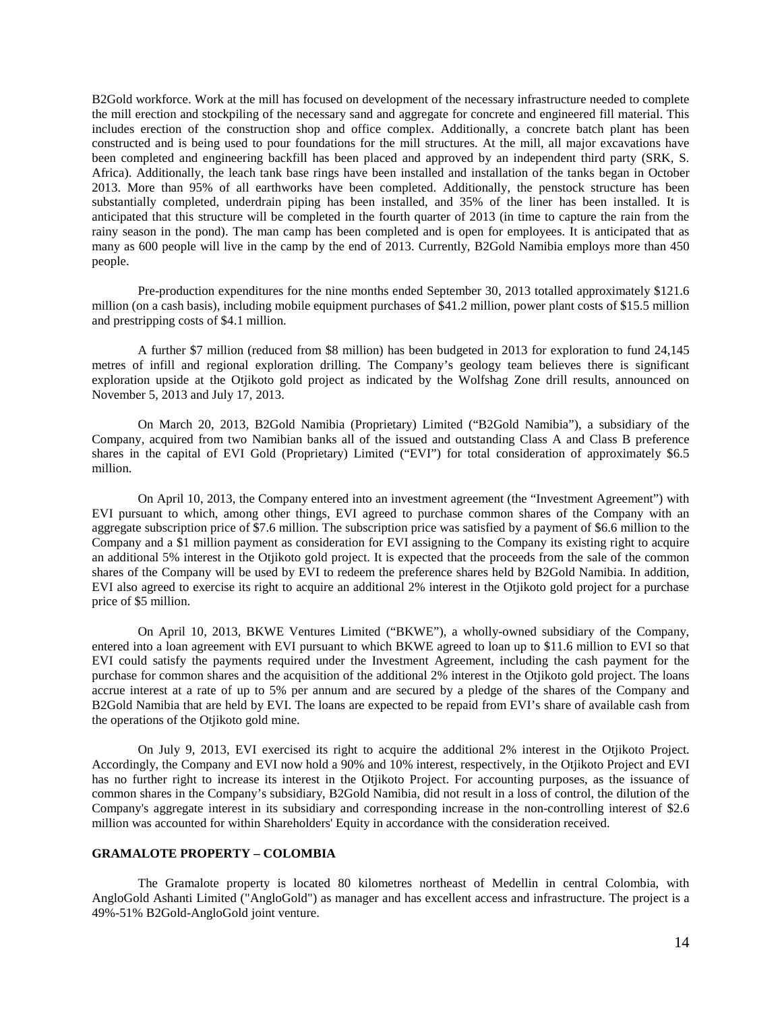B2Gold workforce. Work at the mill has focused on development of the necessary infrastructure needed to complete the mill erection and stockpiling of the necessary sand and aggregate for concrete and engineered fill material. This includes erection of the construction shop and office complex. Additionally, a concrete batch plant has been constructed and is being used to pour foundations for the mill structures. At the mill, all major excavations have been completed and engineering backfill has been placed and approved by an independent third party (SRK, S. Africa). Additionally, the leach tank base rings have been installed and installation of the tanks began in October 2013. More than 95% of all earthworks have been completed. Additionally, the penstock structure has been substantially completed, underdrain piping has been installed, and 35% of the liner has been installed. It is anticipated that this structure will be completed in the fourth quarter of 2013 (in time to capture the rain from the rainy season in the pond). The man camp has been completed and is open for employees. It is anticipated that as many as 600 people will live in the camp by the end of 2013. Currently, B2Gold Namibia employs more than 450 people.

Pre-production expenditures for the nine months ended September 30, 2013 totalled approximately \$121.6 million (on a cash basis), including mobile equipment purchases of \$41.2 million, power plant costs of \$15.5 million and prestripping costs of \$4.1 million.

A further \$7 million (reduced from \$8 million) has been budgeted in 2013 for exploration to fund 24,145 metres of infill and regional exploration drilling. The Company's geology team believes there is significant exploration upside at the Otjikoto gold project as indicated by the Wolfshag Zone drill results, announced on November 5, 2013 and July 17, 2013.

On March 20, 2013, B2Gold Namibia (Proprietary) Limited ("B2Gold Namibia"), a subsidiary of the Company, acquired from two Namibian banks all of the issued and outstanding Class A and Class B preference shares in the capital of EVI Gold (Proprietary) Limited ("EVI") for total consideration of approximately \$6.5 million.

On April 10, 2013, the Company entered into an investment agreement (the "Investment Agreement") with EVI pursuant to which, among other things, EVI agreed to purchase common shares of the Company with an aggregate subscription price of \$7.6 million. The subscription price was satisfied by a payment of \$6.6 million to the Company and a \$1 million payment as consideration for EVI assigning to the Company its existing right to acquire an additional 5% interest in the Otjikoto gold project. It is expected that the proceeds from the sale of the common shares of the Company will be used by EVI to redeem the preference shares held by B2Gold Namibia. In addition, EVI also agreed to exercise its right to acquire an additional 2% interest in the Otjikoto gold project for a purchase price of \$5 million.

On April 10, 2013, BKWE Ventures Limited ("BKWE"), a wholly-owned subsidiary of the Company, entered into a loan agreement with EVI pursuant to which BKWE agreed to loan up to \$11.6 million to EVI so that EVI could satisfy the payments required under the Investment Agreement, including the cash payment for the purchase for common shares and the acquisition of the additional 2% interest in the Otjikoto gold project. The loans accrue interest at a rate of up to 5% per annum and are secured by a pledge of the shares of the Company and B2Gold Namibia that are held by EVI. The loans are expected to be repaid from EVI's share of available cash from the operations of the Otjikoto gold mine.

On July 9, 2013, EVI exercised its right to acquire the additional 2% interest in the Otjikoto Project. Accordingly, the Company and EVI now hold a 90% and 10% interest, respectively, in the Otjikoto Project and EVI has no further right to increase its interest in the Otjikoto Project. For accounting purposes, as the issuance of common shares in the Company's subsidiary, B2Gold Namibia, did not result in a loss of control, the dilution of the Company's aggregate interest in its subsidiary and corresponding increase in the non-controlling interest of \$2.6 million was accounted for within Shareholders' Equity in accordance with the consideration received.

## **GRAMALOTE PROPERTY – COLOMBIA**

The Gramalote property is located 80 kilometres northeast of Medellin in central Colombia, with AngloGold Ashanti Limited ("AngloGold") as manager and has excellent access and infrastructure. The project is a 49%-51% B2Gold-AngloGold joint venture.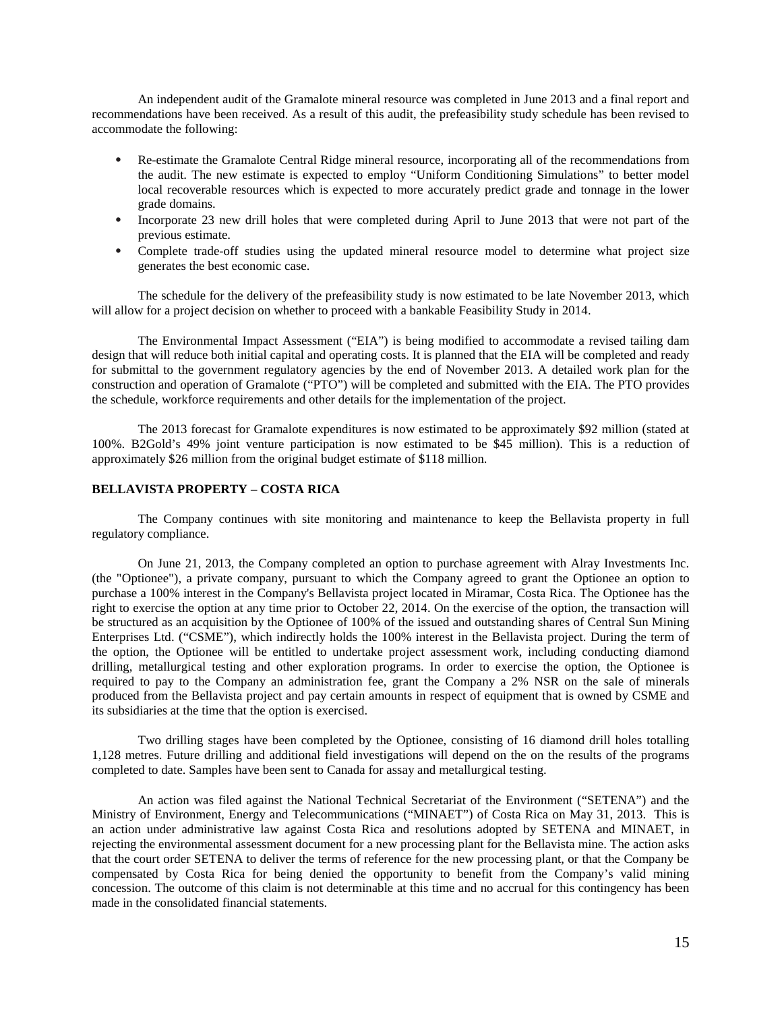An independent audit of the Gramalote mineral resource was completed in June 2013 and a final report and recommendations have been received. As a result of this audit, the prefeasibility study schedule has been revised to accommodate the following:

- Re-estimate the Gramalote Central Ridge mineral resource, incorporating all of the recommendations from the audit. The new estimate is expected to employ "Uniform Conditioning Simulations" to better model local recoverable resources which is expected to more accurately predict grade and tonnage in the lower grade domains.
- Incorporate 23 new drill holes that were completed during April to June 2013 that were not part of the previous estimate.
- Complete trade-off studies using the updated mineral resource model to determine what project size generates the best economic case.

The schedule for the delivery of the prefeasibility study is now estimated to be late November 2013, which will allow for a project decision on whether to proceed with a bankable Feasibility Study in 2014.

The Environmental Impact Assessment ("EIA") is being modified to accommodate a revised tailing dam design that will reduce both initial capital and operating costs. It is planned that the EIA will be completed and ready for submittal to the government regulatory agencies by the end of November 2013. A detailed work plan for the construction and operation of Gramalote ("PTO") will be completed and submitted with the EIA. The PTO provides the schedule, workforce requirements and other details for the implementation of the project.

The 2013 forecast for Gramalote expenditures is now estimated to be approximately \$92 million (stated at 100%. B2Gold's 49% joint venture participation is now estimated to be \$45 million). This is a reduction of approximately \$26 million from the original budget estimate of \$118 million.

### **BELLAVISTA PROPERTY – COSTA RICA**

The Company continues with site monitoring and maintenance to keep the Bellavista property in full regulatory compliance.

On June 21, 2013, the Company completed an option to purchase agreement with Alray Investments Inc. (the "Optionee"), a private company, pursuant to which the Company agreed to grant the Optionee an option to purchase a 100% interest in the Company's Bellavista project located in Miramar, Costa Rica. The Optionee has the right to exercise the option at any time prior to October 22, 2014. On the exercise of the option, the transaction will be structured as an acquisition by the Optionee of 100% of the issued and outstanding shares of Central Sun Mining Enterprises Ltd. ("CSME"), which indirectly holds the 100% interest in the Bellavista project. During the term of the option, the Optionee will be entitled to undertake project assessment work, including conducting diamond drilling, metallurgical testing and other exploration programs. In order to exercise the option, the Optionee is required to pay to the Company an administration fee, grant the Company a 2% NSR on the sale of minerals produced from the Bellavista project and pay certain amounts in respect of equipment that is owned by CSME and its subsidiaries at the time that the option is exercised.

Two drilling stages have been completed by the Optionee, consisting of 16 diamond drill holes totalling 1,128 metres. Future drilling and additional field investigations will depend on the on the results of the programs completed to date. Samples have been sent to Canada for assay and metallurgical testing.

An action was filed against the National Technical Secretariat of the Environment ("SETENA") and the Ministry of Environment, Energy and Telecommunications ("MINAET") of Costa Rica on May 31, 2013. This is an action under administrative law against Costa Rica and resolutions adopted by SETENA and MINAET, in rejecting the environmental assessment document for a new processing plant for the Bellavista mine. The action asks that the court order SETENA to deliver the terms of reference for the new processing plant, or that the Company be compensated by Costa Rica for being denied the opportunity to benefit from the Company's valid mining concession. The outcome of this claim is not determinable at this time and no accrual for this contingency has been made in the consolidated financial statements.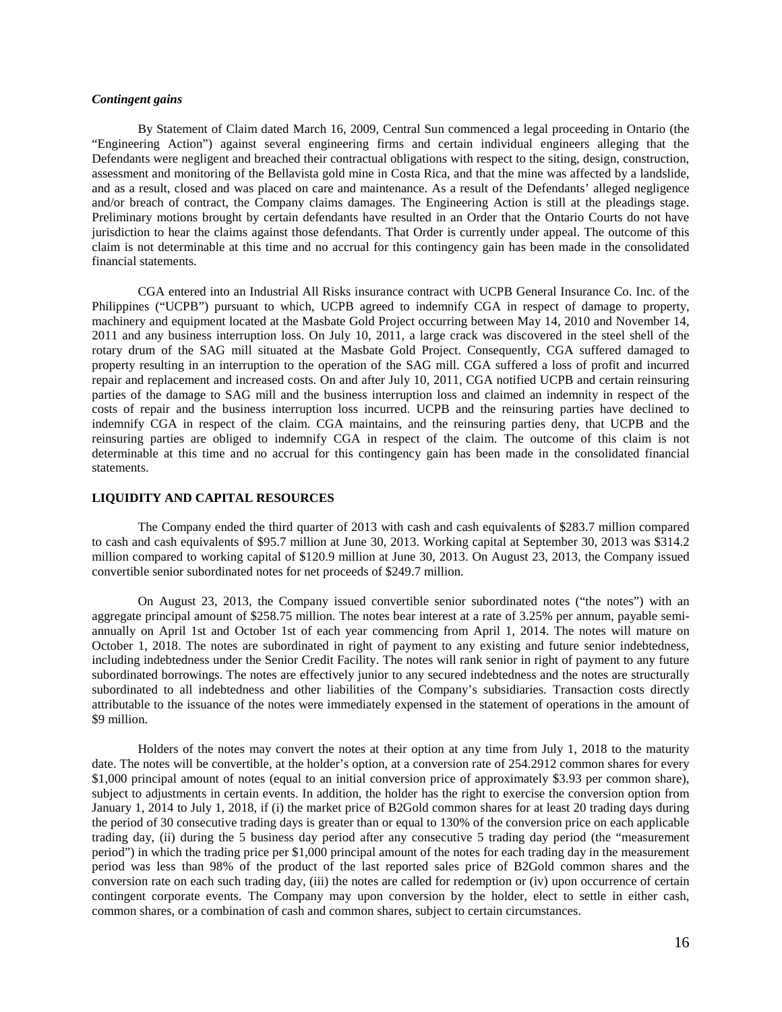### *Contingent gains*

By Statement of Claim dated March 16, 2009, Central Sun commenced a legal proceeding in Ontario (the "Engineering Action") against several engineering firms and certain individual engineers alleging that the Defendants were negligent and breached their contractual obligations with respect to the siting, design, construction, assessment and monitoring of the Bellavista gold mine in Costa Rica, and that the mine was affected by a landslide, and as a result, closed and was placed on care and maintenance. As a result of the Defendants' alleged negligence and/or breach of contract, the Company claims damages. The Engineering Action is still at the pleadings stage. Preliminary motions brought by certain defendants have resulted in an Order that the Ontario Courts do not have jurisdiction to hear the claims against those defendants. That Order is currently under appeal. The outcome of this claim is not determinable at this time and no accrual for this contingency gain has been made in the consolidated financial statements.

CGA entered into an Industrial All Risks insurance contract with UCPB General Insurance Co. Inc. of the Philippines ("UCPB") pursuant to which, UCPB agreed to indemnify CGA in respect of damage to property, machinery and equipment located at the Masbate Gold Project occurring between May 14, 2010 and November 14, 2011 and any business interruption loss. On July 10, 2011, a large crack was discovered in the steel shell of the rotary drum of the SAG mill situated at the Masbate Gold Project. Consequently, CGA suffered damaged to property resulting in an interruption to the operation of the SAG mill. CGA suffered a loss of profit and incurred repair and replacement and increased costs. On and after July 10, 2011, CGA notified UCPB and certain reinsuring parties of the damage to SAG mill and the business interruption loss and claimed an indemnity in respect of the costs of repair and the business interruption loss incurred. UCPB and the reinsuring parties have declined to indemnify CGA in respect of the claim. CGA maintains, and the reinsuring parties deny, that UCPB and the reinsuring parties are obliged to indemnify CGA in respect of the claim. The outcome of this claim is not determinable at this time and no accrual for this contingency gain has been made in the consolidated financial statements.

### **LIQUIDITY AND CAPITAL RESOURCES**

The Company ended the third quarter of 2013 with cash and cash equivalents of \$283.7 million compared to cash and cash equivalents of \$95.7 million at June 30, 2013. Working capital at September 30, 2013 was \$314.2 million compared to working capital of \$120.9 million at June 30, 2013. On August 23, 2013, the Company issued convertible senior subordinated notes for net proceeds of \$249.7 million.

On August 23, 2013, the Company issued convertible senior subordinated notes ("the notes") with an aggregate principal amount of \$258.75 million. The notes bear interest at a rate of 3.25% per annum, payable semiannually on April 1st and October 1st of each year commencing from April 1, 2014. The notes will mature on October 1, 2018. The notes are subordinated in right of payment to any existing and future senior indebtedness, including indebtedness under the Senior Credit Facility. The notes will rank senior in right of payment to any future subordinated borrowings. The notes are effectively junior to any secured indebtedness and the notes are structurally subordinated to all indebtedness and other liabilities of the Company's subsidiaries. Transaction costs directly attributable to the issuance of the notes were immediately expensed in the statement of operations in the amount of \$9 million.

Holders of the notes may convert the notes at their option at any time from July 1, 2018 to the maturity date. The notes will be convertible, at the holder's option, at a conversion rate of 254.2912 common shares for every \$1,000 principal amount of notes (equal to an initial conversion price of approximately \$3.93 per common share), subject to adjustments in certain events. In addition, the holder has the right to exercise the conversion option from January 1, 2014 to July 1, 2018, if (i) the market price of B2Gold common shares for at least 20 trading days during the period of 30 consecutive trading days is greater than or equal to 130% of the conversion price on each applicable trading day, (ii) during the 5 business day period after any consecutive 5 trading day period (the "measurement period") in which the trading price per \$1,000 principal amount of the notes for each trading day in the measurement period was less than 98% of the product of the last reported sales price of B2Gold common shares and the conversion rate on each such trading day, (iii) the notes are called for redemption or (iv) upon occurrence of certain contingent corporate events. The Company may upon conversion by the holder, elect to settle in either cash, common shares, or a combination of cash and common shares, subject to certain circumstances.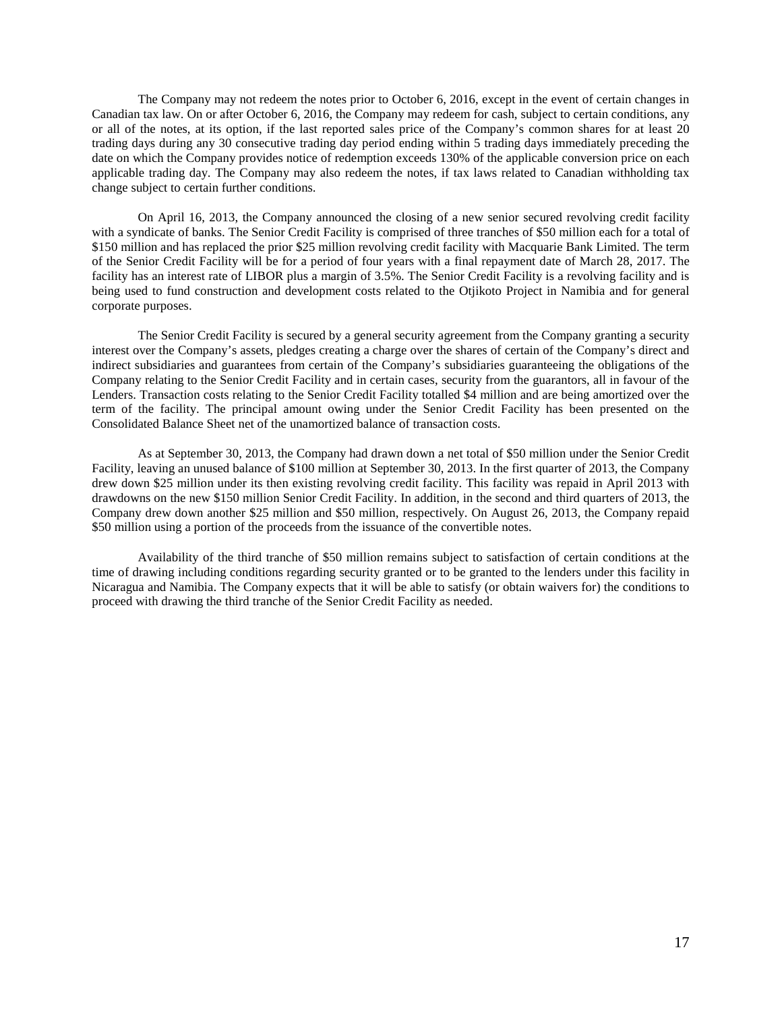The Company may not redeem the notes prior to October 6, 2016, except in the event of certain changes in Canadian tax law. On or after October 6, 2016, the Company may redeem for cash, subject to certain conditions, any or all of the notes, at its option, if the last reported sales price of the Company's common shares for at least 20 trading days during any 30 consecutive trading day period ending within 5 trading days immediately preceding the date on which the Company provides notice of redemption exceeds 130% of the applicable conversion price on each applicable trading day. The Company may also redeem the notes, if tax laws related to Canadian withholding tax change subject to certain further conditions.

On April 16, 2013, the Company announced the closing of a new senior secured revolving credit facility with a syndicate of banks. The Senior Credit Facility is comprised of three tranches of \$50 million each for a total of \$150 million and has replaced the prior \$25 million revolving credit facility with Macquarie Bank Limited. The term of the Senior Credit Facility will be for a period of four years with a final repayment date of March 28, 2017. The facility has an interest rate of LIBOR plus a margin of 3.5%. The Senior Credit Facility is a revolving facility and is being used to fund construction and development costs related to the Otjikoto Project in Namibia and for general corporate purposes.

The Senior Credit Facility is secured by a general security agreement from the Company granting a security interest over the Company's assets, pledges creating a charge over the shares of certain of the Company's direct and indirect subsidiaries and guarantees from certain of the Company's subsidiaries guaranteeing the obligations of the Company relating to the Senior Credit Facility and in certain cases, security from the guarantors, all in favour of the Lenders. Transaction costs relating to the Senior Credit Facility totalled \$4 million and are being amortized over the term of the facility. The principal amount owing under the Senior Credit Facility has been presented on the Consolidated Balance Sheet net of the unamortized balance of transaction costs.

As at September 30, 2013, the Company had drawn down a net total of \$50 million under the Senior Credit Facility, leaving an unused balance of \$100 million at September 30, 2013. In the first quarter of 2013, the Company drew down \$25 million under its then existing revolving credit facility. This facility was repaid in April 2013 with drawdowns on the new \$150 million Senior Credit Facility. In addition, in the second and third quarters of 2013, the Company drew down another \$25 million and \$50 million, respectively. On August 26, 2013, the Company repaid \$50 million using a portion of the proceeds from the issuance of the convertible notes.

Availability of the third tranche of \$50 million remains subject to satisfaction of certain conditions at the time of drawing including conditions regarding security granted or to be granted to the lenders under this facility in Nicaragua and Namibia. The Company expects that it will be able to satisfy (or obtain waivers for) the conditions to proceed with drawing the third tranche of the Senior Credit Facility as needed.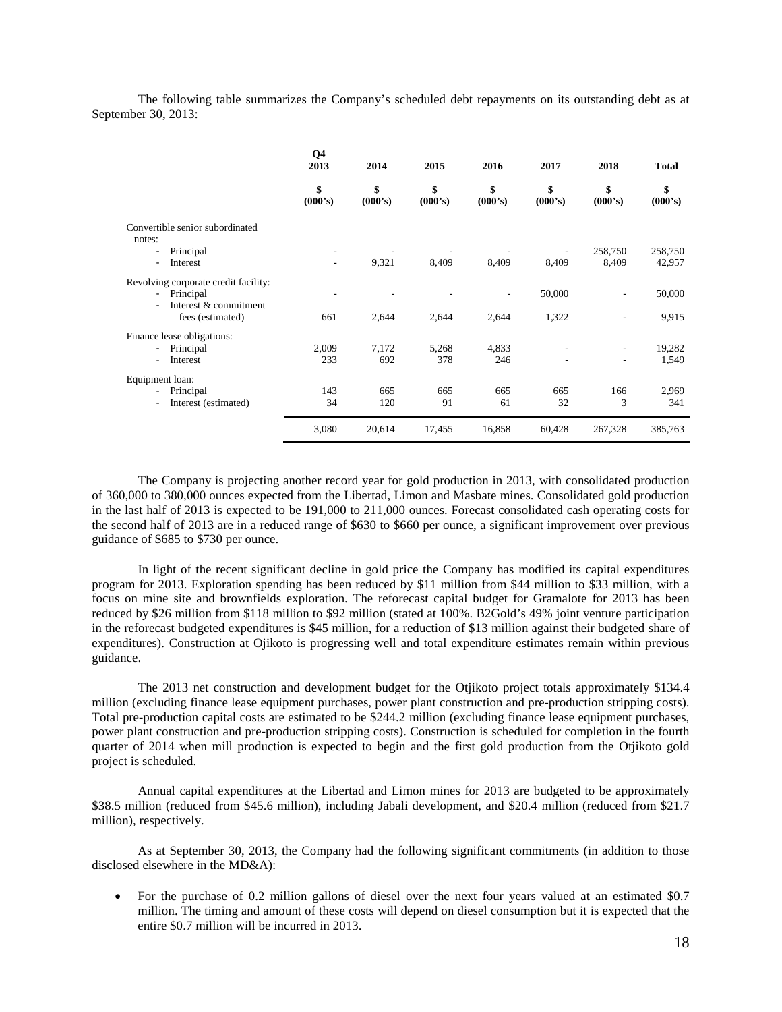The following table summarizes the Company's scheduled debt repayments on its outstanding debt as at September 30, 2013:

|                                           | Q4<br>2013               | 2014          | 2015          | 2016          | 2017          | 2018                     | <b>Total</b>  |
|-------------------------------------------|--------------------------|---------------|---------------|---------------|---------------|--------------------------|---------------|
|                                           | \$<br>(000's)            | \$<br>(000's) | \$<br>(000's) | \$<br>(000's) | \$<br>(000's) | \$<br>(000's)            | \$<br>(000's) |
| Convertible senior subordinated<br>notes: |                          |               |               |               |               |                          |               |
| Principal                                 |                          |               |               |               |               | 258,750                  | 258,750       |
| Interest                                  | $\overline{\phantom{a}}$ | 9,321         | 8,409         | 8,409         | 8,409         | 8,409                    | 42,957        |
| Revolving corporate credit facility:      |                          |               |               |               |               |                          |               |
| Principal                                 |                          |               |               |               | 50,000        | $\overline{\phantom{a}}$ | 50,000        |
| Interest & commitment                     |                          |               |               |               |               |                          |               |
| fees (estimated)                          | 661                      | 2,644         | 2,644         | 2,644         | 1,322         | $\overline{\phantom{a}}$ | 9,915         |
| Finance lease obligations:                |                          |               |               |               |               |                          |               |
| Principal<br>$\overline{\phantom{a}}$     | 2,009                    | 7.172         | 5,268         | 4,833         |               | $\overline{\phantom{a}}$ | 19,282        |
| Interest                                  | 233                      | 692           | 378           | 246           |               | ٠                        | 1,549         |
| Equipment loan:                           |                          |               |               |               |               |                          |               |
| Principal                                 | 143                      | 665           | 665           | 665           | 665           | 166                      | 2,969         |
| Interest (estimated)<br>$\blacksquare$    | 34                       | 120           | 91            | 61            | 32            | 3                        | 341           |
|                                           | 3,080                    | 20,614        | 17,455        | 16,858        | 60,428        | 267,328                  | 385,763       |

The Company is projecting another record year for gold production in 2013, with consolidated production of 360,000 to 380,000 ounces expected from the Libertad, Limon and Masbate mines. Consolidated gold production in the last half of 2013 is expected to be 191,000 to 211,000 ounces. Forecast consolidated cash operating costs for the second half of 2013 are in a reduced range of \$630 to \$660 per ounce, a significant improvement over previous guidance of \$685 to \$730 per ounce.

In light of the recent significant decline in gold price the Company has modified its capital expenditures program for 2013. Exploration spending has been reduced by \$11 million from \$44 million to \$33 million, with a focus on mine site and brownfields exploration. The reforecast capital budget for Gramalote for 2013 has been reduced by \$26 million from \$118 million to \$92 million (stated at 100%. B2Gold's 49% joint venture participation in the reforecast budgeted expenditures is \$45 million, for a reduction of \$13 million against their budgeted share of expenditures). Construction at Ojikoto is progressing well and total expenditure estimates remain within previous guidance.

The 2013 net construction and development budget for the Otjikoto project totals approximately \$134.4 million (excluding finance lease equipment purchases, power plant construction and pre-production stripping costs). Total pre-production capital costs are estimated to be \$244.2 million (excluding finance lease equipment purchases, power plant construction and pre-production stripping costs). Construction is scheduled for completion in the fourth quarter of 2014 when mill production is expected to begin and the first gold production from the Otjikoto gold project is scheduled.

Annual capital expenditures at the Libertad and Limon mines for 2013 are budgeted to be approximately \$38.5 million (reduced from \$45.6 million), including Jabali development, and \$20.4 million (reduced from \$21.7 million), respectively.

As at September 30, 2013, the Company had the following significant commitments (in addition to those disclosed elsewhere in the MD&A):

• For the purchase of 0.2 million gallons of diesel over the next four years valued at an estimated \$0.7 million. The timing and amount of these costs will depend on diesel consumption but it is expected that the entire \$0.7 million will be incurred in 2013.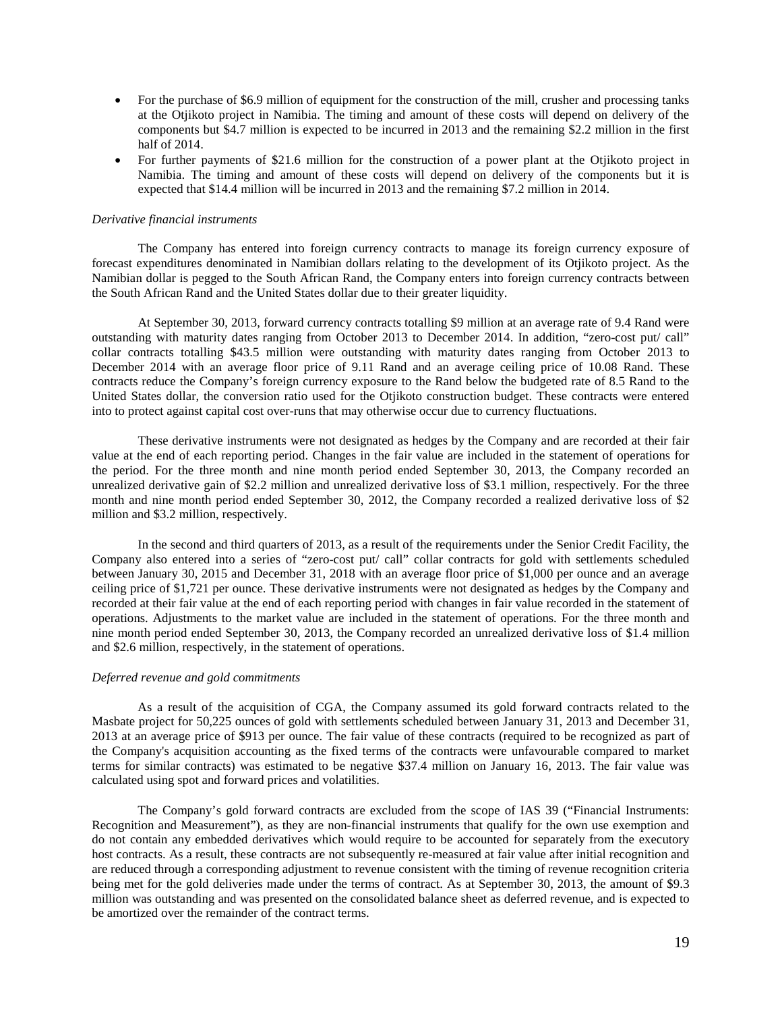- For the purchase of \$6.9 million of equipment for the construction of the mill, crusher and processing tanks at the Otjikoto project in Namibia. The timing and amount of these costs will depend on delivery of the components but \$4.7 million is expected to be incurred in 2013 and the remaining \$2.2 million in the first half of 2014.
- For further payments of \$21.6 million for the construction of a power plant at the Otjikoto project in Namibia. The timing and amount of these costs will depend on delivery of the components but it is expected that \$14.4 million will be incurred in 2013 and the remaining \$7.2 million in 2014.

#### *Derivative financial instruments*

The Company has entered into foreign currency contracts to manage its foreign currency exposure of forecast expenditures denominated in Namibian dollars relating to the development of its Otjikoto project. As the Namibian dollar is pegged to the South African Rand, the Company enters into foreign currency contracts between the South African Rand and the United States dollar due to their greater liquidity.

At September 30, 2013, forward currency contracts totalling \$9 million at an average rate of 9.4 Rand were outstanding with maturity dates ranging from October 2013 to December 2014. In addition, "zero-cost put/ call" collar contracts totalling \$43.5 million were outstanding with maturity dates ranging from October 2013 to December 2014 with an average floor price of 9.11 Rand and an average ceiling price of 10.08 Rand. These contracts reduce the Company's foreign currency exposure to the Rand below the budgeted rate of 8.5 Rand to the United States dollar, the conversion ratio used for the Otjikoto construction budget. These contracts were entered into to protect against capital cost over-runs that may otherwise occur due to currency fluctuations.

These derivative instruments were not designated as hedges by the Company and are recorded at their fair value at the end of each reporting period. Changes in the fair value are included in the statement of operations for the period. For the three month and nine month period ended September 30, 2013, the Company recorded an unrealized derivative gain of \$2.2 million and unrealized derivative loss of \$3.1 million, respectively. For the three month and nine month period ended September 30, 2012, the Company recorded a realized derivative loss of \$2 million and \$3.2 million, respectively.

In the second and third quarters of 2013, as a result of the requirements under the Senior Credit Facility, the Company also entered into a series of "zero-cost put/ call" collar contracts for gold with settlements scheduled between January 30, 2015 and December 31, 2018 with an average floor price of \$1,000 per ounce and an average ceiling price of \$1,721 per ounce. These derivative instruments were not designated as hedges by the Company and recorded at their fair value at the end of each reporting period with changes in fair value recorded in the statement of operations. Adjustments to the market value are included in the statement of operations. For the three month and nine month period ended September 30, 2013, the Company recorded an unrealized derivative loss of \$1.4 million and \$2.6 million, respectively, in the statement of operations.

#### *Deferred revenue and gold commitments*

As a result of the acquisition of CGA, the Company assumed its gold forward contracts related to the Masbate project for 50,225 ounces of gold with settlements scheduled between January 31, 2013 and December 31, 2013 at an average price of \$913 per ounce. The fair value of these contracts (required to be recognized as part of the Company's acquisition accounting as the fixed terms of the contracts were unfavourable compared to market terms for similar contracts) was estimated to be negative \$37.4 million on January 16, 2013. The fair value was calculated using spot and forward prices and volatilities.

The Company's gold forward contracts are excluded from the scope of IAS 39 ("Financial Instruments: Recognition and Measurement"), as they are non-financial instruments that qualify for the own use exemption and do not contain any embedded derivatives which would require to be accounted for separately from the executory host contracts. As a result, these contracts are not subsequently re-measured at fair value after initial recognition and are reduced through a corresponding adjustment to revenue consistent with the timing of revenue recognition criteria being met for the gold deliveries made under the terms of contract. As at September 30, 2013, the amount of \$9.3 million was outstanding and was presented on the consolidated balance sheet as deferred revenue, and is expected to be amortized over the remainder of the contract terms.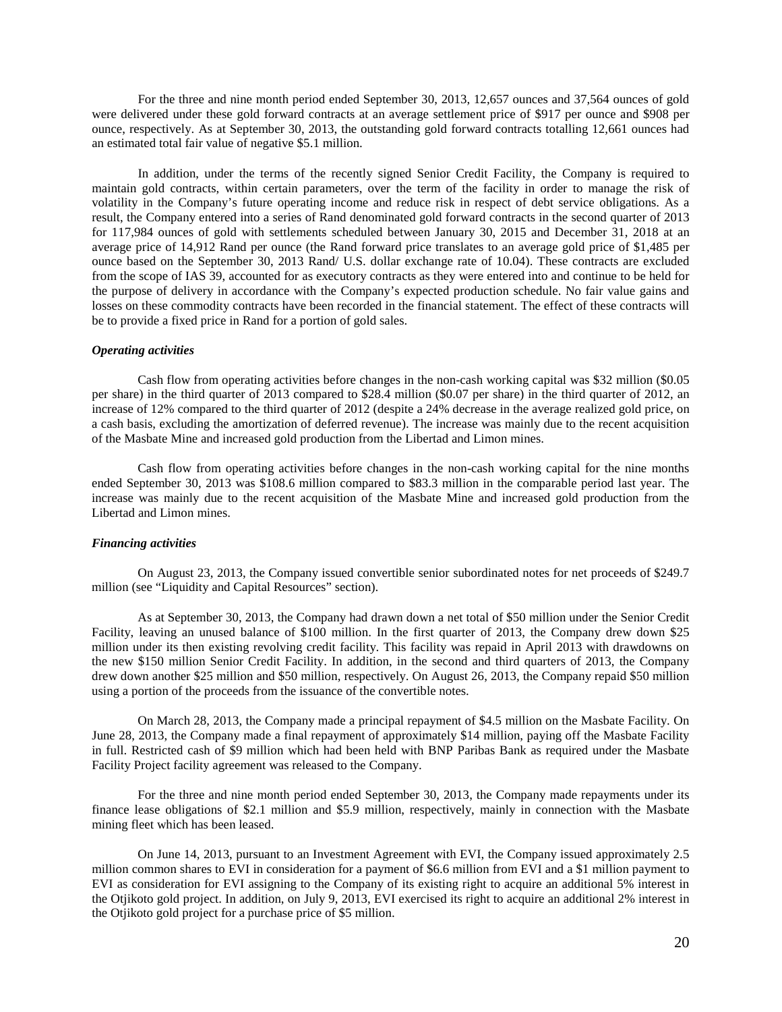For the three and nine month period ended September 30, 2013, 12,657 ounces and 37,564 ounces of gold were delivered under these gold forward contracts at an average settlement price of \$917 per ounce and \$908 per ounce, respectively. As at September 30, 2013, the outstanding gold forward contracts totalling 12,661 ounces had an estimated total fair value of negative \$5.1 million.

In addition, under the terms of the recently signed Senior Credit Facility, the Company is required to maintain gold contracts, within certain parameters, over the term of the facility in order to manage the risk of volatility in the Company's future operating income and reduce risk in respect of debt service obligations. As a result, the Company entered into a series of Rand denominated gold forward contracts in the second quarter of 2013 for 117,984 ounces of gold with settlements scheduled between January 30, 2015 and December 31, 2018 at an average price of 14,912 Rand per ounce (the Rand forward price translates to an average gold price of \$1,485 per ounce based on the September 30, 2013 Rand/ U.S. dollar exchange rate of 10.04). These contracts are excluded from the scope of IAS 39, accounted for as executory contracts as they were entered into and continue to be held for the purpose of delivery in accordance with the Company's expected production schedule. No fair value gains and losses on these commodity contracts have been recorded in the financial statement. The effect of these contracts will be to provide a fixed price in Rand for a portion of gold sales.

### *Operating activities*

Cash flow from operating activities before changes in the non-cash working capital was \$32 million (\$0.05 per share) in the third quarter of 2013 compared to \$28.4 million (\$0.07 per share) in the third quarter of 2012, an increase of 12% compared to the third quarter of 2012 (despite a 24% decrease in the average realized gold price, on a cash basis, excluding the amortization of deferred revenue). The increase was mainly due to the recent acquisition of the Masbate Mine and increased gold production from the Libertad and Limon mines.

Cash flow from operating activities before changes in the non-cash working capital for the nine months ended September 30, 2013 was \$108.6 million compared to \$83.3 million in the comparable period last year. The increase was mainly due to the recent acquisition of the Masbate Mine and increased gold production from the Libertad and Limon mines.

#### *Financing activities*

On August 23, 2013, the Company issued convertible senior subordinated notes for net proceeds of \$249.7 million (see "Liquidity and Capital Resources" section).

As at September 30, 2013, the Company had drawn down a net total of \$50 million under the Senior Credit Facility, leaving an unused balance of \$100 million. In the first quarter of 2013, the Company drew down \$25 million under its then existing revolving credit facility. This facility was repaid in April 2013 with drawdowns on the new \$150 million Senior Credit Facility. In addition, in the second and third quarters of 2013, the Company drew down another \$25 million and \$50 million, respectively. On August 26, 2013, the Company repaid \$50 million using a portion of the proceeds from the issuance of the convertible notes.

On March 28, 2013, the Company made a principal repayment of \$4.5 million on the Masbate Facility. On June 28, 2013, the Company made a final repayment of approximately \$14 million, paying off the Masbate Facility in full. Restricted cash of \$9 million which had been held with BNP Paribas Bank as required under the Masbate Facility Project facility agreement was released to the Company.

For the three and nine month period ended September 30, 2013, the Company made repayments under its finance lease obligations of \$2.1 million and \$5.9 million, respectively, mainly in connection with the Masbate mining fleet which has been leased.

On June 14, 2013, pursuant to an Investment Agreement with EVI, the Company issued approximately 2.5 million common shares to EVI in consideration for a payment of \$6.6 million from EVI and a \$1 million payment to EVI as consideration for EVI assigning to the Company of its existing right to acquire an additional 5% interest in the Otjikoto gold project. In addition, on July 9, 2013, EVI exercised its right to acquire an additional 2% interest in the Otjikoto gold project for a purchase price of \$5 million.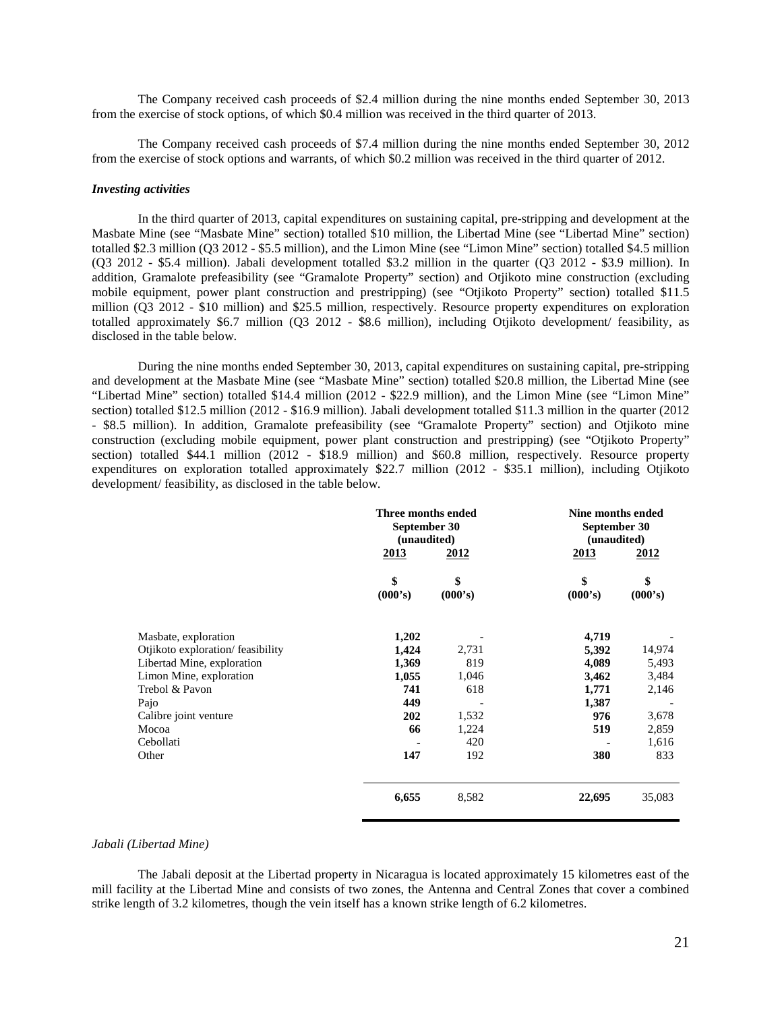The Company received cash proceeds of \$2.4 million during the nine months ended September 30, 2013 from the exercise of stock options, of which \$0.4 million was received in the third quarter of 2013.

The Company received cash proceeds of \$7.4 million during the nine months ended September 30, 2012 from the exercise of stock options and warrants, of which \$0.2 million was received in the third quarter of 2012.

## *Investing activities*

In the third quarter of 2013, capital expenditures on sustaining capital, pre-stripping and development at the Masbate Mine (see "Masbate Mine" section) totalled \$10 million, the Libertad Mine (see "Libertad Mine" section) totalled \$2.3 million (Q3 2012 - \$5.5 million), and the Limon Mine (see "Limon Mine" section) totalled \$4.5 million (Q3 2012 - \$5.4 million). Jabali development totalled \$3.2 million in the quarter (Q3 2012 - \$3.9 million). In addition, Gramalote prefeasibility (see "Gramalote Property" section) and Otjikoto mine construction (excluding mobile equipment, power plant construction and prestripping) (see "Otjikoto Property" section) totalled \$11.5 million (Q3 2012 - \$10 million) and \$25.5 million, respectively. Resource property expenditures on exploration totalled approximately \$6.7 million (Q3 2012 - \$8.6 million), including Otjikoto development/ feasibility, as disclosed in the table below.

During the nine months ended September 30, 2013, capital expenditures on sustaining capital, pre-stripping and development at the Masbate Mine (see "Masbate Mine" section) totalled \$20.8 million, the Libertad Mine (see "Libertad Mine" section) totalled \$14.4 million (2012 - \$22.9 million), and the Limon Mine (see "Limon Mine" section) totalled \$12.5 million (2012 - \$16.9 million). Jabali development totalled \$11.3 million in the quarter (2012 - \$8.5 million). In addition, Gramalote prefeasibility (see "Gramalote Property" section) and Otjikoto mine construction (excluding mobile equipment, power plant construction and prestripping) (see "Otjikoto Property" section) totalled \$44.1 million (2012 - \$18.9 million) and \$60.8 million, respectively. Resource property expenditures on exploration totalled approximately \$22.7 million (2012 - \$35.1 million), including Otjikoto development/ feasibility, as disclosed in the table below.

|                                  | Three months ended<br>September 30<br>(unaudited) |               | Nine months ended<br>September 30<br>(unaudited) |               |  |
|----------------------------------|---------------------------------------------------|---------------|--------------------------------------------------|---------------|--|
|                                  | 2013                                              | <u>2012</u>   | 2013                                             | 2012          |  |
|                                  | \$<br>(000's)                                     | \$<br>(000's) | \$<br>(000's)                                    | \$<br>(000's) |  |
| Masbate, exploration             | 1,202                                             |               | 4,719                                            |               |  |
| Otjikoto exploration/feasibility | 1,424                                             | 2,731         | 5,392                                            | 14,974        |  |
| Libertad Mine, exploration       | 1,369                                             | 819           | 4,089                                            | 5,493         |  |
| Limon Mine, exploration          | 1,055                                             | 1,046         | 3,462                                            | 3,484         |  |
| Trebol & Pavon                   | 741                                               | 618           | 1,771                                            | 2,146         |  |
| Pajo                             | 449                                               |               | 1,387                                            |               |  |
| Calibre joint venture            | 202                                               | 1,532         | 976                                              | 3,678         |  |
| Mocoa                            | 66                                                | 1,224         | 519                                              | 2,859         |  |
| Cebollati                        |                                                   | 420           |                                                  | 1,616         |  |
| Other                            | 147                                               | 192           | 380                                              | 833           |  |
|                                  | 6,655                                             | 8,582         | 22,695                                           | 35,083        |  |

## *Jabali (Libertad Mine)*

The Jabali deposit at the Libertad property in Nicaragua is located approximately 15 kilometres east of the mill facility at the Libertad Mine and consists of two zones, the Antenna and Central Zones that cover a combined strike length of 3.2 kilometres, though the vein itself has a known strike length of 6.2 kilometres.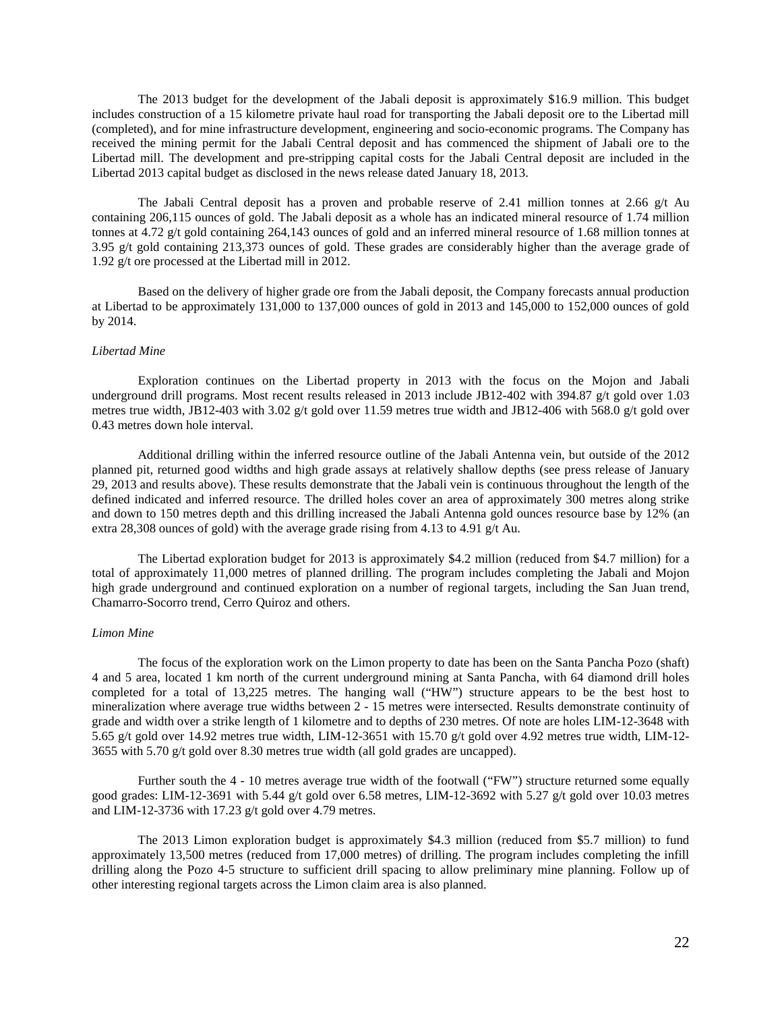The 2013 budget for the development of the Jabali deposit is approximately \$16.9 million. This budget includes construction of a 15 kilometre private haul road for transporting the Jabali deposit ore to the Libertad mill (completed), and for mine infrastructure development, engineering and socio-economic programs. The Company has received the mining permit for the Jabali Central deposit and has commenced the shipment of Jabali ore to the Libertad mill. The development and pre-stripping capital costs for the Jabali Central deposit are included in the Libertad 2013 capital budget as disclosed in the news release dated January 18, 2013.

The Jabali Central deposit has a proven and probable reserve of 2.41 million tonnes at 2.66  $g/t$  Au containing 206,115 ounces of gold. The Jabali deposit as a whole has an indicated mineral resource of 1.74 million tonnes at 4.72 g/t gold containing 264,143 ounces of gold and an inferred mineral resource of 1.68 million tonnes at 3.95 g/t gold containing 213,373 ounces of gold. These grades are considerably higher than the average grade of 1.92 g/t ore processed at the Libertad mill in 2012.

Based on the delivery of higher grade ore from the Jabali deposit, the Company forecasts annual production at Libertad to be approximately 131,000 to 137,000 ounces of gold in 2013 and 145,000 to 152,000 ounces of gold by 2014.

## *Libertad Mine*

Exploration continues on the Libertad property in 2013 with the focus on the Mojon and Jabali underground drill programs. Most recent results released in 2013 include JB12-402 with 394.87 g/t gold over 1.03 metres true width, JB12-403 with 3.02 g/t gold over 11.59 metres true width and JB12-406 with 568.0 g/t gold over 0.43 metres down hole interval.

Additional drilling within the inferred resource outline of the Jabali Antenna vein, but outside of the 2012 planned pit, returned good widths and high grade assays at relatively shallow depths (see press release of January 29, 2013 and results above). These results demonstrate that the Jabali vein is continuous throughout the length of the defined indicated and inferred resource. The drilled holes cover an area of approximately 300 metres along strike and down to 150 metres depth and this drilling increased the Jabali Antenna gold ounces resource base by 12% (an extra 28,308 ounces of gold) with the average grade rising from 4.13 to 4.91 g/t Au.

The Libertad exploration budget for 2013 is approximately \$4.2 million (reduced from \$4.7 million) for a total of approximately 11,000 metres of planned drilling. The program includes completing the Jabali and Mojon high grade underground and continued exploration on a number of regional targets, including the San Juan trend, Chamarro-Socorro trend, Cerro Quiroz and others.

#### *Limon Mine*

The focus of the exploration work on the Limon property to date has been on the Santa Pancha Pozo (shaft) 4 and 5 area, located 1 km north of the current underground mining at Santa Pancha, with 64 diamond drill holes completed for a total of 13,225 metres. The hanging wall ("HW") structure appears to be the best host to mineralization where average true widths between 2 - 15 metres were intersected. Results demonstrate continuity of grade and width over a strike length of 1 kilometre and to depths of 230 metres. Of note are holes LIM-12-3648 with 5.65 g/t gold over 14.92 metres true width, LIM-12-3651 with 15.70 g/t gold over 4.92 metres true width, LIM-12- 3655 with 5.70 g/t gold over 8.30 metres true width (all gold grades are uncapped).

Further south the 4 - 10 metres average true width of the footwall ("FW") structure returned some equally good grades: LIM-12-3691 with 5.44 g/t gold over 6.58 metres, LIM-12-3692 with 5.27 g/t gold over 10.03 metres and LIM-12-3736 with 17.23 g/t gold over 4.79 metres.

The 2013 Limon exploration budget is approximately \$4.3 million (reduced from \$5.7 million) to fund approximately 13,500 metres (reduced from 17,000 metres) of drilling. The program includes completing the infill drilling along the Pozo 4-5 structure to sufficient drill spacing to allow preliminary mine planning. Follow up of other interesting regional targets across the Limon claim area is also planned.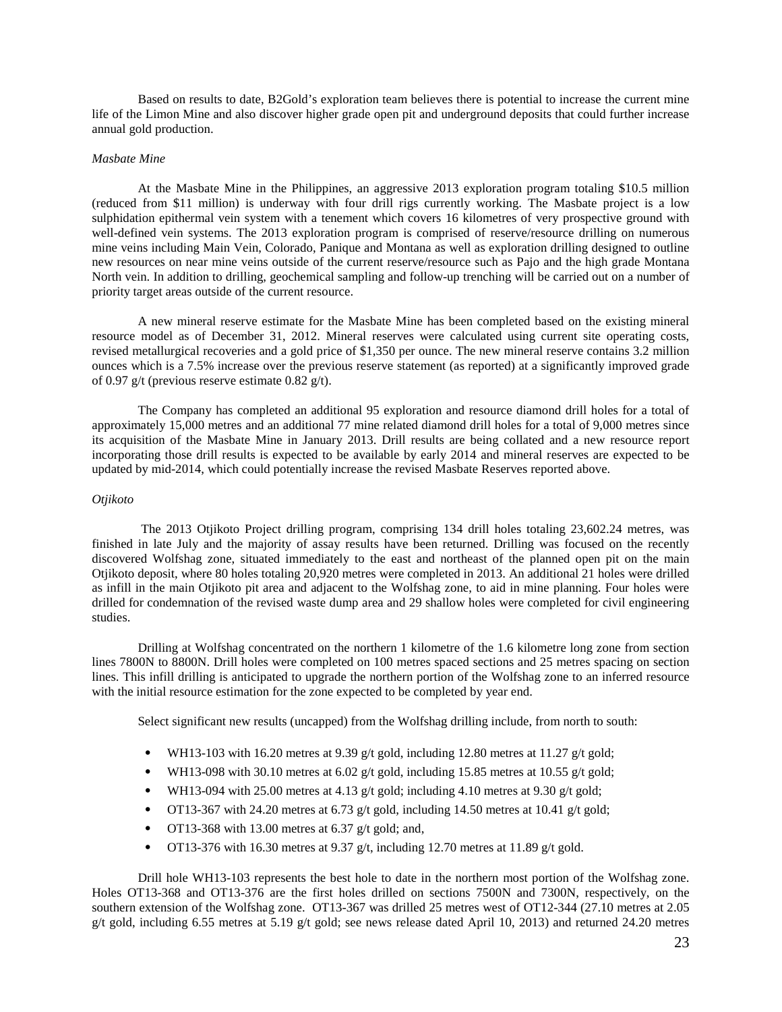Based on results to date, B2Gold's exploration team believes there is potential to increase the current mine life of the Limon Mine and also discover higher grade open pit and underground deposits that could further increase annual gold production.

#### *Masbate Mine*

At the Masbate Mine in the Philippines, an aggressive 2013 exploration program totaling \$10.5 million (reduced from \$11 million) is underway with four drill rigs currently working. The Masbate project is a low sulphidation epithermal vein system with a tenement which covers 16 kilometres of very prospective ground with well-defined vein systems. The 2013 exploration program is comprised of reserve/resource drilling on numerous mine veins including Main Vein, Colorado, Panique and Montana as well as exploration drilling designed to outline new resources on near mine veins outside of the current reserve/resource such as Pajo and the high grade Montana North vein. In addition to drilling, geochemical sampling and follow-up trenching will be carried out on a number of priority target areas outside of the current resource.

A new mineral reserve estimate for the Masbate Mine has been completed based on the existing mineral resource model as of December 31, 2012. Mineral reserves were calculated using current site operating costs, revised metallurgical recoveries and a gold price of \$1,350 per ounce. The new mineral reserve contains 3.2 million ounces which is a 7.5% increase over the previous reserve statement (as reported) at a significantly improved grade of 0.97 g/t (previous reserve estimate  $0.82$  g/t).

The Company has completed an additional 95 exploration and resource diamond drill holes for a total of approximately 15,000 metres and an additional 77 mine related diamond drill holes for a total of 9,000 metres since its acquisition of the Masbate Mine in January 2013. Drill results are being collated and a new resource report incorporating those drill results is expected to be available by early 2014 and mineral reserves are expected to be updated by mid-2014, which could potentially increase the revised Masbate Reserves reported above.

#### *Otjikoto*

The 2013 Otjikoto Project drilling program, comprising 134 drill holes totaling 23,602.24 metres, was finished in late July and the majority of assay results have been returned. Drilling was focused on the recently discovered Wolfshag zone, situated immediately to the east and northeast of the planned open pit on the main Otjikoto deposit, where 80 holes totaling 20,920 metres were completed in 2013. An additional 21 holes were drilled as infill in the main Otjikoto pit area and adjacent to the Wolfshag zone, to aid in mine planning. Four holes were drilled for condemnation of the revised waste dump area and 29 shallow holes were completed for civil engineering studies.

Drilling at Wolfshag concentrated on the northern 1 kilometre of the 1.6 kilometre long zone from section lines 7800N to 8800N. Drill holes were completed on 100 metres spaced sections and 25 metres spacing on section lines. This infill drilling is anticipated to upgrade the northern portion of the Wolfshag zone to an inferred resource with the initial resource estimation for the zone expected to be completed by year end.

Select significant new results (uncapped) from the Wolfshag drilling include, from north to south:

- WH13-103 with 16.20 metres at 9.39 g/t gold, including 12.80 metres at 11.27 g/t gold;
- WH13-098 with 30.10 metres at  $6.02$  g/t gold, including 15.85 metres at 10.55 g/t gold;
- WH13-094 with 25.00 metres at 4.13 g/t gold; including 4.10 metres at 9.30 g/t gold;
- OT13-367 with 24.20 metres at 6.73 g/t gold, including 14.50 metres at 10.41 g/t gold;
- OT13-368 with 13.00 metres at 6.37 g/t gold; and,
- OT13-376 with 16.30 metres at 9.37 g/t, including 12.70 metres at 11.89 g/t gold.

Drill hole WH13-103 represents the best hole to date in the northern most portion of the Wolfshag zone. Holes OT13-368 and OT13-376 are the first holes drilled on sections 7500N and 7300N, respectively, on the southern extension of the Wolfshag zone. OT13-367 was drilled 25 metres west of OT12-344 (27.10 metres at 2.05 g/t gold, including 6.55 metres at 5.19 g/t gold; see news release dated April 10, 2013) and returned 24.20 metres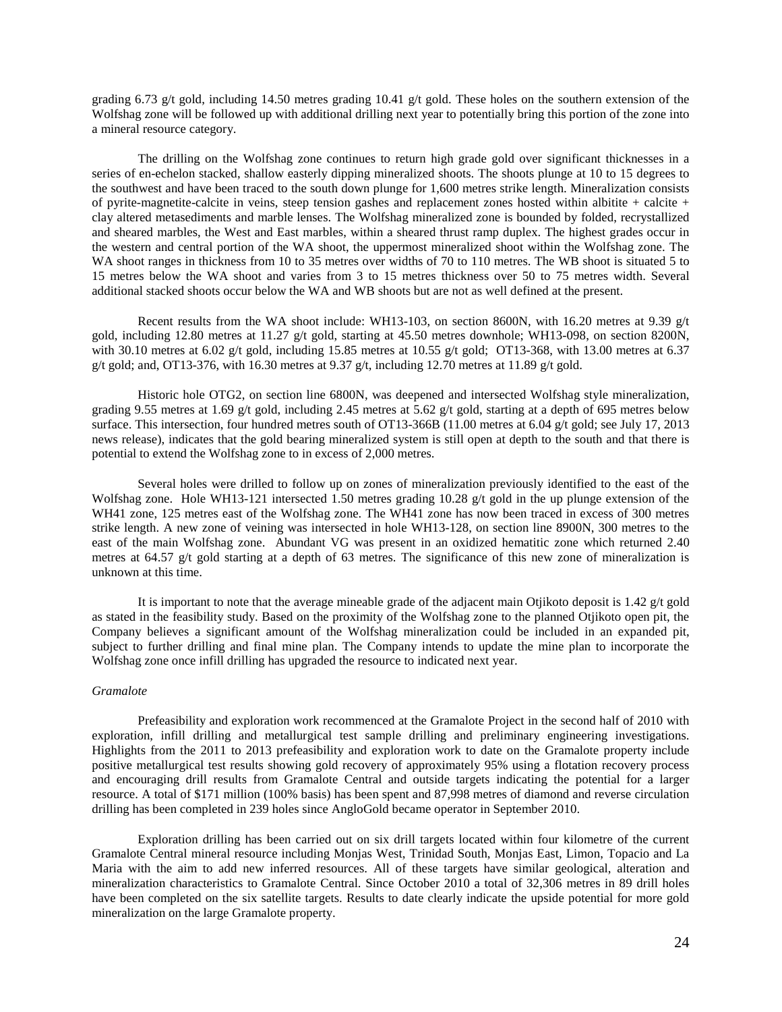grading 6.73 g/t gold, including 14.50 metres grading 10.41 g/t gold. These holes on the southern extension of the Wolfshag zone will be followed up with additional drilling next year to potentially bring this portion of the zone into a mineral resource category.

The drilling on the Wolfshag zone continues to return high grade gold over significant thicknesses in a series of en-echelon stacked, shallow easterly dipping mineralized shoots. The shoots plunge at 10 to 15 degrees to the southwest and have been traced to the south down plunge for 1,600 metres strike length. Mineralization consists of pyrite-magnetite-calcite in veins, steep tension gashes and replacement zones hosted within albitite + calcite + clay altered metasediments and marble lenses. The Wolfshag mineralized zone is bounded by folded, recrystallized and sheared marbles, the West and East marbles, within a sheared thrust ramp duplex. The highest grades occur in the western and central portion of the WA shoot, the uppermost mineralized shoot within the Wolfshag zone. The WA shoot ranges in thickness from 10 to 35 metres over widths of 70 to 110 metres. The WB shoot is situated 5 to 15 metres below the WA shoot and varies from 3 to 15 metres thickness over 50 to 75 metres width. Several additional stacked shoots occur below the WA and WB shoots but are not as well defined at the present.

Recent results from the WA shoot include: WH13-103, on section 8600N, with 16.20 metres at 9.39 g/t gold, including 12.80 metres at 11.27 g/t gold, starting at 45.50 metres downhole; WH13-098, on section 8200N, with 30.10 metres at 6.02 g/t gold, including 15.85 metres at 10.55 g/t gold; OT13-368, with 13.00 metres at 6.37 g/t gold; and, OT13-376, with 16.30 metres at 9.37 g/t, including 12.70 metres at 11.89 g/t gold.

Historic hole OTG2, on section line 6800N, was deepened and intersected Wolfshag style mineralization, grading 9.55 metres at 1.69 g/t gold, including 2.45 metres at 5.62 g/t gold, starting at a depth of 695 metres below surface. This intersection, four hundred metres south of OT13-366B (11.00 metres at 6.04 g/t gold; see July 17, 2013 news release), indicates that the gold bearing mineralized system is still open at depth to the south and that there is potential to extend the Wolfshag zone to in excess of 2,000 metres.

Several holes were drilled to follow up on zones of mineralization previously identified to the east of the Wolfshag zone. Hole WH13-121 intersected 1.50 metres grading 10.28 g/t gold in the up plunge extension of the WH41 zone, 125 metres east of the Wolfshag zone. The WH41 zone has now been traced in excess of 300 metres strike length. A new zone of veining was intersected in hole WH13-128, on section line 8900N, 300 metres to the east of the main Wolfshag zone. Abundant VG was present in an oxidized hematitic zone which returned 2.40 metres at 64.57 g/t gold starting at a depth of 63 metres. The significance of this new zone of mineralization is unknown at this time.

It is important to note that the average mineable grade of the adjacent main Otjikoto deposit is 1.42 g/t gold as stated in the feasibility study. Based on the proximity of the Wolfshag zone to the planned Otjikoto open pit, the Company believes a significant amount of the Wolfshag mineralization could be included in an expanded pit, subject to further drilling and final mine plan. The Company intends to update the mine plan to incorporate the Wolfshag zone once infill drilling has upgraded the resource to indicated next year.

#### *Gramalote*

Prefeasibility and exploration work recommenced at the Gramalote Project in the second half of 2010 with exploration, infill drilling and metallurgical test sample drilling and preliminary engineering investigations. Highlights from the 2011 to 2013 prefeasibility and exploration work to date on the Gramalote property include positive metallurgical test results showing gold recovery of approximately 95% using a flotation recovery process and encouraging drill results from Gramalote Central and outside targets indicating the potential for a larger resource. A total of \$171 million (100% basis) has been spent and 87,998 metres of diamond and reverse circulation drilling has been completed in 239 holes since AngloGold became operator in September 2010.

Exploration drilling has been carried out on six drill targets located within four kilometre of the current Gramalote Central mineral resource including Monjas West, Trinidad South, Monjas East, Limon, Topacio and La Maria with the aim to add new inferred resources. All of these targets have similar geological, alteration and mineralization characteristics to Gramalote Central. Since October 2010 a total of 32,306 metres in 89 drill holes have been completed on the six satellite targets. Results to date clearly indicate the upside potential for more gold mineralization on the large Gramalote property.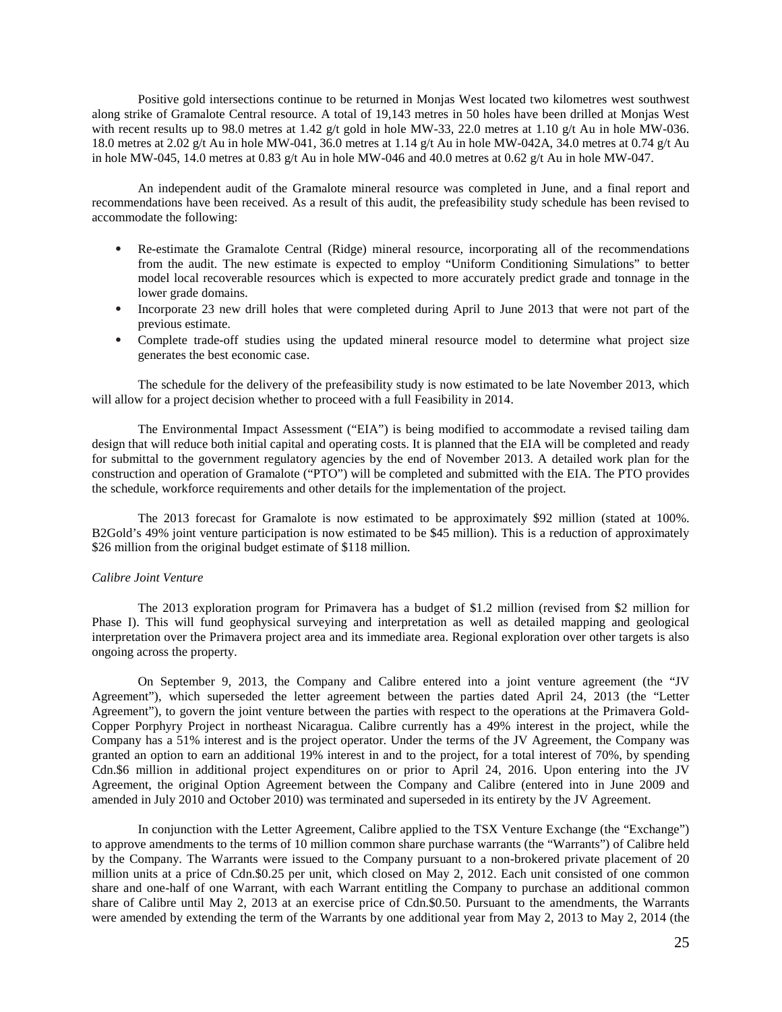Positive gold intersections continue to be returned in Monjas West located two kilometres west southwest along strike of Gramalote Central resource. A total of 19,143 metres in 50 holes have been drilled at Monjas West with recent results up to 98.0 metres at 1.42 g/t gold in hole MW-33, 22.0 metres at 1.10 g/t Au in hole MW-036. 18.0 metres at 2.02 g/t Au in hole MW-041, 36.0 metres at 1.14 g/t Au in hole MW-042A, 34.0 metres at 0.74 g/t Au in hole MW-045, 14.0 metres at 0.83 g/t Au in hole MW-046 and 40.0 metres at 0.62 g/t Au in hole MW-047.

An independent audit of the Gramalote mineral resource was completed in June, and a final report and recommendations have been received. As a result of this audit, the prefeasibility study schedule has been revised to accommodate the following:

- Re-estimate the Gramalote Central (Ridge) mineral resource, incorporating all of the recommendations from the audit. The new estimate is expected to employ "Uniform Conditioning Simulations" to better model local recoverable resources which is expected to more accurately predict grade and tonnage in the lower grade domains.
- Incorporate 23 new drill holes that were completed during April to June 2013 that were not part of the previous estimate.
- Complete trade-off studies using the updated mineral resource model to determine what project size generates the best economic case.

The schedule for the delivery of the prefeasibility study is now estimated to be late November 2013, which will allow for a project decision whether to proceed with a full Feasibility in 2014.

The Environmental Impact Assessment ("EIA") is being modified to accommodate a revised tailing dam design that will reduce both initial capital and operating costs. It is planned that the EIA will be completed and ready for submittal to the government regulatory agencies by the end of November 2013. A detailed work plan for the construction and operation of Gramalote ("PTO") will be completed and submitted with the EIA. The PTO provides the schedule, workforce requirements and other details for the implementation of the project.

The 2013 forecast for Gramalote is now estimated to be approximately \$92 million (stated at 100%. B2Gold's 49% joint venture participation is now estimated to be \$45 million). This is a reduction of approximately \$26 million from the original budget estimate of \$118 million.

## *Calibre Joint Venture*

The 2013 exploration program for Primavera has a budget of \$1.2 million (revised from \$2 million for Phase I). This will fund geophysical surveying and interpretation as well as detailed mapping and geological interpretation over the Primavera project area and its immediate area. Regional exploration over other targets is also ongoing across the property.

On September 9, 2013, the Company and Calibre entered into a joint venture agreement (the "JV Agreement"), which superseded the letter agreement between the parties dated April 24, 2013 (the "Letter Agreement"), to govern the joint venture between the parties with respect to the operations at the Primavera Gold-Copper Porphyry Project in northeast Nicaragua. Calibre currently has a 49% interest in the project, while the Company has a 51% interest and is the project operator. Under the terms of the JV Agreement, the Company was granted an option to earn an additional 19% interest in and to the project, for a total interest of 70%, by spending Cdn.\$6 million in additional project expenditures on or prior to April 24, 2016. Upon entering into the JV Agreement, the original Option Agreement between the Company and Calibre (entered into in June 2009 and amended in July 2010 and October 2010) was terminated and superseded in its entirety by the JV Agreement.

In conjunction with the Letter Agreement, Calibre applied to the TSX Venture Exchange (the "Exchange") to approve amendments to the terms of 10 million common share purchase warrants (the "Warrants") of Calibre held by the Company. The Warrants were issued to the Company pursuant to a non-brokered private placement of 20 million units at a price of Cdn.\$0.25 per unit, which closed on May 2, 2012. Each unit consisted of one common share and one-half of one Warrant, with each Warrant entitling the Company to purchase an additional common share of Calibre until May 2, 2013 at an exercise price of Cdn.\$0.50. Pursuant to the amendments, the Warrants were amended by extending the term of the Warrants by one additional year from May 2, 2013 to May 2, 2014 (the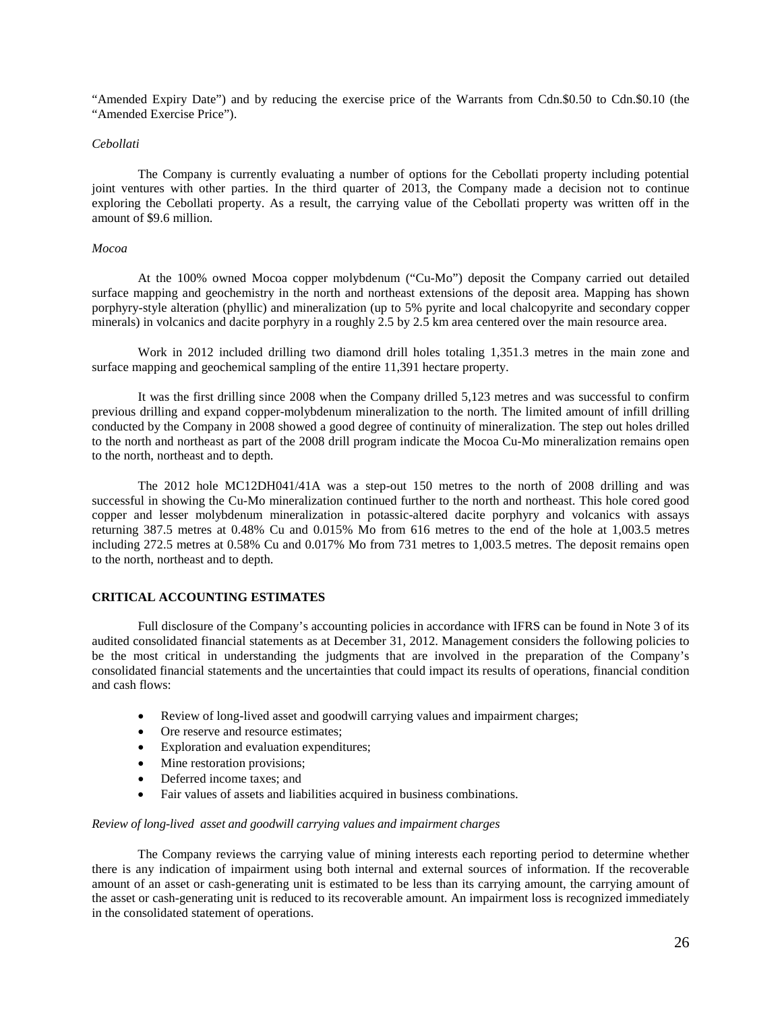"Amended Expiry Date") and by reducing the exercise price of the Warrants from Cdn.\$0.50 to Cdn.\$0.10 (the "Amended Exercise Price").

### *Cebollati*

The Company is currently evaluating a number of options for the Cebollati property including potential joint ventures with other parties. In the third quarter of 2013, the Company made a decision not to continue exploring the Cebollati property. As a result, the carrying value of the Cebollati property was written off in the amount of \$9.6 million.

## *Mocoa*

At the 100% owned Mocoa copper molybdenum ("Cu-Mo") deposit the Company carried out detailed surface mapping and geochemistry in the north and northeast extensions of the deposit area. Mapping has shown porphyry-style alteration (phyllic) and mineralization (up to 5% pyrite and local chalcopyrite and secondary copper minerals) in volcanics and dacite porphyry in a roughly 2.5 by 2.5 km area centered over the main resource area.

Work in 2012 included drilling two diamond drill holes totaling 1,351.3 metres in the main zone and surface mapping and geochemical sampling of the entire 11,391 hectare property.

It was the first drilling since 2008 when the Company drilled 5,123 metres and was successful to confirm previous drilling and expand copper-molybdenum mineralization to the north. The limited amount of infill drilling conducted by the Company in 2008 showed a good degree of continuity of mineralization. The step out holes drilled to the north and northeast as part of the 2008 drill program indicate the Mocoa Cu-Mo mineralization remains open to the north, northeast and to depth.

The 2012 hole MC12DH041/41A was a step-out 150 metres to the north of 2008 drilling and was successful in showing the Cu-Mo mineralization continued further to the north and northeast. This hole cored good copper and lesser molybdenum mineralization in potassic-altered dacite porphyry and volcanics with assays returning 387.5 metres at 0.48% Cu and 0.015% Mo from 616 metres to the end of the hole at 1,003.5 metres including 272.5 metres at 0.58% Cu and 0.017% Mo from 731 metres to 1,003.5 metres. The deposit remains open to the north, northeast and to depth.

## **CRITICAL ACCOUNTING ESTIMATES**

Full disclosure of the Company's accounting policies in accordance with IFRS can be found in Note 3 of its audited consolidated financial statements as at December 31, 2012. Management considers the following policies to be the most critical in understanding the judgments that are involved in the preparation of the Company's consolidated financial statements and the uncertainties that could impact its results of operations, financial condition and cash flows:

- Review of long-lived asset and goodwill carrying values and impairment charges;
- Ore reserve and resource estimates;
- Exploration and evaluation expenditures;
- Mine restoration provisions;
- Deferred income taxes; and
- Fair values of assets and liabilities acquired in business combinations.

## *Review of long-lived asset and goodwill carrying values and impairment charges*

The Company reviews the carrying value of mining interests each reporting period to determine whether there is any indication of impairment using both internal and external sources of information. If the recoverable amount of an asset or cash-generating unit is estimated to be less than its carrying amount, the carrying amount of the asset or cash-generating unit is reduced to its recoverable amount. An impairment loss is recognized immediately in the consolidated statement of operations.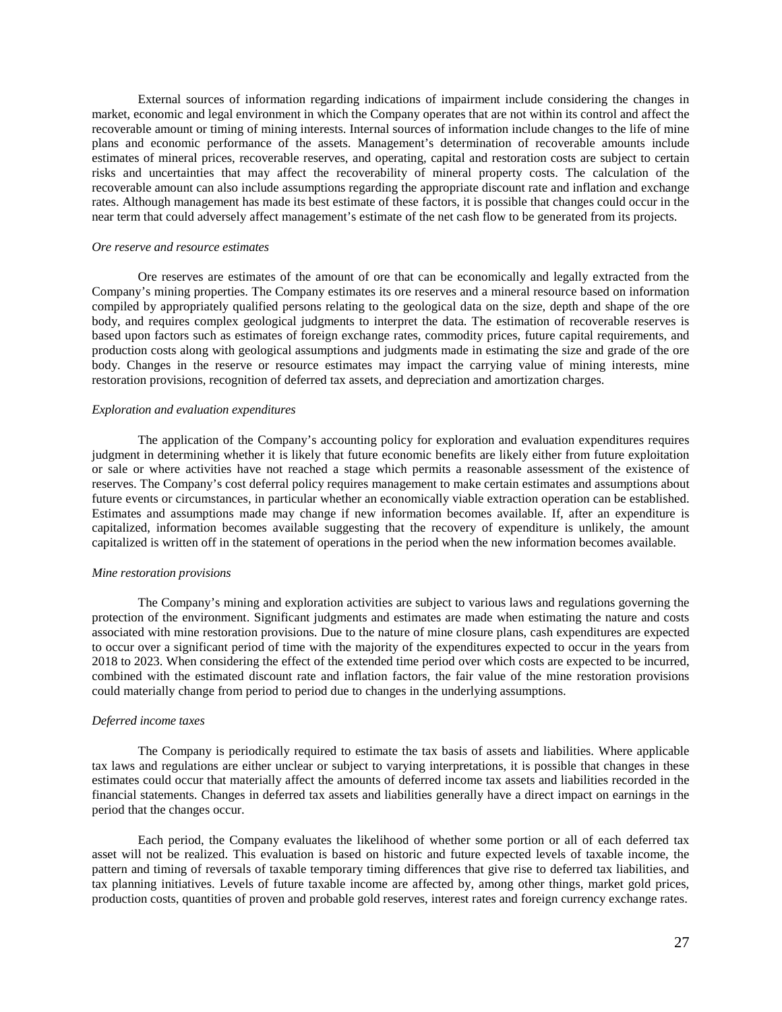External sources of information regarding indications of impairment include considering the changes in market, economic and legal environment in which the Company operates that are not within its control and affect the recoverable amount or timing of mining interests. Internal sources of information include changes to the life of mine plans and economic performance of the assets. Management's determination of recoverable amounts include estimates of mineral prices, recoverable reserves, and operating, capital and restoration costs are subject to certain risks and uncertainties that may affect the recoverability of mineral property costs. The calculation of the recoverable amount can also include assumptions regarding the appropriate discount rate and inflation and exchange rates. Although management has made its best estimate of these factors, it is possible that changes could occur in the near term that could adversely affect management's estimate of the net cash flow to be generated from its projects.

### *Ore reserve and resource estimates*

Ore reserves are estimates of the amount of ore that can be economically and legally extracted from the Company's mining properties. The Company estimates its ore reserves and a mineral resource based on information compiled by appropriately qualified persons relating to the geological data on the size, depth and shape of the ore body, and requires complex geological judgments to interpret the data. The estimation of recoverable reserves is based upon factors such as estimates of foreign exchange rates, commodity prices, future capital requirements, and production costs along with geological assumptions and judgments made in estimating the size and grade of the ore body. Changes in the reserve or resource estimates may impact the carrying value of mining interests, mine restoration provisions, recognition of deferred tax assets, and depreciation and amortization charges.

#### *Exploration and evaluation expenditures*

The application of the Company's accounting policy for exploration and evaluation expenditures requires judgment in determining whether it is likely that future economic benefits are likely either from future exploitation or sale or where activities have not reached a stage which permits a reasonable assessment of the existence of reserves. The Company's cost deferral policy requires management to make certain estimates and assumptions about future events or circumstances, in particular whether an economically viable extraction operation can be established. Estimates and assumptions made may change if new information becomes available. If, after an expenditure is capitalized, information becomes available suggesting that the recovery of expenditure is unlikely, the amount capitalized is written off in the statement of operations in the period when the new information becomes available.

#### *Mine restoration provisions*

The Company's mining and exploration activities are subject to various laws and regulations governing the protection of the environment. Significant judgments and estimates are made when estimating the nature and costs associated with mine restoration provisions. Due to the nature of mine closure plans, cash expenditures are expected to occur over a significant period of time with the majority of the expenditures expected to occur in the years from 2018 to 2023. When considering the effect of the extended time period over which costs are expected to be incurred, combined with the estimated discount rate and inflation factors, the fair value of the mine restoration provisions could materially change from period to period due to changes in the underlying assumptions.

#### *Deferred income taxes*

The Company is periodically required to estimate the tax basis of assets and liabilities. Where applicable tax laws and regulations are either unclear or subject to varying interpretations, it is possible that changes in these estimates could occur that materially affect the amounts of deferred income tax assets and liabilities recorded in the financial statements. Changes in deferred tax assets and liabilities generally have a direct impact on earnings in the period that the changes occur.

Each period, the Company evaluates the likelihood of whether some portion or all of each deferred tax asset will not be realized. This evaluation is based on historic and future expected levels of taxable income, the pattern and timing of reversals of taxable temporary timing differences that give rise to deferred tax liabilities, and tax planning initiatives. Levels of future taxable income are affected by, among other things, market gold prices, production costs, quantities of proven and probable gold reserves, interest rates and foreign currency exchange rates.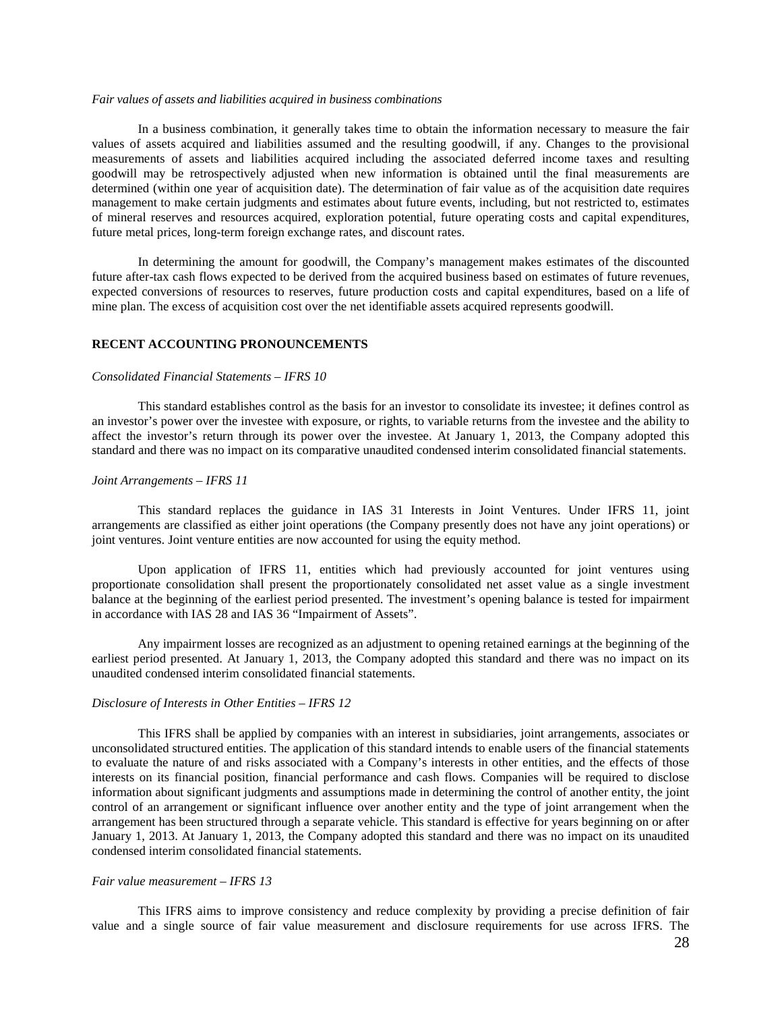#### *Fair values of assets and liabilities acquired in business combinations*

In a business combination, it generally takes time to obtain the information necessary to measure the fair values of assets acquired and liabilities assumed and the resulting goodwill, if any. Changes to the provisional measurements of assets and liabilities acquired including the associated deferred income taxes and resulting goodwill may be retrospectively adjusted when new information is obtained until the final measurements are determined (within one year of acquisition date). The determination of fair value as of the acquisition date requires management to make certain judgments and estimates about future events, including, but not restricted to, estimates of mineral reserves and resources acquired, exploration potential, future operating costs and capital expenditures, future metal prices, long-term foreign exchange rates, and discount rates.

In determining the amount for goodwill, the Company's management makes estimates of the discounted future after-tax cash flows expected to be derived from the acquired business based on estimates of future revenues, expected conversions of resources to reserves, future production costs and capital expenditures, based on a life of mine plan. The excess of acquisition cost over the net identifiable assets acquired represents goodwill.

## **RECENT ACCOUNTING PRONOUNCEMENTS**

#### *Consolidated Financial Statements – IFRS 10*

This standard establishes control as the basis for an investor to consolidate its investee; it defines control as an investor's power over the investee with exposure, or rights, to variable returns from the investee and the ability to affect the investor's return through its power over the investee. At January 1, 2013, the Company adopted this standard and there was no impact on its comparative unaudited condensed interim consolidated financial statements.

#### *Joint Arrangements – IFRS 11*

This standard replaces the guidance in IAS 31 Interests in Joint Ventures. Under IFRS 11, joint arrangements are classified as either joint operations (the Company presently does not have any joint operations) or joint ventures. Joint venture entities are now accounted for using the equity method.

Upon application of IFRS 11, entities which had previously accounted for joint ventures using proportionate consolidation shall present the proportionately consolidated net asset value as a single investment balance at the beginning of the earliest period presented. The investment's opening balance is tested for impairment in accordance with IAS 28 and IAS 36 "Impairment of Assets".

Any impairment losses are recognized as an adjustment to opening retained earnings at the beginning of the earliest period presented. At January 1, 2013, the Company adopted this standard and there was no impact on its unaudited condensed interim consolidated financial statements.

## *Disclosure of Interests in Other Entities – IFRS 12*

This IFRS shall be applied by companies with an interest in subsidiaries, joint arrangements, associates or unconsolidated structured entities. The application of this standard intends to enable users of the financial statements to evaluate the nature of and risks associated with a Company's interests in other entities, and the effects of those interests on its financial position, financial performance and cash flows. Companies will be required to disclose information about significant judgments and assumptions made in determining the control of another entity, the joint control of an arrangement or significant influence over another entity and the type of joint arrangement when the arrangement has been structured through a separate vehicle. This standard is effective for years beginning on or after January 1, 2013. At January 1, 2013, the Company adopted this standard and there was no impact on its unaudited condensed interim consolidated financial statements.

### *Fair value measurement – IFRS 13*

This IFRS aims to improve consistency and reduce complexity by providing a precise definition of fair value and a single source of fair value measurement and disclosure requirements for use across IFRS. The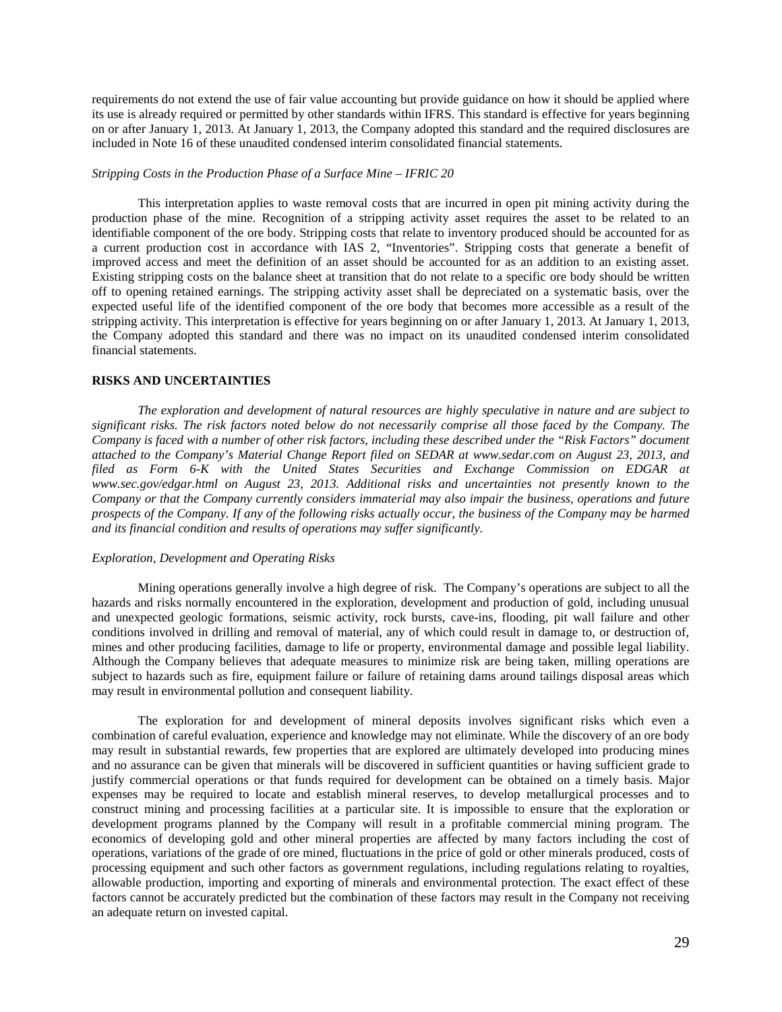requirements do not extend the use of fair value accounting but provide guidance on how it should be applied where its use is already required or permitted by other standards within IFRS. This standard is effective for years beginning on or after January 1, 2013. At January 1, 2013, the Company adopted this standard and the required disclosures are included in Note 16 of these unaudited condensed interim consolidated financial statements.

### *Stripping Costs in the Production Phase of a Surface Mine – IFRIC 20*

This interpretation applies to waste removal costs that are incurred in open pit mining activity during the production phase of the mine. Recognition of a stripping activity asset requires the asset to be related to an identifiable component of the ore body. Stripping costs that relate to inventory produced should be accounted for as a current production cost in accordance with IAS 2, "Inventories". Stripping costs that generate a benefit of improved access and meet the definition of an asset should be accounted for as an addition to an existing asset. Existing stripping costs on the balance sheet at transition that do not relate to a specific ore body should be written off to opening retained earnings. The stripping activity asset shall be depreciated on a systematic basis, over the expected useful life of the identified component of the ore body that becomes more accessible as a result of the stripping activity. This interpretation is effective for years beginning on or after January 1, 2013. At January 1, 2013, the Company adopted this standard and there was no impact on its unaudited condensed interim consolidated financial statements.

#### **RISKS AND UNCERTAINTIES**

*The exploration and development of natural resources are highly speculative in nature and are subject to significant risks. The risk factors noted below do not necessarily comprise all those faced by the Company. The Company is faced with a number of other risk factors, including these described under the "Risk Factors" document attached to the Company's Material Change Report filed on SEDAR at www.sedar.com on August 23, 2013, and filed as Form 6-K with the United States Securities and Exchange Commission on EDGAR at www.sec.gov/edgar.html on August 23, 2013. Additional risks and uncertainties not presently known to the Company or that the Company currently considers immaterial may also impair the business, operations and future prospects of the Company. If any of the following risks actually occur, the business of the Company may be harmed and its financial condition and results of operations may suffer significantly.* 

### *Exploration, Development and Operating Risks*

Mining operations generally involve a high degree of risk. The Company's operations are subject to all the hazards and risks normally encountered in the exploration, development and production of gold, including unusual and unexpected geologic formations, seismic activity, rock bursts, cave-ins, flooding, pit wall failure and other conditions involved in drilling and removal of material, any of which could result in damage to, or destruction of, mines and other producing facilities, damage to life or property, environmental damage and possible legal liability. Although the Company believes that adequate measures to minimize risk are being taken, milling operations are subject to hazards such as fire, equipment failure or failure of retaining dams around tailings disposal areas which may result in environmental pollution and consequent liability.

The exploration for and development of mineral deposits involves significant risks which even a combination of careful evaluation, experience and knowledge may not eliminate. While the discovery of an ore body may result in substantial rewards, few properties that are explored are ultimately developed into producing mines and no assurance can be given that minerals will be discovered in sufficient quantities or having sufficient grade to justify commercial operations or that funds required for development can be obtained on a timely basis. Major expenses may be required to locate and establish mineral reserves, to develop metallurgical processes and to construct mining and processing facilities at a particular site. It is impossible to ensure that the exploration or development programs planned by the Company will result in a profitable commercial mining program. The economics of developing gold and other mineral properties are affected by many factors including the cost of operations, variations of the grade of ore mined, fluctuations in the price of gold or other minerals produced, costs of processing equipment and such other factors as government regulations, including regulations relating to royalties, allowable production, importing and exporting of minerals and environmental protection. The exact effect of these factors cannot be accurately predicted but the combination of these factors may result in the Company not receiving an adequate return on invested capital.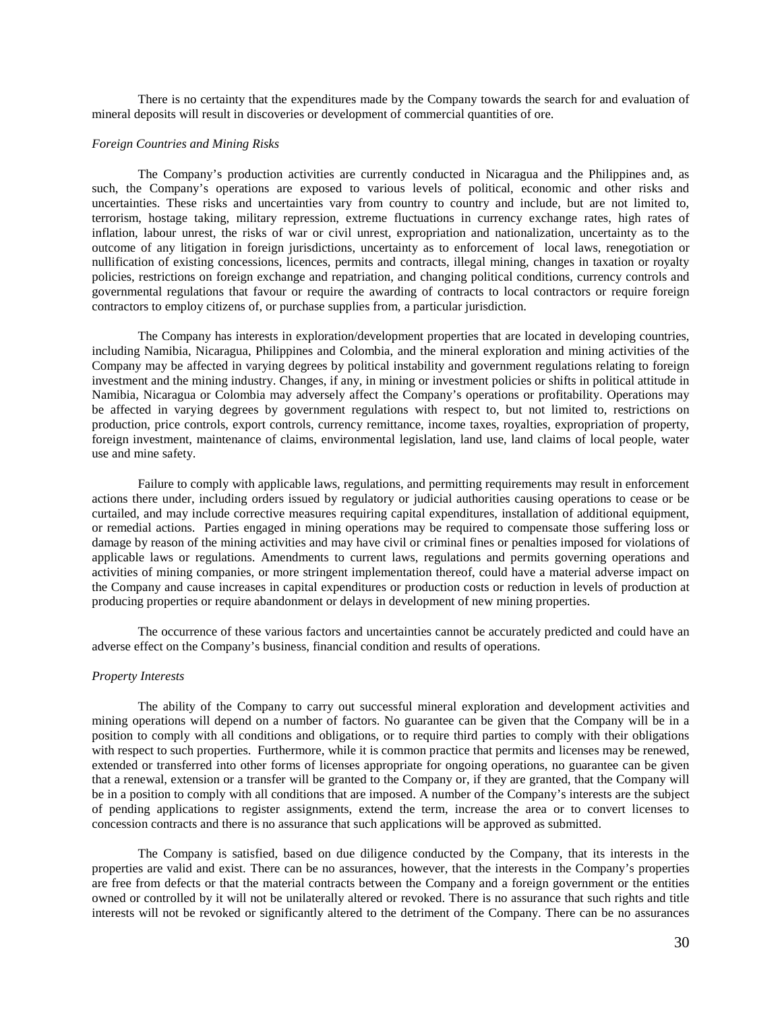There is no certainty that the expenditures made by the Company towards the search for and evaluation of mineral deposits will result in discoveries or development of commercial quantities of ore.

### *Foreign Countries and Mining Risks*

The Company's production activities are currently conducted in Nicaragua and the Philippines and, as such, the Company's operations are exposed to various levels of political, economic and other risks and uncertainties. These risks and uncertainties vary from country to country and include, but are not limited to, terrorism, hostage taking, military repression, extreme fluctuations in currency exchange rates, high rates of inflation, labour unrest, the risks of war or civil unrest, expropriation and nationalization, uncertainty as to the outcome of any litigation in foreign jurisdictions, uncertainty as to enforcement of local laws, renegotiation or nullification of existing concessions, licences, permits and contracts, illegal mining, changes in taxation or royalty policies, restrictions on foreign exchange and repatriation, and changing political conditions, currency controls and governmental regulations that favour or require the awarding of contracts to local contractors or require foreign contractors to employ citizens of, or purchase supplies from, a particular jurisdiction.

The Company has interests in exploration/development properties that are located in developing countries, including Namibia, Nicaragua, Philippines and Colombia, and the mineral exploration and mining activities of the Company may be affected in varying degrees by political instability and government regulations relating to foreign investment and the mining industry. Changes, if any, in mining or investment policies or shifts in political attitude in Namibia, Nicaragua or Colombia may adversely affect the Company's operations or profitability. Operations may be affected in varying degrees by government regulations with respect to, but not limited to, restrictions on production, price controls, export controls, currency remittance, income taxes, royalties, expropriation of property, foreign investment, maintenance of claims, environmental legislation, land use, land claims of local people, water use and mine safety.

Failure to comply with applicable laws, regulations, and permitting requirements may result in enforcement actions there under, including orders issued by regulatory or judicial authorities causing operations to cease or be curtailed, and may include corrective measures requiring capital expenditures, installation of additional equipment, or remedial actions. Parties engaged in mining operations may be required to compensate those suffering loss or damage by reason of the mining activities and may have civil or criminal fines or penalties imposed for violations of applicable laws or regulations. Amendments to current laws, regulations and permits governing operations and activities of mining companies, or more stringent implementation thereof, could have a material adverse impact on the Company and cause increases in capital expenditures or production costs or reduction in levels of production at producing properties or require abandonment or delays in development of new mining properties.

The occurrence of these various factors and uncertainties cannot be accurately predicted and could have an adverse effect on the Company's business, financial condition and results of operations.

## *Property Interests*

The ability of the Company to carry out successful mineral exploration and development activities and mining operations will depend on a number of factors. No guarantee can be given that the Company will be in a position to comply with all conditions and obligations, or to require third parties to comply with their obligations with respect to such properties. Furthermore, while it is common practice that permits and licenses may be renewed, extended or transferred into other forms of licenses appropriate for ongoing operations, no guarantee can be given that a renewal, extension or a transfer will be granted to the Company or, if they are granted, that the Company will be in a position to comply with all conditions that are imposed. A number of the Company's interests are the subject of pending applications to register assignments, extend the term, increase the area or to convert licenses to concession contracts and there is no assurance that such applications will be approved as submitted.

The Company is satisfied, based on due diligence conducted by the Company, that its interests in the properties are valid and exist. There can be no assurances, however, that the interests in the Company's properties are free from defects or that the material contracts between the Company and a foreign government or the entities owned or controlled by it will not be unilaterally altered or revoked. There is no assurance that such rights and title interests will not be revoked or significantly altered to the detriment of the Company. There can be no assurances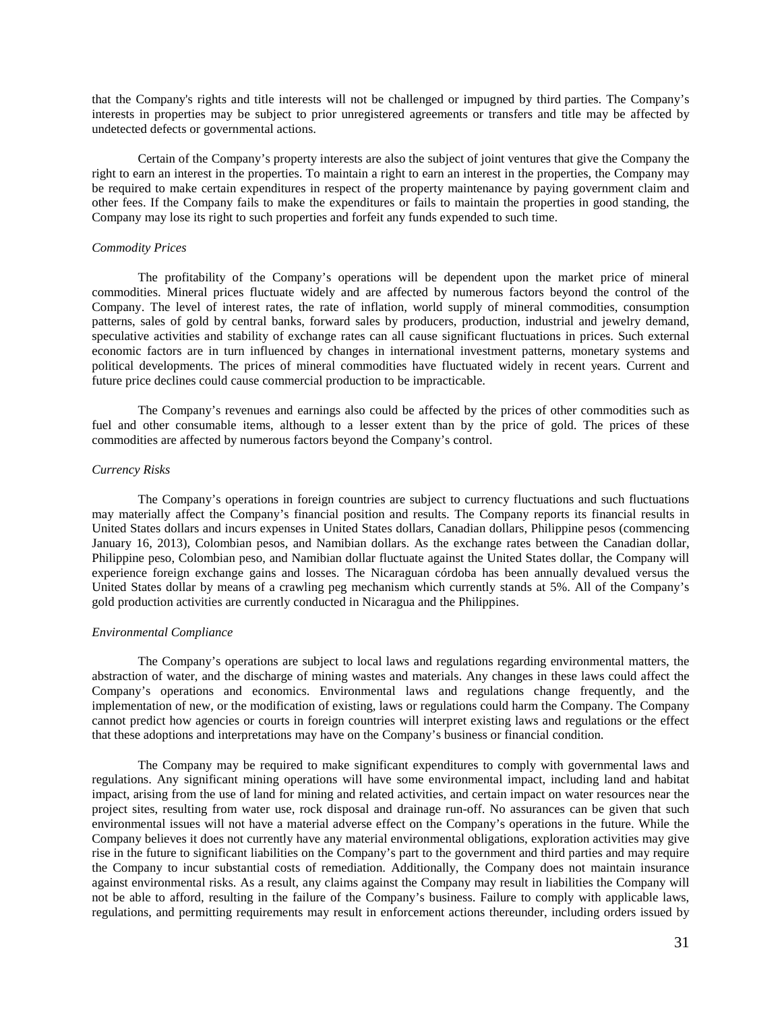that the Company's rights and title interests will not be challenged or impugned by third parties. The Company's interests in properties may be subject to prior unregistered agreements or transfers and title may be affected by undetected defects or governmental actions.

Certain of the Company's property interests are also the subject of joint ventures that give the Company the right to earn an interest in the properties. To maintain a right to earn an interest in the properties, the Company may be required to make certain expenditures in respect of the property maintenance by paying government claim and other fees. If the Company fails to make the expenditures or fails to maintain the properties in good standing, the Company may lose its right to such properties and forfeit any funds expended to such time.

## *Commodity Prices*

The profitability of the Company's operations will be dependent upon the market price of mineral commodities. Mineral prices fluctuate widely and are affected by numerous factors beyond the control of the Company. The level of interest rates, the rate of inflation, world supply of mineral commodities, consumption patterns, sales of gold by central banks, forward sales by producers, production, industrial and jewelry demand, speculative activities and stability of exchange rates can all cause significant fluctuations in prices. Such external economic factors are in turn influenced by changes in international investment patterns, monetary systems and political developments. The prices of mineral commodities have fluctuated widely in recent years. Current and future price declines could cause commercial production to be impracticable.

The Company's revenues and earnings also could be affected by the prices of other commodities such as fuel and other consumable items, although to a lesser extent than by the price of gold. The prices of these commodities are affected by numerous factors beyond the Company's control.

## *Currency Risks*

The Company's operations in foreign countries are subject to currency fluctuations and such fluctuations may materially affect the Company's financial position and results. The Company reports its financial results in United States dollars and incurs expenses in United States dollars, Canadian dollars, Philippine pesos (commencing January 16, 2013), Colombian pesos, and Namibian dollars. As the exchange rates between the Canadian dollar, Philippine peso, Colombian peso, and Namibian dollar fluctuate against the United States dollar, the Company will experience foreign exchange gains and losses. The Nicaraguan córdoba has been annually devalued versus the United States dollar by means of a crawling peg mechanism which currently stands at 5%. All of the Company's gold production activities are currently conducted in Nicaragua and the Philippines.

### *Environmental Compliance*

The Company's operations are subject to local laws and regulations regarding environmental matters, the abstraction of water, and the discharge of mining wastes and materials. Any changes in these laws could affect the Company's operations and economics. Environmental laws and regulations change frequently, and the implementation of new, or the modification of existing, laws or regulations could harm the Company. The Company cannot predict how agencies or courts in foreign countries will interpret existing laws and regulations or the effect that these adoptions and interpretations may have on the Company's business or financial condition.

The Company may be required to make significant expenditures to comply with governmental laws and regulations. Any significant mining operations will have some environmental impact, including land and habitat impact, arising from the use of land for mining and related activities, and certain impact on water resources near the project sites, resulting from water use, rock disposal and drainage run-off. No assurances can be given that such environmental issues will not have a material adverse effect on the Company's operations in the future. While the Company believes it does not currently have any material environmental obligations, exploration activities may give rise in the future to significant liabilities on the Company's part to the government and third parties and may require the Company to incur substantial costs of remediation. Additionally, the Company does not maintain insurance against environmental risks. As a result, any claims against the Company may result in liabilities the Company will not be able to afford, resulting in the failure of the Company's business. Failure to comply with applicable laws, regulations, and permitting requirements may result in enforcement actions thereunder, including orders issued by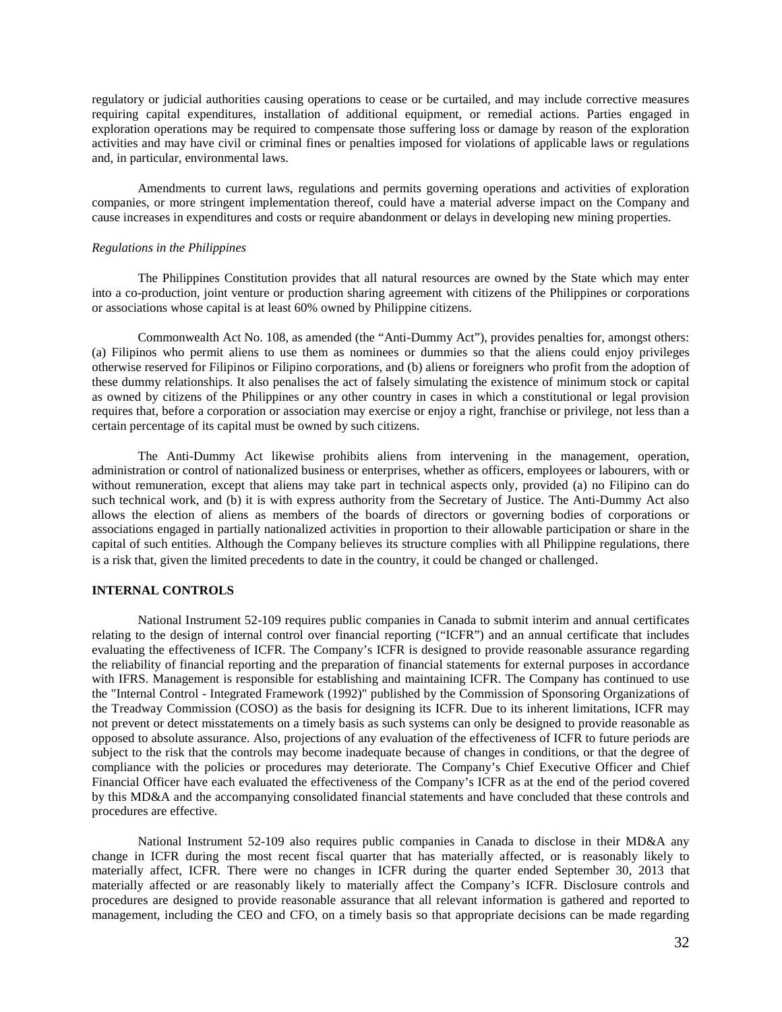regulatory or judicial authorities causing operations to cease or be curtailed, and may include corrective measures requiring capital expenditures, installation of additional equipment, or remedial actions. Parties engaged in exploration operations may be required to compensate those suffering loss or damage by reason of the exploration activities and may have civil or criminal fines or penalties imposed for violations of applicable laws or regulations and, in particular, environmental laws.

Amendments to current laws, regulations and permits governing operations and activities of exploration companies, or more stringent implementation thereof, could have a material adverse impact on the Company and cause increases in expenditures and costs or require abandonment or delays in developing new mining properties.

### *Regulations in the Philippines*

The Philippines Constitution provides that all natural resources are owned by the State which may enter into a co-production, joint venture or production sharing agreement with citizens of the Philippines or corporations or associations whose capital is at least 60% owned by Philippine citizens.

Commonwealth Act No. 108, as amended (the "Anti-Dummy Act"), provides penalties for, amongst others: (a) Filipinos who permit aliens to use them as nominees or dummies so that the aliens could enjoy privileges otherwise reserved for Filipinos or Filipino corporations, and (b) aliens or foreigners who profit from the adoption of these dummy relationships. It also penalises the act of falsely simulating the existence of minimum stock or capital as owned by citizens of the Philippines or any other country in cases in which a constitutional or legal provision requires that, before a corporation or association may exercise or enjoy a right, franchise or privilege, not less than a certain percentage of its capital must be owned by such citizens.

The Anti-Dummy Act likewise prohibits aliens from intervening in the management, operation, administration or control of nationalized business or enterprises, whether as officers, employees or labourers, with or without remuneration, except that aliens may take part in technical aspects only, provided (a) no Filipino can do such technical work, and (b) it is with express authority from the Secretary of Justice. The Anti-Dummy Act also allows the election of aliens as members of the boards of directors or governing bodies of corporations or associations engaged in partially nationalized activities in proportion to their allowable participation or share in the capital of such entities. Although the Company believes its structure complies with all Philippine regulations, there is a risk that, given the limited precedents to date in the country, it could be changed or challenged.

## **INTERNAL CONTROLS**

National Instrument 52-109 requires public companies in Canada to submit interim and annual certificates relating to the design of internal control over financial reporting ("ICFR") and an annual certificate that includes evaluating the effectiveness of ICFR. The Company's ICFR is designed to provide reasonable assurance regarding the reliability of financial reporting and the preparation of financial statements for external purposes in accordance with IFRS. Management is responsible for establishing and maintaining ICFR. The Company has continued to use the "Internal Control - Integrated Framework (1992)" published by the Commission of Sponsoring Organizations of the Treadway Commission (COSO) as the basis for designing its ICFR. Due to its inherent limitations, ICFR may not prevent or detect misstatements on a timely basis as such systems can only be designed to provide reasonable as opposed to absolute assurance. Also, projections of any evaluation of the effectiveness of ICFR to future periods are subject to the risk that the controls may become inadequate because of changes in conditions, or that the degree of compliance with the policies or procedures may deteriorate. The Company's Chief Executive Officer and Chief Financial Officer have each evaluated the effectiveness of the Company's ICFR as at the end of the period covered by this MD&A and the accompanying consolidated financial statements and have concluded that these controls and procedures are effective.

National Instrument 52-109 also requires public companies in Canada to disclose in their MD&A any change in ICFR during the most recent fiscal quarter that has materially affected, or is reasonably likely to materially affect, ICFR. There were no changes in ICFR during the quarter ended September 30, 2013 that materially affected or are reasonably likely to materially affect the Company's ICFR. Disclosure controls and procedures are designed to provide reasonable assurance that all relevant information is gathered and reported to management, including the CEO and CFO, on a timely basis so that appropriate decisions can be made regarding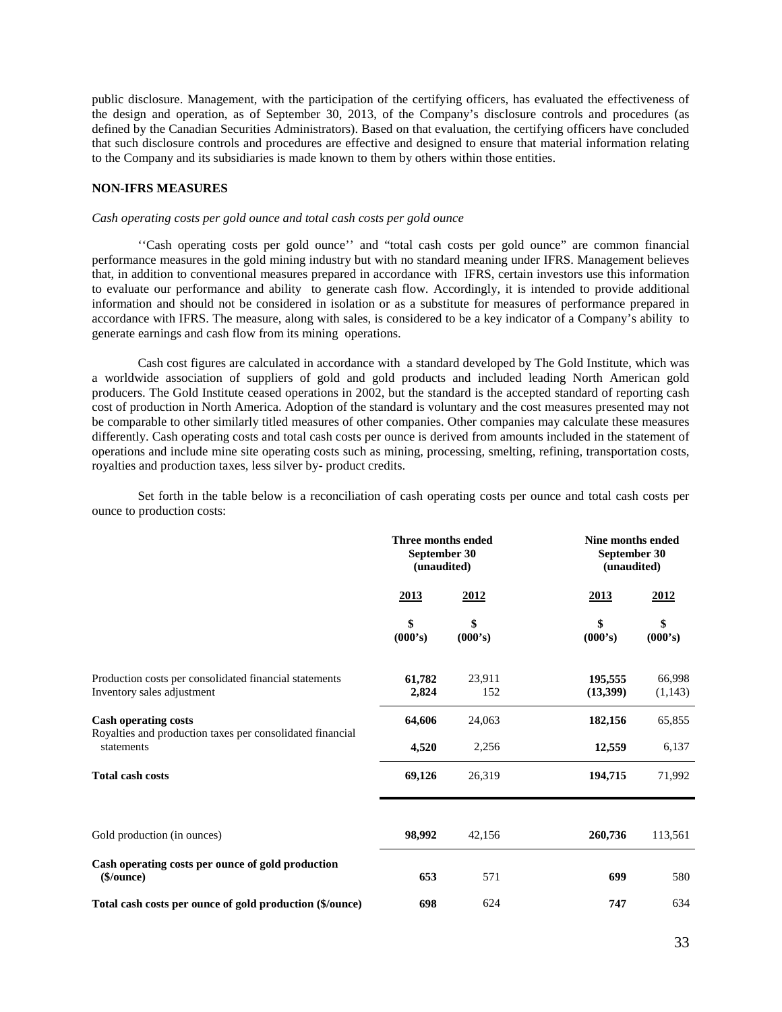public disclosure. Management, with the participation of the certifying officers, has evaluated the effectiveness of the design and operation, as of September 30, 2013, of the Company's disclosure controls and procedures (as defined by the Canadian Securities Administrators). Based on that evaluation, the certifying officers have concluded that such disclosure controls and procedures are effective and designed to ensure that material information relating to the Company and its subsidiaries is made known to them by others within those entities.

## **NON-IFRS MEASURES**

#### *Cash operating costs per gold ounce and total cash costs per gold ounce*

''Cash operating costs per gold ounce'' and "total cash costs per gold ounce" are common financial performance measures in the gold mining industry but with no standard meaning under IFRS. Management believes that, in addition to conventional measures prepared in accordance with IFRS, certain investors use this information to evaluate our performance and ability to generate cash flow. Accordingly, it is intended to provide additional information and should not be considered in isolation or as a substitute for measures of performance prepared in accordance with IFRS. The measure, along with sales, is considered to be a key indicator of a Company's ability to generate earnings and cash flow from its mining operations.

Cash cost figures are calculated in accordance with a standard developed by The Gold Institute, which was a worldwide association of suppliers of gold and gold products and included leading North American gold producers. The Gold Institute ceased operations in 2002, but the standard is the accepted standard of reporting cash cost of production in North America. Adoption of the standard is voluntary and the cost measures presented may not be comparable to other similarly titled measures of other companies. Other companies may calculate these measures differently. Cash operating costs and total cash costs per ounce is derived from amounts included in the statement of operations and include mine site operating costs such as mining, processing, smelting, refining, transportation costs, royalties and production taxes, less silver by- product credits.

Set forth in the table below is a reconciliation of cash operating costs per ounce and total cash costs per ounce to production costs:

|                                                                                                        | Three months ended<br>September 30<br>(unaudited) |               | Nine months ended<br>September 30<br>(unaudited) |                   |
|--------------------------------------------------------------------------------------------------------|---------------------------------------------------|---------------|--------------------------------------------------|-------------------|
|                                                                                                        | <u>2013</u>                                       | <u>2012</u>   | 2013                                             | 2012              |
|                                                                                                        | \$<br>\$<br>(000's)<br>(000's)                    |               | \$<br>(000's)                                    | \$<br>(000's)     |
| Production costs per consolidated financial statements<br>Inventory sales adjustment                   | 61,782<br>2,824                                   | 23,911<br>152 | 195,555<br>(13,399)                              | 66,998<br>(1,143) |
| <b>Cash operating costs</b><br>Royalties and production taxes per consolidated financial<br>statements | 64,606                                            | 24,063        | 182,156                                          | 65,855            |
|                                                                                                        | 4,520                                             | 2,256         | 12,559                                           | 6,137             |
| <b>Total cash costs</b>                                                                                | 69,126                                            | 26,319        | 194,715                                          | 71,992            |
|                                                                                                        |                                                   |               |                                                  |                   |
| Gold production (in ounces)                                                                            | 98,992                                            | 42,156        | 260,736                                          | 113,561           |
| Cash operating costs per ounce of gold production<br>\$/ounce)                                         | 653                                               | 571           | 699                                              | 580               |
| Total cash costs per ounce of gold production (\$/ounce)                                               | 698                                               | 624           | 747                                              | 634               |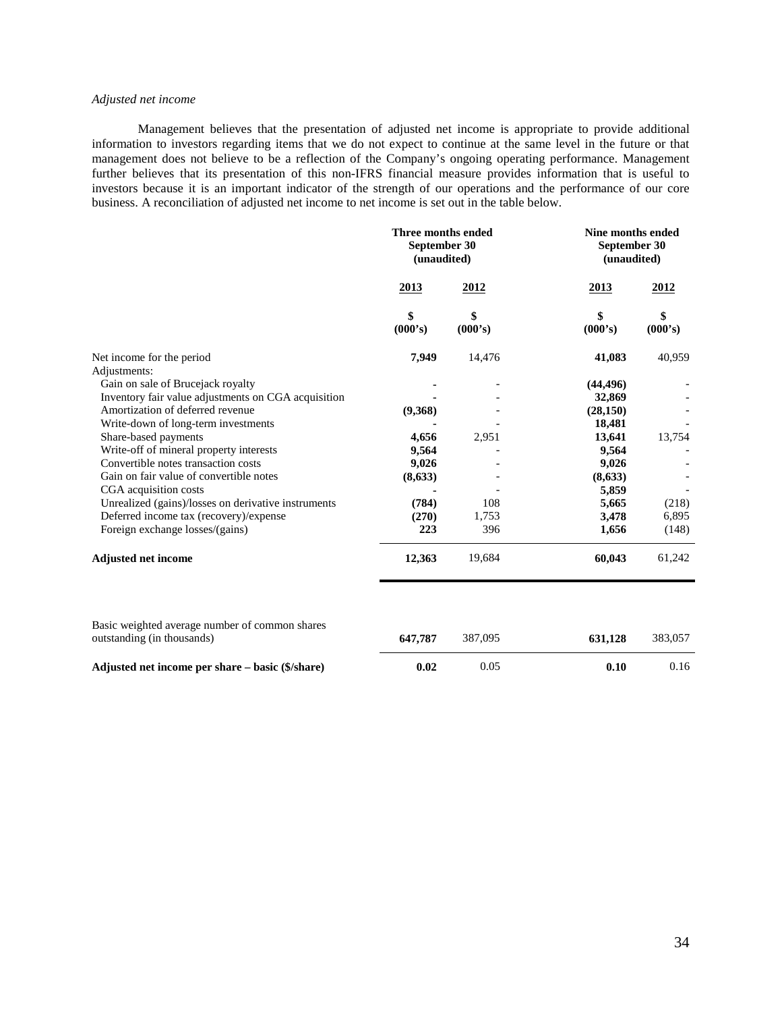## *Adjusted net income*

Management believes that the presentation of adjusted net income is appropriate to provide additional information to investors regarding items that we do not expect to continue at the same level in the future or that management does not believe to be a reflection of the Company's ongoing operating performance. Management further believes that its presentation of this non-IFRS financial measure provides information that is useful to investors because it is an important indicator of the strength of our operations and the performance of our core business. A reconciliation of adjusted net income to net income is set out in the table below.

|                                                                              | Three months ended<br>September 30<br>(unaudited) |               | Nine months ended<br>September 30<br>(unaudited) |               |
|------------------------------------------------------------------------------|---------------------------------------------------|---------------|--------------------------------------------------|---------------|
|                                                                              | 2013                                              | 2012          | <u>2013</u>                                      | 2012          |
|                                                                              | \$<br>(000's)                                     | \$<br>(000's) | \$<br>(000's)                                    | \$<br>(000's) |
| Net income for the period                                                    | 7,949                                             | 14,476        | 41,083                                           | 40,959        |
| Adjustments:                                                                 |                                                   |               |                                                  |               |
| Gain on sale of Brucejack royalty                                            |                                                   |               | (44, 496)                                        |               |
| Inventory fair value adjustments on CGA acquisition                          |                                                   |               | 32,869                                           |               |
| Amortization of deferred revenue                                             | (9,368)                                           |               | (28, 150)                                        |               |
| Write-down of long-term investments                                          |                                                   |               | 18,481                                           |               |
| Share-based payments                                                         | 4,656                                             | 2,951         | 13,641                                           | 13,754        |
| Write-off of mineral property interests                                      | 9,564                                             |               | 9,564                                            |               |
| Convertible notes transaction costs                                          | 9,026                                             |               | 9,026                                            |               |
| Gain on fair value of convertible notes                                      | (8, 633)                                          |               | (8,633)                                          |               |
| CGA acquisition costs                                                        |                                                   |               | 5,859                                            |               |
| Unrealized (gains)/losses on derivative instruments                          | (784)                                             | 108           | 5,665                                            | (218)         |
| Deferred income tax (recovery)/expense                                       | (270)                                             | 1,753         | 3,478                                            | 6,895         |
| Foreign exchange losses/(gains)                                              | 223                                               | 396           | 1,656                                            | (148)         |
| <b>Adjusted net income</b>                                                   | 12,363                                            | 19,684        | 60,043                                           | 61,242        |
|                                                                              |                                                   |               |                                                  |               |
| Basic weighted average number of common shares<br>outstanding (in thousands) | 647,787                                           | 387,095       | 631,128                                          | 383,057       |
| Adjusted net income per share – basic (\$/share)                             | 0.02                                              | 0.05          | 0.10                                             | 0.16          |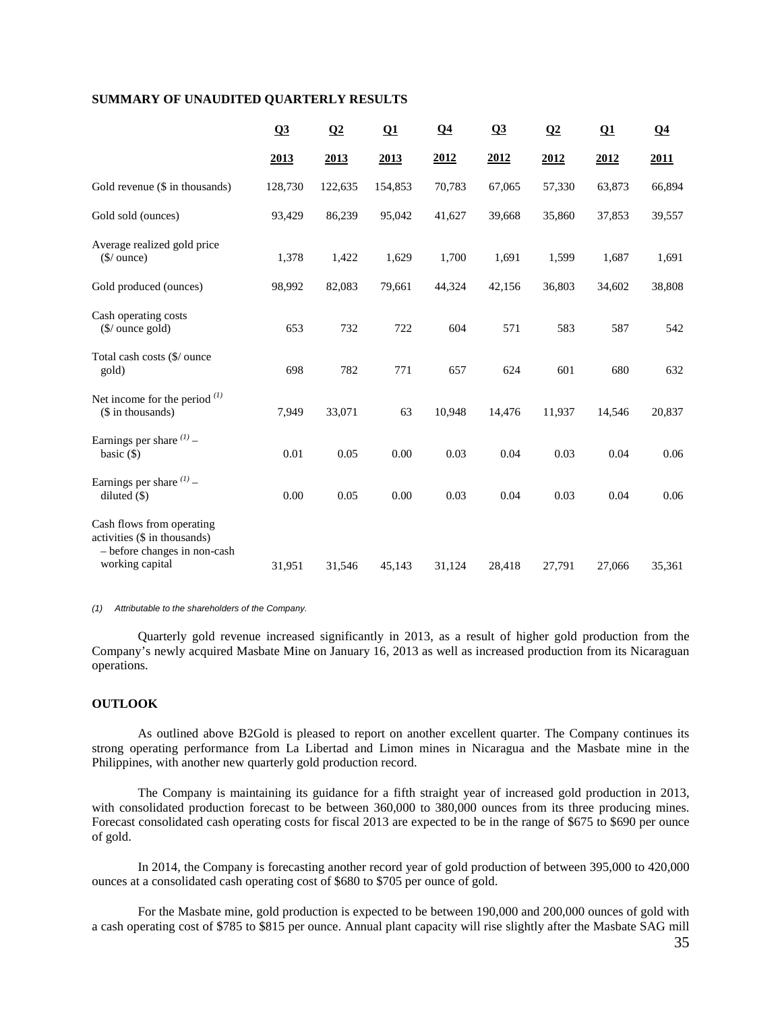## **SUMMARY OF UNAUDITED QUARTERLY RESULTS**

|                                                                                                              | Q3      | Q2      | $\Omega$ | $\Omega$ 4 | Q3     | $\Omega$ | $\Omega$ | Q <sub>4</sub> |
|--------------------------------------------------------------------------------------------------------------|---------|---------|----------|------------|--------|----------|----------|----------------|
|                                                                                                              | 2013    | 2013    | 2013     | 2012       | 2012   | 2012     | 2012     | 2011           |
| Gold revenue (\$ in thousands)                                                                               | 128,730 | 122,635 | 154,853  | 70,783     | 67,065 | 57,330   | 63,873   | 66,894         |
| Gold sold (ounces)                                                                                           | 93,429  | 86,239  | 95,042   | 41,627     | 39,668 | 35,860   | 37,853   | 39,557         |
| Average realized gold price<br>$(\frac{\mathcal{S}}{\omega})$ ounce)                                         | 1,378   | 1,422   | 1,629    | 1,700      | 1,691  | 1,599    | 1,687    | 1,691          |
| Gold produced (ounces)                                                                                       | 98,992  | 82,083  | 79,661   | 44,324     | 42,156 | 36,803   | 34,602   | 38,808         |
| Cash operating costs<br>$(\frac{\mathcal{S}}{\omega})$ ounce gold)                                           | 653     | 732     | 722      | 604        | 571    | 583      | 587      | 542            |
| Total cash costs (\$/ ounce<br>gold)                                                                         | 698     | 782     | 771      | 657        | 624    | 601      | 680      | 632            |
| Net income for the period $(1)$<br>(\$ in thousands)                                                         | 7,949   | 33,071  | 63       | 10,948     | 14,476 | 11,937   | 14,546   | 20,837         |
| Earnings per share $(1)$ -<br>basic $(\$)$                                                                   | 0.01    | 0.05    | 0.00     | 0.03       | 0.04   | 0.03     | 0.04     | 0.06           |
| Earnings per share $(1)$ -<br>diluted $(\$)$                                                                 | 0.00    | 0.05    | 0.00     | 0.03       | 0.04   | 0.03     | 0.04     | 0.06           |
| Cash flows from operating<br>activities (\$ in thousands)<br>- before changes in non-cash<br>working capital | 31,951  | 31,546  | 45,143   | 31,124     | 28,418 | 27,791   | 27,066   | 35,361         |

*(1) Attributable to the shareholders of the Company.* 

Quarterly gold revenue increased significantly in 2013, as a result of higher gold production from the Company's newly acquired Masbate Mine on January 16, 2013 as well as increased production from its Nicaraguan operations.

## **OUTLOOK**

As outlined above B2Gold is pleased to report on another excellent quarter. The Company continues its strong operating performance from La Libertad and Limon mines in Nicaragua and the Masbate mine in the Philippines, with another new quarterly gold production record.

The Company is maintaining its guidance for a fifth straight year of increased gold production in 2013, with consolidated production forecast to be between 360,000 to 380,000 ounces from its three producing mines. Forecast consolidated cash operating costs for fiscal 2013 are expected to be in the range of \$675 to \$690 per ounce of gold.

In 2014, the Company is forecasting another record year of gold production of between 395,000 to 420,000 ounces at a consolidated cash operating cost of \$680 to \$705 per ounce of gold.

For the Masbate mine, gold production is expected to be between 190,000 and 200,000 ounces of gold with a cash operating cost of \$785 to \$815 per ounce. Annual plant capacity will rise slightly after the Masbate SAG mill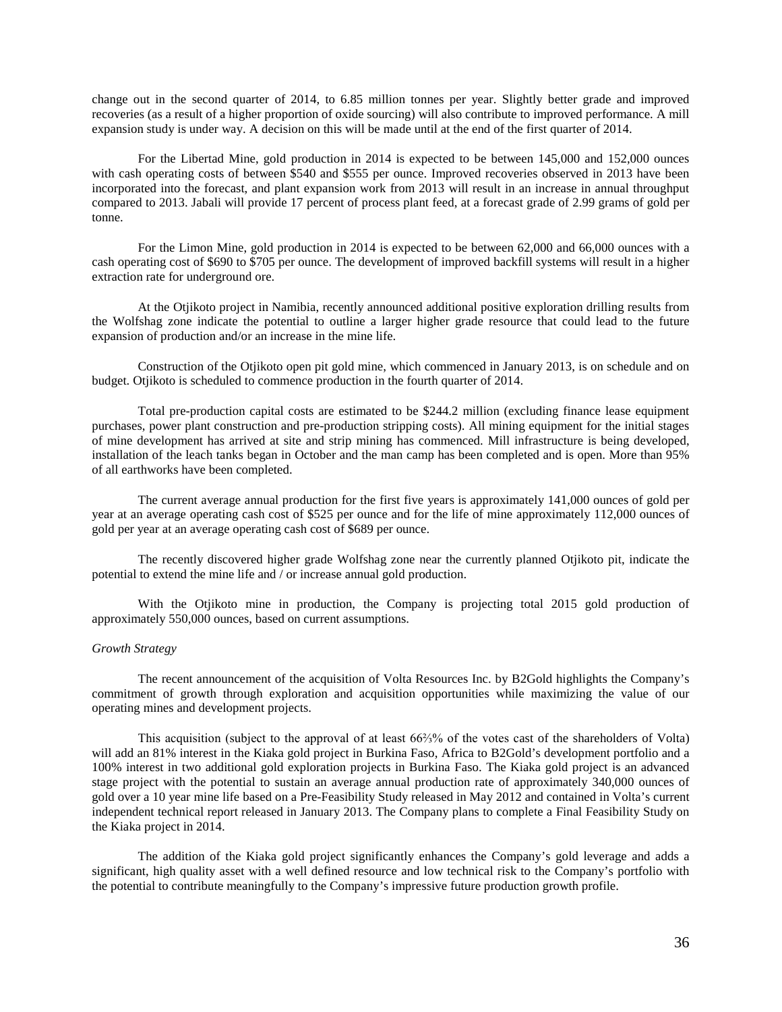change out in the second quarter of 2014, to 6.85 million tonnes per year. Slightly better grade and improved recoveries (as a result of a higher proportion of oxide sourcing) will also contribute to improved performance. A mill expansion study is under way. A decision on this will be made until at the end of the first quarter of 2014.

For the Libertad Mine, gold production in 2014 is expected to be between 145,000 and 152,000 ounces with cash operating costs of between \$540 and \$555 per ounce. Improved recoveries observed in 2013 have been incorporated into the forecast, and plant expansion work from 2013 will result in an increase in annual throughput compared to 2013. Jabali will provide 17 percent of process plant feed, at a forecast grade of 2.99 grams of gold per tonne.

For the Limon Mine, gold production in 2014 is expected to be between 62,000 and 66,000 ounces with a cash operating cost of \$690 to \$705 per ounce. The development of improved backfill systems will result in a higher extraction rate for underground ore.

At the Otjikoto project in Namibia, recently announced additional positive exploration drilling results from the Wolfshag zone indicate the potential to outline a larger higher grade resource that could lead to the future expansion of production and/or an increase in the mine life.

Construction of the Otjikoto open pit gold mine, which commenced in January 2013, is on schedule and on budget. Otjikoto is scheduled to commence production in the fourth quarter of 2014.

Total pre-production capital costs are estimated to be \$244.2 million (excluding finance lease equipment purchases, power plant construction and pre-production stripping costs). All mining equipment for the initial stages of mine development has arrived at site and strip mining has commenced. Mill infrastructure is being developed, installation of the leach tanks began in October and the man camp has been completed and is open. More than 95% of all earthworks have been completed.

The current average annual production for the first five years is approximately 141,000 ounces of gold per year at an average operating cash cost of \$525 per ounce and for the life of mine approximately 112,000 ounces of gold per year at an average operating cash cost of \$689 per ounce.

The recently discovered higher grade Wolfshag zone near the currently planned Otjikoto pit, indicate the potential to extend the mine life and / or increase annual gold production.

With the Otjikoto mine in production, the Company is projecting total 2015 gold production of approximately 550,000 ounces, based on current assumptions.

### *Growth Strategy*

The recent announcement of the acquisition of Volta Resources Inc. by B2Gold highlights the Company's commitment of growth through exploration and acquisition opportunities while maximizing the value of our operating mines and development projects.

This acquisition (subject to the approval of at least 66⅔% of the votes cast of the shareholders of Volta) will add an 81% interest in the Kiaka gold project in Burkina Faso, Africa to B2Gold's development portfolio and a 100% interest in two additional gold exploration projects in Burkina Faso. The Kiaka gold project is an advanced stage project with the potential to sustain an average annual production rate of approximately 340,000 ounces of gold over a 10 year mine life based on a Pre-Feasibility Study released in May 2012 and contained in Volta's current independent technical report released in January 2013. The Company plans to complete a Final Feasibility Study on the Kiaka project in 2014.

The addition of the Kiaka gold project significantly enhances the Company's gold leverage and adds a significant, high quality asset with a well defined resource and low technical risk to the Company's portfolio with the potential to contribute meaningfully to the Company's impressive future production growth profile.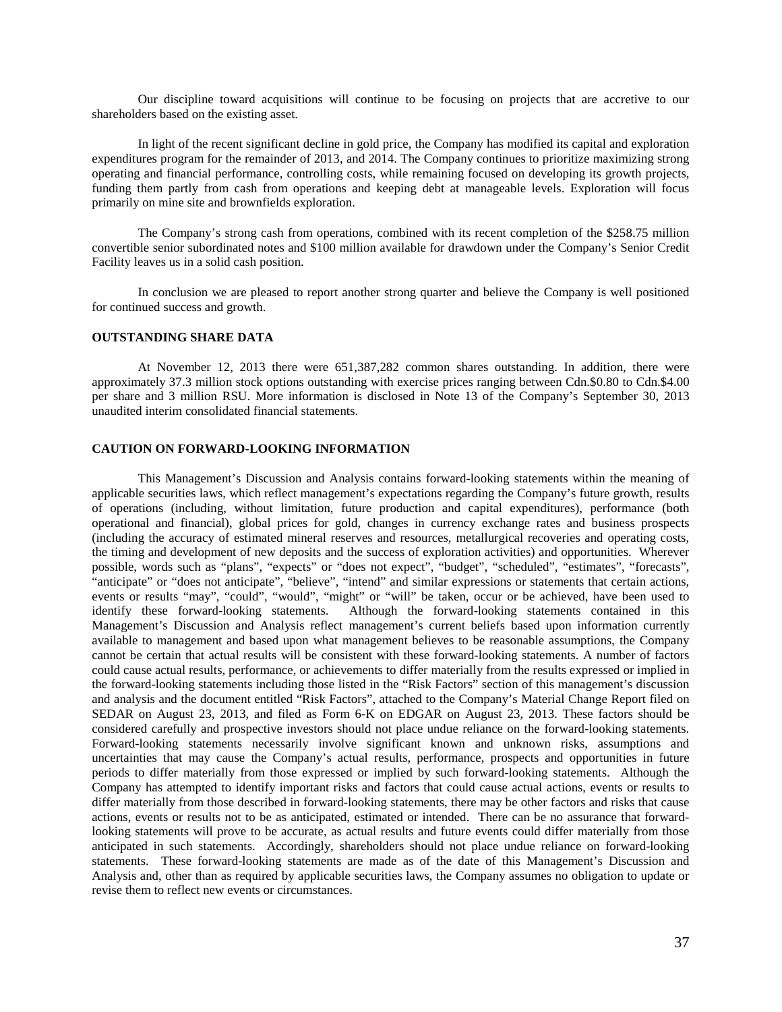Our discipline toward acquisitions will continue to be focusing on projects that are accretive to our shareholders based on the existing asset.

In light of the recent significant decline in gold price, the Company has modified its capital and exploration expenditures program for the remainder of 2013, and 2014. The Company continues to prioritize maximizing strong operating and financial performance, controlling costs, while remaining focused on developing its growth projects, funding them partly from cash from operations and keeping debt at manageable levels. Exploration will focus primarily on mine site and brownfields exploration.

The Company's strong cash from operations, combined with its recent completion of the \$258.75 million convertible senior subordinated notes and \$100 million available for drawdown under the Company's Senior Credit Facility leaves us in a solid cash position.

In conclusion we are pleased to report another strong quarter and believe the Company is well positioned for continued success and growth.

## **OUTSTANDING SHARE DATA**

At November 12, 2013 there were 651,387,282 common shares outstanding. In addition, there were approximately 37.3 million stock options outstanding with exercise prices ranging between Cdn.\$0.80 to Cdn.\$4.00 per share and 3 million RSU. More information is disclosed in Note 13 of the Company's September 30, 2013 unaudited interim consolidated financial statements.

### **CAUTION ON FORWARD-LOOKING INFORMATION**

This Management's Discussion and Analysis contains forward-looking statements within the meaning of applicable securities laws, which reflect management's expectations regarding the Company's future growth, results of operations (including, without limitation, future production and capital expenditures), performance (both operational and financial), global prices for gold, changes in currency exchange rates and business prospects (including the accuracy of estimated mineral reserves and resources, metallurgical recoveries and operating costs, the timing and development of new deposits and the success of exploration activities) and opportunities. Wherever possible, words such as "plans", "expects" or "does not expect", "budget", "scheduled", "estimates", "forecasts", "anticipate" or "does not anticipate", "believe", "intend" and similar expressions or statements that certain actions, events or results "may", "could", "would", "might" or "will" be taken, occur or be achieved, have been used to identify these forward-looking statements. Although the forward-looking statements contained in this Management's Discussion and Analysis reflect management's current beliefs based upon information currently available to management and based upon what management believes to be reasonable assumptions, the Company cannot be certain that actual results will be consistent with these forward-looking statements. A number of factors could cause actual results, performance, or achievements to differ materially from the results expressed or implied in the forward-looking statements including those listed in the "Risk Factors" section of this management's discussion and analysis and the document entitled "Risk Factors", attached to the Company's Material Change Report filed on SEDAR on August 23, 2013, and filed as Form 6-K on EDGAR on August 23, 2013. These factors should be considered carefully and prospective investors should not place undue reliance on the forward-looking statements. Forward-looking statements necessarily involve significant known and unknown risks, assumptions and uncertainties that may cause the Company's actual results, performance, prospects and opportunities in future periods to differ materially from those expressed or implied by such forward-looking statements. Although the Company has attempted to identify important risks and factors that could cause actual actions, events or results to differ materially from those described in forward-looking statements, there may be other factors and risks that cause actions, events or results not to be as anticipated, estimated or intended. There can be no assurance that forwardlooking statements will prove to be accurate, as actual results and future events could differ materially from those anticipated in such statements. Accordingly, shareholders should not place undue reliance on forward-looking statements. These forward-looking statements are made as of the date of this Management's Discussion and Analysis and, other than as required by applicable securities laws, the Company assumes no obligation to update or revise them to reflect new events or circumstances.